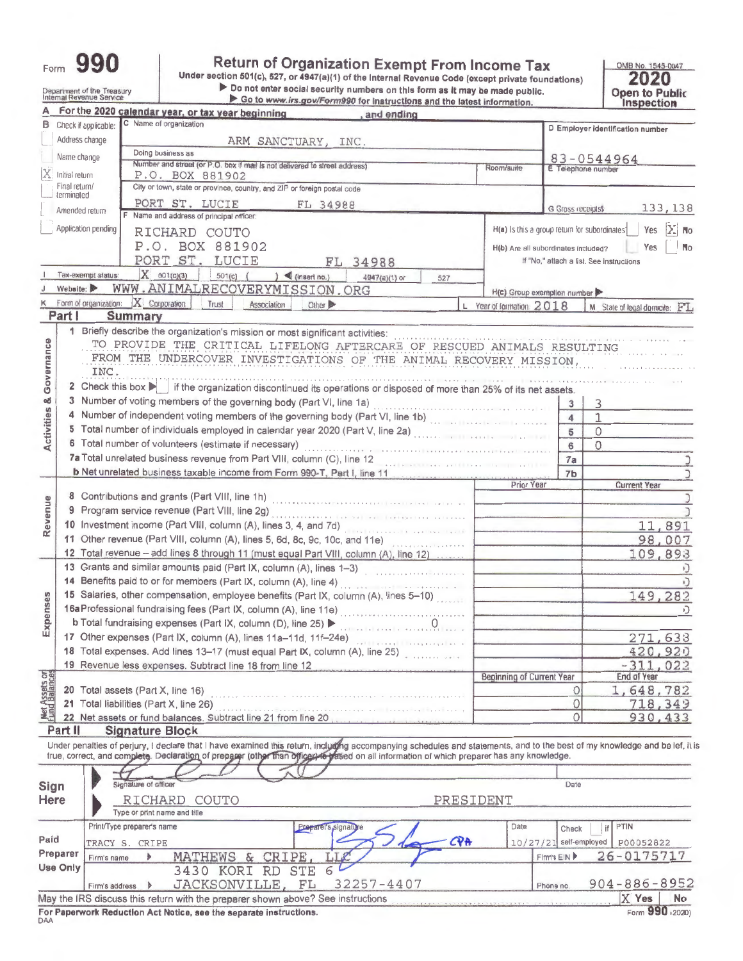| ∙orm | 990 |
|------|-----|
|      |     |

Department of the Treasury<br>Internal Revenue Service

Ë

Return of Organization Exempt From Income Tax<br>Under section 501(c), 527, or 4947(a)(1) of the Internal Revenue Code (except private foundations)<br>Do not enter social security numbers on this form as it may be made public.<br>

OMB No. 1545-0047<br>2020<br>Open to Public<br>Inspection

|                         |                                                | <b>THE SAME OF A FILIPPO TWO HIGH HWYSINIIG RIILL GILD IRECOL HIIUIIIIIIIIIIII</b><br>For the 2020 calendar year, or tax year beginning<br>, and ending                                                                                                                                                                                                                                                                                                                                                                             |                                               |                         | <b>BODACHOR</b>                          |
|-------------------------|------------------------------------------------|-------------------------------------------------------------------------------------------------------------------------------------------------------------------------------------------------------------------------------------------------------------------------------------------------------------------------------------------------------------------------------------------------------------------------------------------------------------------------------------------------------------------------------------|-----------------------------------------------|-------------------------|------------------------------------------|
|                         | Check if applicable:                           | C Name of organization                                                                                                                                                                                                                                                                                                                                                                                                                                                                                                              |                                               |                         | D Employer identification number         |
|                         | Address change                                 | ARM SANCTUARY, INC.                                                                                                                                                                                                                                                                                                                                                                                                                                                                                                                 |                                               |                         |                                          |
|                         | Name change                                    | Doing business as                                                                                                                                                                                                                                                                                                                                                                                                                                                                                                                   |                                               |                         | $83 - 0544964$                           |
|                         | Initial return                                 | Number and street (or P.O. box if mail is not delivered to street address)<br>P.O. BOX 881902                                                                                                                                                                                                                                                                                                                                                                                                                                       | Room/suite                                    | E Telephone number      |                                          |
|                         | Final return/                                  | City or town, state or province, country, and ZIP or foreign postal code                                                                                                                                                                                                                                                                                                                                                                                                                                                            |                                               |                         |                                          |
|                         | terminated                                     | PORT ST. LUCIE<br>FL 34988                                                                                                                                                                                                                                                                                                                                                                                                                                                                                                          |                                               | G Gross receipts\$      | 133, 138                                 |
|                         | Amended return                                 | F Name and address of principal officer:                                                                                                                                                                                                                                                                                                                                                                                                                                                                                            |                                               |                         |                                          |
|                         | Application pending                            | RICHARD COUTO                                                                                                                                                                                                                                                                                                                                                                                                                                                                                                                       | H(a) Is this a group return for subordinates' |                         | ÞЗ<br>Yes<br><b>No</b>                   |
|                         |                                                | P.O. BOX 881902                                                                                                                                                                                                                                                                                                                                                                                                                                                                                                                     | H(b) Are all subordinates included?           |                         | Yes<br>N <sub>o</sub>                    |
|                         |                                                | PORT ST. LUCIE<br>FL 34988                                                                                                                                                                                                                                                                                                                                                                                                                                                                                                          |                                               |                         | If "No," attach a list. See instructions |
|                         | Tax-exempt status:                             | $X = 501(c)(3)$<br>$501(c)$ (<br>$\log$ (insert no.)<br>4947(a)(1) or<br>527                                                                                                                                                                                                                                                                                                                                                                                                                                                        |                                               |                         |                                          |
|                         | Website:                                       | WWW.ANIMALRECOVERYMISSION.ORG                                                                                                                                                                                                                                                                                                                                                                                                                                                                                                       | H(c) Group exemption number                   |                         |                                          |
|                         |                                                | K Form of organization:   X   Corporation  <br>Trust<br>Association<br>Other                                                                                                                                                                                                                                                                                                                                                                                                                                                        | L Year of formation: 2018                     |                         | M State of logal domicite: FL            |
| Part I                  |                                                | <b>Summary</b>                                                                                                                                                                                                                                                                                                                                                                                                                                                                                                                      |                                               |                         |                                          |
|                         |                                                | 1 Briefly describe the organization's mission or most significant activities:                                                                                                                                                                                                                                                                                                                                                                                                                                                       |                                               |                         |                                          |
|                         |                                                | TO PROVIDE THE CRITICAL LIFELONG AFTERCARE OF RESCUED ANIMALS RESULTING                                                                                                                                                                                                                                                                                                                                                                                                                                                             |                                               |                         |                                          |
|                         |                                                | FROM THE UNDERCOVER INVESTIGATIONS OF THE ANIMAL RECOVERY MISSION,                                                                                                                                                                                                                                                                                                                                                                                                                                                                  |                                               |                         |                                          |
| Governance              | INC.                                           |                                                                                                                                                                                                                                                                                                                                                                                                                                                                                                                                     |                                               |                         |                                          |
|                         |                                                | 2 Check this box   if the organization discontinued its operations or disposed of more than 25% of its net assets.                                                                                                                                                                                                                                                                                                                                                                                                                  |                                               |                         |                                          |
|                         |                                                | 3 Number of voting members of the governing body (Part VI, line 1a)                                                                                                                                                                                                                                                                                                                                                                                                                                                                 |                                               | 3                       | 3                                        |
|                         |                                                | 4 Number of independent voting members of the governing body (Part VI, line 1b)                                                                                                                                                                                                                                                                                                                                                                                                                                                     |                                               | $\overline{\mathbf{4}}$ | $\mathbf{1}$                             |
| <b>Activities &amp;</b> |                                                | 5 Total number of individuals employed in calendar year 2020 (Part V, line 2a)                                                                                                                                                                                                                                                                                                                                                                                                                                                      |                                               | 5                       | $\Omega$                                 |
|                         |                                                | 6 Total number of volunteers (estimate if necessary)                                                                                                                                                                                                                                                                                                                                                                                                                                                                                |                                               | 6                       | $\Omega$                                 |
|                         |                                                | 7a Total unrelated business revenue from Part VIII, column (C), line 12                                                                                                                                                                                                                                                                                                                                                                                                                                                             |                                               | 7a                      |                                          |
|                         |                                                | b Net unrelated business taxable income from Form 990-T, Part I, line 11                                                                                                                                                                                                                                                                                                                                                                                                                                                            |                                               | 7 <sub>b</sub>          |                                          |
|                         |                                                | 8 Contributions and grants (Part VIII, line 1h)                                                                                                                                                                                                                                                                                                                                                                                                                                                                                     | Prior Year                                    |                         | <b>Current Year</b>                      |
|                         |                                                |                                                                                                                                                                                                                                                                                                                                                                                                                                                                                                                                     |                                               |                         |                                          |
|                         | 9 Program service revenue (Part VIII, line 2g) |                                                                                                                                                                                                                                                                                                                                                                                                                                                                                                                                     |                                               |                         |                                          |
| Revenue                 |                                                | 10 Investment income (Part VIII, column (A), lines 3, 4, and 7d)                                                                                                                                                                                                                                                                                                                                                                                                                                                                    |                                               |                         | 11,891                                   |
|                         |                                                | 11 Other revenue (Part VIII, column (A), lines 5, 6d, 8c, 9c, 10c, and 11e)                                                                                                                                                                                                                                                                                                                                                                                                                                                         |                                               |                         | 98,007                                   |
|                         |                                                | 12 Total revenue - add lines 8 through 11 (must equal Part VIII, column (A), line 12)                                                                                                                                                                                                                                                                                                                                                                                                                                               |                                               |                         | 109,893                                  |
|                         |                                                | 13 Grants and similar amounts paid (Part IX, column (A), lines 1-3)                                                                                                                                                                                                                                                                                                                                                                                                                                                                 |                                               |                         | F)                                       |
|                         |                                                | 14 Benefits paid to or for members (Part IX, column (A), line 4)<br>$\mathcal{L}(\mathcal{L}(\mathcal{L})) = \mathcal{L}(\mathcal{L}(\mathcal{L})) = \mathcal{L}(\mathcal{L}(\mathcal{L}(\mathcal{L}(\mathcal{L}(\mathcal{L}(\mathcal{L}(\mathcal{L}(\mathcal{L}(\mathcal{L}(\mathcal{L}(\mathcal{L}(\mathcal{L}(\mathcal{L}(\mathcal{L}(\mathcal{L}(\mathcal{L}(\mathcal{L}(\mathcal{L}(\mathcal{L}(\mathcal{L}(\mathcal{L}(\mathcal{L}(\mathcal{L}(\mathcal{L}(\mathcal{L}(\mathcal{L}(\mathcal{L}(\mathcal{L}(\mathcal{L}(\math$ |                                               |                         |                                          |
| Expenses                |                                                | 15 Salaries, other compensation, employee benefits (Part IX, column (A), lines 5-10)                                                                                                                                                                                                                                                                                                                                                                                                                                                |                                               |                         | 149,282                                  |
|                         |                                                | 16a Professional fundraising fees (Part IX, column (A), line 11e)                                                                                                                                                                                                                                                                                                                                                                                                                                                                   |                                               |                         |                                          |
|                         |                                                | b Total fundraising expenses (Part IX, column (D), line 25)                                                                                                                                                                                                                                                                                                                                                                                                                                                                         |                                               |                         |                                          |
|                         |                                                | 17 Other expenses (Part IX, column (A), lines 11a-11d, 11f-24e)                                                                                                                                                                                                                                                                                                                                                                                                                                                                     |                                               |                         | 271,633                                  |
|                         |                                                | 18 Total expenses. Add lines 13-17 (must equal Part IX, column (A), line 25)                                                                                                                                                                                                                                                                                                                                                                                                                                                        |                                               |                         | 420,920                                  |
|                         |                                                | 19 Revenue less expenses. Subtract line 18 from line 12                                                                                                                                                                                                                                                                                                                                                                                                                                                                             | Beginning of Current Year                     |                         | $-311,022$<br>End of Year                |
|                         |                                                | 20 Total assets (Part X, line 16)                                                                                                                                                                                                                                                                                                                                                                                                                                                                                                   |                                               | 0                       | 1,648,782                                |
| Net Assets or           |                                                | 21 Total liabilities (Part X, line 26)                                                                                                                                                                                                                                                                                                                                                                                                                                                                                              |                                               | $\circ$                 | 718,349                                  |
|                         |                                                | 22 Net assets or fund balances. Subtract line 21 from line 20                                                                                                                                                                                                                                                                                                                                                                                                                                                                       |                                               | $\circ$                 | 930, 433                                 |
| Part II                 |                                                | <b>Signature Block</b>                                                                                                                                                                                                                                                                                                                                                                                                                                                                                                              |                                               |                         |                                          |
|                         |                                                | Under penalties of perjury, I declare that I have examined this return, including accompanying schedules and statements, and to the best of my knowledge and be lef, it is                                                                                                                                                                                                                                                                                                                                                          |                                               |                         |                                          |
|                         |                                                | true, correct, and complete. Declaration of preparer (other than officers of all information of which preparer has any knowledge.                                                                                                                                                                                                                                                                                                                                                                                                   |                                               |                         |                                          |
|                         |                                                |                                                                                                                                                                                                                                                                                                                                                                                                                                                                                                                                     |                                               |                         |                                          |
| Sign                    |                                                | Signature of officer                                                                                                                                                                                                                                                                                                                                                                                                                                                                                                                |                                               | Date                    |                                          |
| Here                    |                                                | RICHARD COUTO<br>PRESIDENT                                                                                                                                                                                                                                                                                                                                                                                                                                                                                                          |                                               |                         |                                          |
|                         |                                                | Type or print name and title                                                                                                                                                                                                                                                                                                                                                                                                                                                                                                        |                                               |                         |                                          |
|                         |                                                | Print/Type preparer's name<br>Preparer's signature                                                                                                                                                                                                                                                                                                                                                                                                                                                                                  | Date                                          | Check                   | PTIN<br>if                               |
| Paid                    |                                                | CPA<br>TRACY S. CRIPE                                                                                                                                                                                                                                                                                                                                                                                                                                                                                                               | $10/27/21$ self-employed                      |                         | P00052822                                |
| Preparer                | Firm's name                                    | MATHEWS & CRIPE,<br>LIR                                                                                                                                                                                                                                                                                                                                                                                                                                                                                                             | Firm's EIN                                    |                         | 26-0175717                               |
| <b>Use Only</b>         |                                                | 3430 KORI RD<br><b>STE</b>                                                                                                                                                                                                                                                                                                                                                                                                                                                                                                          |                                               |                         |                                          |
|                         | Firm's address                                 | JACKSONVILLE, FL<br>32257-4407                                                                                                                                                                                                                                                                                                                                                                                                                                                                                                      | Phone no                                      |                         | $904 - 886 - 8952$                       |
|                         |                                                | May the IRS discuss this return with the preparer shown above? See instructions                                                                                                                                                                                                                                                                                                                                                                                                                                                     |                                               |                         | X Yes<br>No                              |
|                         |                                                | For Paperwork Reduction Act Notice, see the separate instructions.                                                                                                                                                                                                                                                                                                                                                                                                                                                                  |                                               |                         | Form 990 (2020)                          |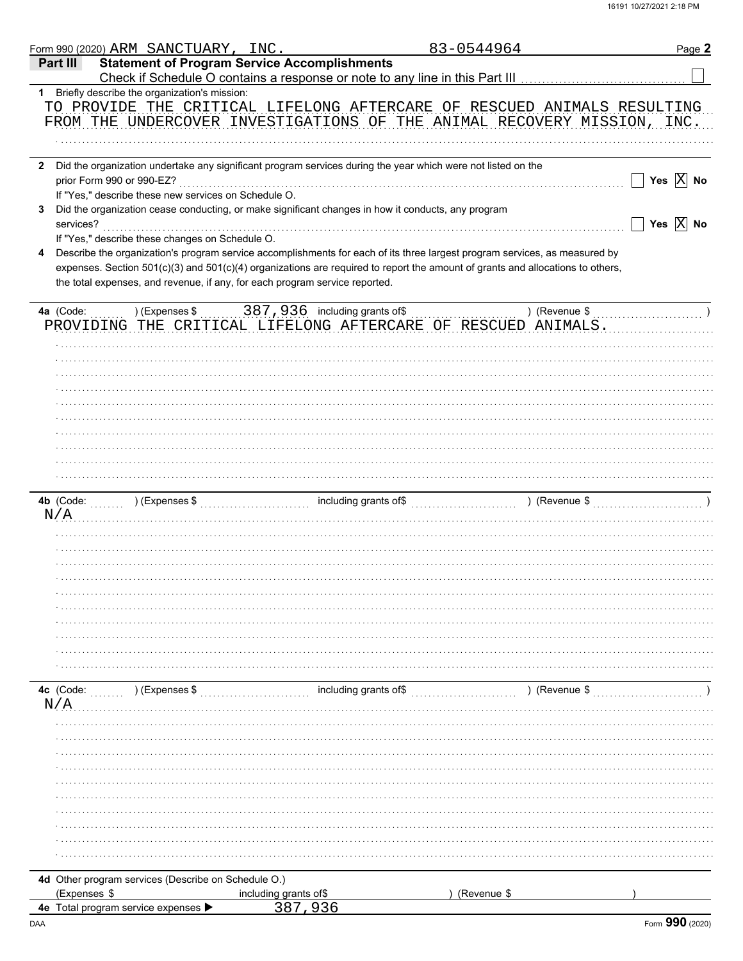|              | Form 990 (2020) ARM SANCTUARY, INC.                  |                                                                                                              | 83-0544964                                                                                                                     | Page 2                    |
|--------------|------------------------------------------------------|--------------------------------------------------------------------------------------------------------------|--------------------------------------------------------------------------------------------------------------------------------|---------------------------|
| Part III     |                                                      | <b>Statement of Program Service Accomplishments</b>                                                          |                                                                                                                                |                           |
|              |                                                      |                                                                                                              |                                                                                                                                |                           |
|              | 1 Briefly describe the organization's mission:       |                                                                                                              | TO PROVIDE THE CRITICAL LIFELONG AFTERCARE OF RESCUED ANIMALS RESULTING                                                        |                           |
|              |                                                      |                                                                                                              | FROM THE UNDERCOVER INVESTIGATIONS OF THE ANIMAL RECOVERY MISSION, INC.                                                        |                           |
|              |                                                      |                                                                                                              |                                                                                                                                |                           |
|              |                                                      |                                                                                                              |                                                                                                                                |                           |
| $\mathbf{2}$ |                                                      | Did the organization undertake any significant program services during the year which were not listed on the |                                                                                                                                |                           |
|              | prior Form 990 or 990-EZ?                            |                                                                                                              |                                                                                                                                | Yes $\boxed{\text{X}}$ No |
|              | If "Yes," describe these new services on Schedule O. |                                                                                                              |                                                                                                                                |                           |
| 3            |                                                      | Did the organization cease conducting, or make significant changes in how it conducts, any program           |                                                                                                                                | Yes $\boxed{\text{X}}$ No |
| services?    | If "Yes," describe these changes on Schedule O.      |                                                                                                              |                                                                                                                                |                           |
| 4            |                                                      |                                                                                                              | Describe the organization's program service accomplishments for each of its three largest program services, as measured by     |                           |
|              |                                                      |                                                                                                              | expenses. Section 501(c)(3) and 501(c)(4) organizations are required to report the amount of grants and allocations to others, |                           |
|              |                                                      | the total expenses, and revenue, if any, for each program service reported.                                  |                                                                                                                                |                           |
|              |                                                      |                                                                                                              |                                                                                                                                |                           |
| 4a (Code:    |                                                      |                                                                                                              | ) (Revenue $\frac{1}{2}$                                                                                                       |                           |
|              |                                                      |                                                                                                              | PROVIDING THE CRITICAL LIFELONG AFTERCARE OF RESCUED ANIMALS.                                                                  |                           |
|              |                                                      |                                                                                                              |                                                                                                                                |                           |
|              |                                                      |                                                                                                              |                                                                                                                                |                           |
|              |                                                      |                                                                                                              |                                                                                                                                |                           |
|              |                                                      |                                                                                                              |                                                                                                                                |                           |
|              |                                                      |                                                                                                              |                                                                                                                                |                           |
|              |                                                      |                                                                                                              |                                                                                                                                |                           |
|              |                                                      |                                                                                                              |                                                                                                                                |                           |
|              |                                                      |                                                                                                              |                                                                                                                                |                           |
|              |                                                      |                                                                                                              |                                                                                                                                |                           |
|              |                                                      |                                                                                                              |                                                                                                                                |                           |
|              | 4b (Code: ) (Expenses \$                             | including grants of\$                                                                                        | ) (Revenue \$                                                                                                                  |                           |
| N/A          |                                                      |                                                                                                              |                                                                                                                                |                           |
|              |                                                      |                                                                                                              |                                                                                                                                |                           |
|              |                                                      |                                                                                                              |                                                                                                                                |                           |
|              |                                                      |                                                                                                              |                                                                                                                                |                           |
|              |                                                      |                                                                                                              |                                                                                                                                |                           |
|              |                                                      |                                                                                                              |                                                                                                                                |                           |
|              |                                                      |                                                                                                              |                                                                                                                                |                           |
|              |                                                      |                                                                                                              |                                                                                                                                |                           |
|              |                                                      |                                                                                                              |                                                                                                                                |                           |
|              |                                                      |                                                                                                              |                                                                                                                                |                           |
|              |                                                      |                                                                                                              |                                                                                                                                |                           |
| 4c (Code:    | ) (Expenses \$<br>.                                  | including grants of\$                                                                                        | ) (Revenue \$                                                                                                                  |                           |
| N/A          |                                                      |                                                                                                              |                                                                                                                                |                           |
|              |                                                      |                                                                                                              |                                                                                                                                |                           |
|              |                                                      |                                                                                                              |                                                                                                                                |                           |
|              |                                                      |                                                                                                              |                                                                                                                                |                           |
|              |                                                      |                                                                                                              |                                                                                                                                |                           |
|              |                                                      |                                                                                                              |                                                                                                                                |                           |
|              |                                                      |                                                                                                              |                                                                                                                                |                           |
|              |                                                      |                                                                                                              |                                                                                                                                |                           |
|              |                                                      |                                                                                                              |                                                                                                                                |                           |
|              |                                                      |                                                                                                              |                                                                                                                                |                           |
|              |                                                      |                                                                                                              |                                                                                                                                |                           |
|              | 4d Other program services (Describe on Schedule O.)  |                                                                                                              |                                                                                                                                |                           |
| (Expenses \$ |                                                      | including grants of\$                                                                                        | (Revenue \$                                                                                                                    |                           |
|              | 4e Total program service expenses ▶                  | 387,936                                                                                                      |                                                                                                                                |                           |
|              |                                                      |                                                                                                              |                                                                                                                                |                           |

DAA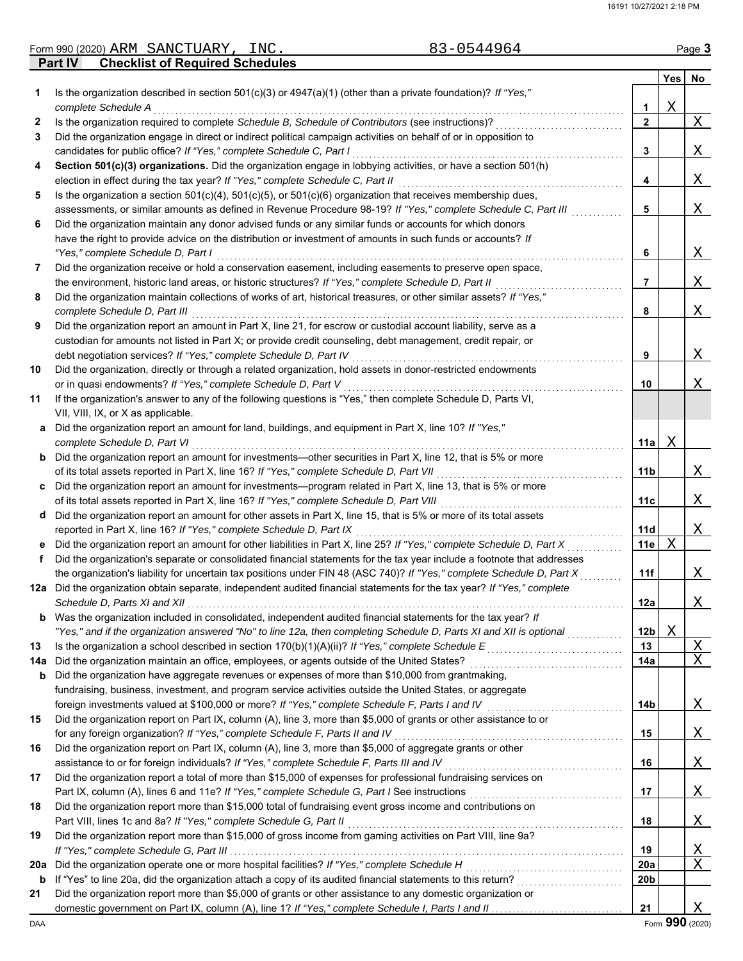|     | 83-0544964<br>Form 990 (2020) ARM SANCTUARY, INC.                                                                                                                                                      |                        |   | Page 3 |
|-----|--------------------------------------------------------------------------------------------------------------------------------------------------------------------------------------------------------|------------------------|---|--------|
|     | <b>Checklist of Required Schedules</b><br><b>Part IV</b>                                                                                                                                               |                        |   |        |
|     |                                                                                                                                                                                                        |                        |   | Yes No |
| 1   | Is the organization described in section $501(c)(3)$ or $4947(a)(1)$ (other than a private foundation)? If "Yes,"                                                                                      |                        |   |        |
|     | complete Schedule A                                                                                                                                                                                    | 1.                     | X |        |
| 2   | Is the organization required to complete Schedule B, Schedule of Contributors (see instructions)?                                                                                                      | $\mathbf{2}$           |   | X      |
| 3   | Did the organization engage in direct or indirect political campaign activities on behalf of or in opposition to                                                                                       |                        |   |        |
|     | candidates for public office? If "Yes," complete Schedule C, Part I                                                                                                                                    | 3                      |   | Χ      |
| 4   | Section 501(c)(3) organizations. Did the organization engage in lobbying activities, or have a section 501(h)                                                                                          |                        |   | Χ      |
|     | election in effect during the tax year? If "Yes," complete Schedule C, Part II<br>Is the organization a section $501(c)(4)$ , $501(c)(5)$ , or $501(c)(6)$ organization that receives membership dues, | 4                      |   |        |
| 5   | assessments, or similar amounts as defined in Revenue Procedure 98-19? If "Yes," complete Schedule C, Part III                                                                                         |                        |   | Χ      |
| 6   | Did the organization maintain any donor advised funds or any similar funds or accounts for which donors                                                                                                | 5                      |   |        |
|     | have the right to provide advice on the distribution or investment of amounts in such funds or accounts? If                                                                                            |                        |   |        |
|     | "Yes," complete Schedule D, Part I                                                                                                                                                                     | 6                      |   | Χ      |
| 7   | Did the organization receive or hold a conservation easement, including easements to preserve open space,                                                                                              |                        |   |        |
|     | the environment, historic land areas, or historic structures? If "Yes," complete Schedule D, Part II                                                                                                   | 7                      |   | Χ      |
| 8   | Did the organization maintain collections of works of art, historical treasures, or other similar assets? If "Yes,"                                                                                    |                        |   |        |
|     | complete Schedule D, Part III                                                                                                                                                                          | 8                      |   | X      |
| 9   | Did the organization report an amount in Part X, line 21, for escrow or custodial account liability, serve as a                                                                                        |                        |   |        |
|     | custodian for amounts not listed in Part X; or provide credit counseling, debt management, credit repair, or                                                                                           |                        |   |        |
|     | debt negotiation services? If "Yes," complete Schedule D, Part IV                                                                                                                                      | 9                      |   | Χ      |
| 10  | Did the organization, directly or through a related organization, hold assets in donor-restricted endowments                                                                                           |                        |   |        |
|     | or in quasi endowments? If "Yes," complete Schedule D, Part V                                                                                                                                          | 10                     |   | Χ      |
| 11  | If the organization's answer to any of the following questions is "Yes," then complete Schedule D, Parts VI,                                                                                           |                        |   |        |
|     | VII, VIII, IX, or X as applicable.                                                                                                                                                                     |                        |   |        |
| a   | Did the organization report an amount for land, buildings, and equipment in Part X, line 10? If "Yes,"                                                                                                 |                        |   |        |
|     | complete Schedule D, Part VI                                                                                                                                                                           | 11a                    | Χ |        |
|     | <b>b</b> Did the organization report an amount for investments—other securities in Part X, line 12, that is 5% or more                                                                                 |                        |   |        |
|     | of its total assets reported in Part X, line 16? If "Yes," complete Schedule D, Part VII                                                                                                               | 11 <sub>b</sub>        |   | Χ      |
|     | c Did the organization report an amount for investments—program related in Part X, line 13, that is 5% or more                                                                                         |                        |   |        |
|     | of its total assets reported in Part X, line 16? If "Yes," complete Schedule D, Part VIII                                                                                                              | 11c                    |   | Χ      |
|     | d Did the organization report an amount for other assets in Part X, line 15, that is 5% or more of its total assets                                                                                    |                        |   |        |
|     | reported in Part X, line 16? If "Yes," complete Schedule D, Part IX                                                                                                                                    | <b>11d</b>             |   | X      |
|     | e Did the organization report an amount for other liabilities in Part X, line 25? If "Yes," complete Schedule D, Part X                                                                                | 11e                    | X |        |
| f   | Did the organization's separate or consolidated financial statements for the tax year include a footnote that addresses                                                                                |                        |   |        |
|     | the organization's liability for uncertain tax positions under FIN 48 (ASC 740)? If "Yes," complete Schedule D, Part X                                                                                 | 11f                    |   | Χ      |
|     | 12a Did the organization obtain separate, independent audited financial statements for the tax year? If "Yes," complete                                                                                |                        |   |        |
|     | Schedule D, Parts XI and XII                                                                                                                                                                           | 12a                    |   | Χ      |
|     | <b>b</b> Was the organization included in consolidated, independent audited financial statements for the tax year? If                                                                                  |                        |   |        |
|     | "Yes," and if the organization answered "No" to line 12a, then completing Schedule D, Parts XI and XII is optional                                                                                     | 12 <sub>b</sub>        | Χ |        |
| 13  | Is the organization a school described in section 170(b)(1)(A)(ii)? If "Yes," complete Schedule E                                                                                                      | 13                     |   | Χ      |
| 14a | Did the organization maintain an office, employees, or agents outside of the United States?                                                                                                            | 14a                    |   | X      |
| b   | Did the organization have aggregate revenues or expenses of more than \$10,000 from grantmaking,                                                                                                       |                        |   |        |
|     | fundraising, business, investment, and program service activities outside the United States, or aggregate                                                                                              |                        |   |        |
|     | foreign investments valued at \$100,000 or more? If "Yes," complete Schedule F, Parts I and IV                                                                                                         | 14b                    |   | Χ      |
| 15  | Did the organization report on Part IX, column (A), line 3, more than \$5,000 of grants or other assistance to or                                                                                      |                        |   |        |
|     | for any foreign organization? If "Yes," complete Schedule F, Parts II and IV                                                                                                                           | 15                     |   | Χ      |
| 16  | Did the organization report on Part IX, column (A), line 3, more than \$5,000 of aggregate grants or other                                                                                             |                        |   |        |
|     | assistance to or for foreign individuals? If "Yes," complete Schedule F, Parts III and IV                                                                                                              | 16                     |   | Χ      |
| 17  | Did the organization report a total of more than \$15,000 of expenses for professional fundraising services on                                                                                         |                        |   |        |
|     |                                                                                                                                                                                                        | 17                     |   | X      |
| 18  | Did the organization report more than \$15,000 total of fundraising event gross income and contributions on                                                                                            |                        |   |        |
|     | Part VIII, lines 1c and 8a? If "Yes," complete Schedule G, Part II                                                                                                                                     | 18                     |   | Χ      |
| 19  | Did the organization report more than \$15,000 of gross income from gaming activities on Part VIII, line 9a?                                                                                           |                        |   |        |
|     | Did the organization operate one or more hospital facilities? If "Yes," complete Schedule H                                                                                                            | 19                     |   | X      |
| 20a |                                                                                                                                                                                                        | 20a<br>20 <sub>b</sub> |   | Χ      |
| b   |                                                                                                                                                                                                        |                        |   |        |

| 21 Did the organization report more than \$5,000 of grants or other assistance to any domestic organization or                                                                                                                 |
|--------------------------------------------------------------------------------------------------------------------------------------------------------------------------------------------------------------------------------|
| domestic government on Part IX, column (A), line 1? If "Yes," complete Schedule I, Parts I and II medical contents to the local content of the domain of the domain of the domain of the domain of the domain of the domain of |

**21**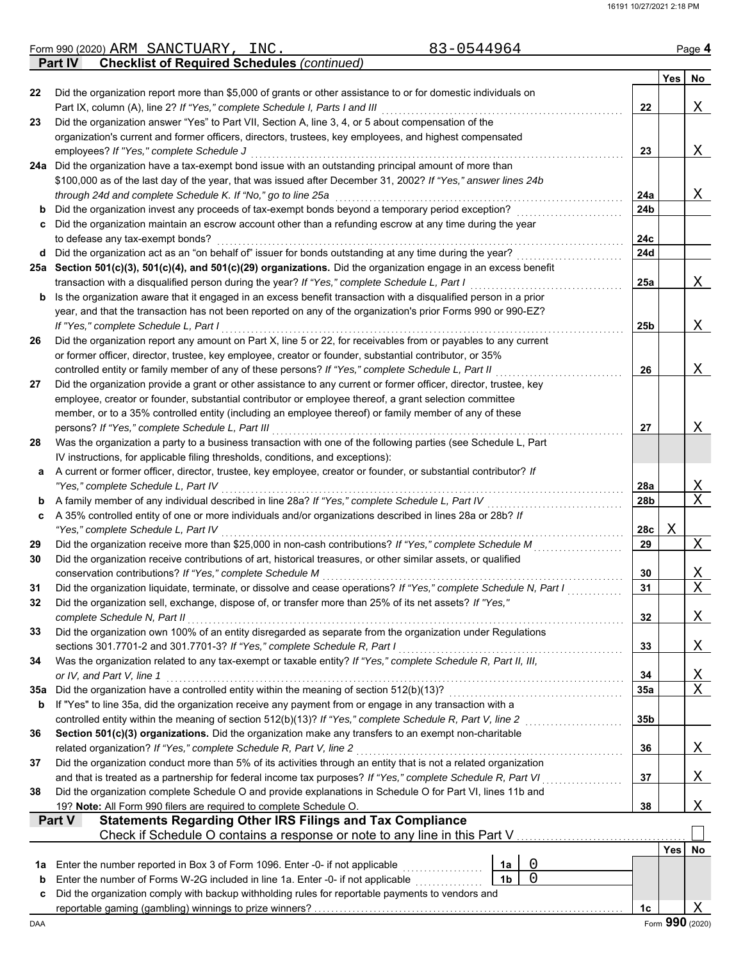|          | 83-0544964<br>Form 990 (2020) ARM SANCTUARY, INC.                                                                                                                                                                             |            |            | Page 4                     |
|----------|-------------------------------------------------------------------------------------------------------------------------------------------------------------------------------------------------------------------------------|------------|------------|----------------------------|
|          | <b>Checklist of Required Schedules (continued)</b><br><b>Part IV</b>                                                                                                                                                          |            |            |                            |
|          |                                                                                                                                                                                                                               |            | <b>Yes</b> | No                         |
| 22       | Did the organization report more than \$5,000 of grants or other assistance to or for domestic individuals on                                                                                                                 |            |            |                            |
|          | Part IX, column (A), line 2? If "Yes," complete Schedule I, Parts I and III                                                                                                                                                   | 22         |            | Χ                          |
| 23       | Did the organization answer "Yes" to Part VII, Section A, line 3, 4, or 5 about compensation of the                                                                                                                           |            |            |                            |
|          | organization's current and former officers, directors, trustees, key employees, and highest compensated                                                                                                                       |            |            |                            |
|          | employees? If "Yes," complete Schedule J                                                                                                                                                                                      | 23         |            | Χ                          |
|          | 24a Did the organization have a tax-exempt bond issue with an outstanding principal amount of more than                                                                                                                       |            |            |                            |
|          | \$100,000 as of the last day of the year, that was issued after December 31, 2002? If "Yes," answer lines 24b                                                                                                                 |            |            |                            |
|          | through 24d and complete Schedule K. If "No," go to line 25a                                                                                                                                                                  | 24a        |            | Χ                          |
| b        | Did the organization invest any proceeds of tax-exempt bonds beyond a temporary period exception?                                                                                                                             | 24b        |            |                            |
| c        | Did the organization maintain an escrow account other than a refunding escrow at any time during the year<br>to defease any tax-exempt bonds?                                                                                 | 24c        |            |                            |
| d        | Did the organization act as an "on behalf of" issuer for bonds outstanding at any time during the year?                                                                                                                       | 24d        |            |                            |
|          | 25a Section 501(c)(3), 501(c)(4), and 501(c)(29) organizations. Did the organization engage in an excess benefit                                                                                                              |            |            |                            |
|          | transaction with a disqualified person during the year? If "Yes," complete Schedule L, Part I                                                                                                                                 | 25a        |            | Χ                          |
| b        | Is the organization aware that it engaged in an excess benefit transaction with a disqualified person in a prior                                                                                                              |            |            |                            |
|          | year, and that the transaction has not been reported on any of the organization's prior Forms 990 or 990-EZ?                                                                                                                  |            |            |                            |
|          | If "Yes," complete Schedule L, Part I                                                                                                                                                                                         | 25b        |            | Χ                          |
| 26       | Did the organization report any amount on Part X, line 5 or 22, for receivables from or payables to any current                                                                                                               |            |            |                            |
|          | or former officer, director, trustee, key employee, creator or founder, substantial contributor, or 35%                                                                                                                       |            |            |                            |
|          | controlled entity or family member of any of these persons? If "Yes," complete Schedule L, Part II                                                                                                                            | 26         |            | Χ                          |
| 27       | Did the organization provide a grant or other assistance to any current or former officer, director, trustee, key                                                                                                             |            |            |                            |
|          | employee, creator or founder, substantial contributor or employee thereof, a grant selection committee                                                                                                                        |            |            |                            |
|          | member, or to a 35% controlled entity (including an employee thereof) or family member of any of these                                                                                                                        |            |            |                            |
|          | persons? If "Yes," complete Schedule L, Part III                                                                                                                                                                              | 27         |            | Χ                          |
| 28       | Was the organization a party to a business transaction with one of the following parties (see Schedule L, Part                                                                                                                |            |            |                            |
|          | IV instructions, for applicable filing thresholds, conditions, and exceptions):                                                                                                                                               |            |            |                            |
| а        | A current or former officer, director, trustee, key employee, creator or founder, or substantial contributor? If                                                                                                              |            |            |                            |
|          | "Yes," complete Schedule L, Part IV                                                                                                                                                                                           | 28a        |            | Χ                          |
| b        | A family member of any individual described in line 28a? If "Yes," complete Schedule L, Part IV                                                                                                                               | 28b        |            | $\overline{X}$             |
| c        | A 35% controlled entity of one or more individuals and/or organizations described in lines 28a or 28b? If                                                                                                                     |            |            |                            |
|          | "Yes," complete Schedule L, Part IV                                                                                                                                                                                           | 28c        | Χ          |                            |
| 29       | Did the organization receive more than \$25,000 in non-cash contributions? If "Yes," complete Schedule M                                                                                                                      | 29         |            | X                          |
| 30       | Did the organization receive contributions of art, historical treasures, or other similar assets, or qualified                                                                                                                |            |            |                            |
|          | conservation contributions? If "Yes," complete Schedule M                                                                                                                                                                     | 30         |            | Χ<br>$\overline{\text{X}}$ |
| 31<br>32 | Did the organization liquidate, terminate, or dissolve and cease operations? If "Yes," complete Schedule N, Part I<br>Did the organization sell, exchange, dispose of, or transfer more than 25% of its net assets? If "Yes," | 31         |            |                            |
|          | complete Schedule N, Part II                                                                                                                                                                                                  | 32         |            | Χ                          |
| 33       | Did the organization own 100% of an entity disregarded as separate from the organization under Regulations                                                                                                                    |            |            |                            |
|          | sections 301.7701-2 and 301.7701-3? If "Yes," complete Schedule R, Part I                                                                                                                                                     | 33         |            | Χ                          |
| 34       | Was the organization related to any tax-exempt or taxable entity? If "Yes," complete Schedule R, Part II, III,                                                                                                                |            |            |                            |
|          | or IV, and Part V, line 1                                                                                                                                                                                                     | 34         |            | <u>X</u>                   |
| 35а      | Did the organization have a controlled entity within the meaning of section 512(b)(13)?                                                                                                                                       | <b>35a</b> |            | $\overline{X}$             |
| b        | If "Yes" to line 35a, did the organization receive any payment from or engage in any transaction with a                                                                                                                       |            |            |                            |
|          | controlled entity within the meaning of section 512(b)(13)? If "Yes," complete Schedule R, Part V, line 2                                                                                                                     | 35b        |            |                            |
| 36       | Section 501(c)(3) organizations. Did the organization make any transfers to an exempt non-charitable                                                                                                                          |            |            |                            |
|          | related organization? If "Yes," complete Schedule R, Part V, line 2                                                                                                                                                           | 36         |            | Χ                          |
| 37       | Did the organization conduct more than 5% of its activities through an entity that is not a related organization                                                                                                              |            |            |                            |
|          | and that is treated as a partnership for federal income tax purposes? If "Yes," complete Schedule R, Part VI                                                                                                                  | 37         |            | Χ                          |
| 38       | Did the organization complete Schedule O and provide explanations in Schedule O for Part VI, lines 11b and                                                                                                                    |            |            |                            |
|          | 19? Note: All Form 990 filers are required to complete Schedule O.                                                                                                                                                            | 38         |            | Χ                          |
|          | <b>Statements Regarding Other IRS Filings and Tax Compliance</b><br>Part V                                                                                                                                                    |            |            |                            |
|          | Check if Schedule O contains a response or note to any line in this Part V                                                                                                                                                    |            |            |                            |
|          |                                                                                                                                                                                                                               |            | <b>Yes</b> | No                         |
| 1a       | $\mathbf 0$<br>Enter the number reported in Box 3 of Form 1096. Enter -0- if not applicable<br>1a                                                                                                                             |            |            |                            |
| b        | $\overline{0}$<br>1 <sub>b</sub><br>Enter the number of Forms W-2G included in line 1a. Enter -0- if not applicable [11, 11, 11, 11, 11, 11, 11, 1                                                                            |            |            |                            |
| c        | Did the organization comply with backup withholding rules for reportable payments to vendors and                                                                                                                              |            |            |                            |
|          |                                                                                                                                                                                                                               | 1c         |            | Χ<br>Form 990 (2020)       |
| DAA      |                                                                                                                                                                                                                               |            |            |                            |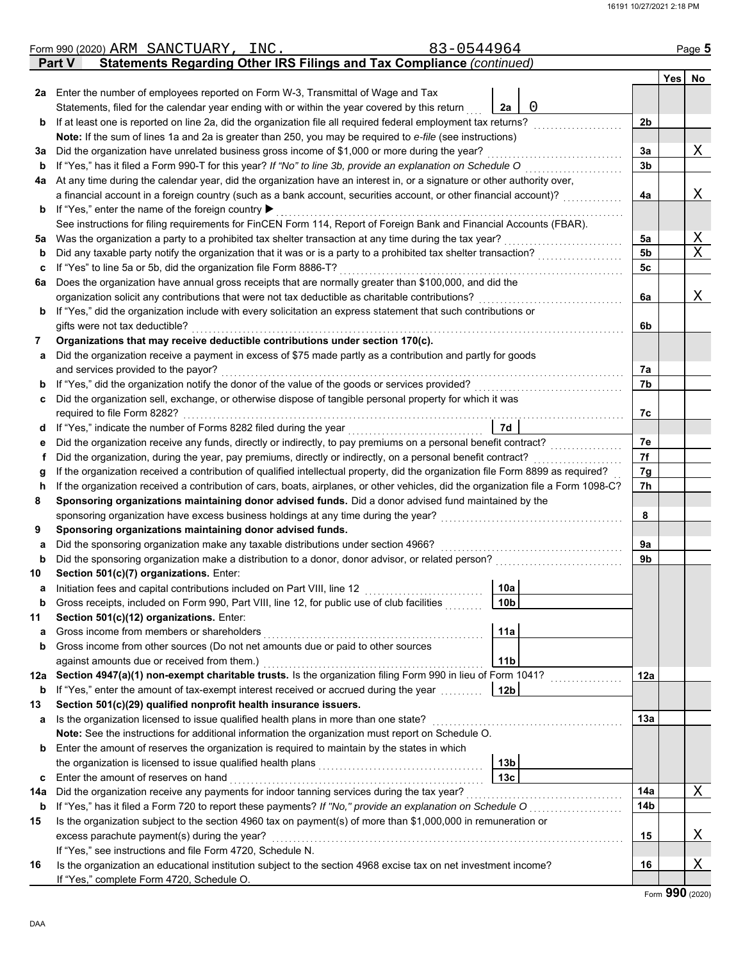|     | 83-0544964<br>Form 990 (2020) ARM SANCTUARY,<br>INC.                                                                                             |                 |                |            | Page 5       |
|-----|--------------------------------------------------------------------------------------------------------------------------------------------------|-----------------|----------------|------------|--------------|
|     | <b>Statements Regarding Other IRS Filings and Tax Compliance (continued)</b><br><b>Part V</b>                                                    |                 |                |            |              |
|     |                                                                                                                                                  |                 |                | <b>Yes</b> | No           |
|     | 2a Enter the number of employees reported on Form W-3, Transmittal of Wage and Tax                                                               |                 |                |            |              |
|     | Statements, filed for the calendar year ending with or within the year covered by this return                                                    | 0<br>2a         |                |            |              |
| b   | If at least one is reported on line 2a, did the organization file all required federal employment tax returns?                                   |                 | 2b             |            |              |
|     | Note: If the sum of lines 1a and 2a is greater than 250, you may be required to e-file (see instructions)                                        |                 |                |            |              |
| За  | Did the organization have unrelated business gross income of \$1,000 or more during the year?                                                    |                 | 3a             |            | Χ            |
| b   | If "Yes," has it filed a Form 990-T for this year? If "No" to line 3b, provide an explanation on Schedule O                                      |                 | 3 <sub>b</sub> |            |              |
| 4a  | At any time during the calendar year, did the organization have an interest in, or a signature or other authority over,                          |                 |                |            |              |
|     | a financial account in a foreign country (such as a bank account, securities account, or other financial account)?                               |                 | 4a             |            | Χ            |
| b   | If "Yes," enter the name of the foreign country ▶                                                                                                |                 |                |            |              |
|     | See instructions for filing requirements for FinCEN Form 114, Report of Foreign Bank and Financial Accounts (FBAR).                              |                 |                |            |              |
| 5a  | Was the organization a party to a prohibited tax shelter transaction at any time during the tax year?                                            |                 | 5a             |            | $\mathbf{X}$ |
| b   | Did any taxable party notify the organization that it was or is a party to a prohibited tax shelter transaction?                                 |                 | 5b             |            | $\mathbf X$  |
| c   | If "Yes" to line 5a or 5b, did the organization file Form 8886-T?                                                                                |                 | 5c             |            |              |
| 6a  | Does the organization have annual gross receipts that are normally greater than \$100,000, and did the                                           |                 |                |            |              |
|     | organization solicit any contributions that were not tax deductible as charitable contributions?                                                 |                 | 6a             |            | Χ            |
| b   | If "Yes," did the organization include with every solicitation an express statement that such contributions or<br>gifts were not tax deductible? |                 |                |            |              |
| 7   | Organizations that may receive deductible contributions under section 170(c).                                                                    |                 | 6b             |            |              |
|     | Did the organization receive a payment in excess of \$75 made partly as a contribution and partly for goods                                      |                 |                |            |              |
| a   | and services provided to the payor?                                                                                                              |                 | 7а             |            |              |
| b   | If "Yes," did the organization notify the donor of the value of the goods or services provided?                                                  |                 | 7b             |            |              |
| c   | Did the organization sell, exchange, or otherwise dispose of tangible personal property for which it was                                         |                 |                |            |              |
|     | required to file Form 8282?                                                                                                                      |                 | 7c             |            |              |
| a   | If "Yes," indicate the number of Forms 8282 filed during the year                                                                                | 7d              |                |            |              |
| е   | Did the organization receive any funds, directly or indirectly, to pay premiums on a personal benefit contract?                                  |                 | 7e             |            |              |
| f   | Did the organization, during the year, pay premiums, directly or indirectly, on a personal benefit contract?                                     |                 | 7f             |            |              |
| g   | If the organization received a contribution of qualified intellectual property, did the organization file Form 8899 as required?                 |                 | 7g             |            |              |
| h   | If the organization received a contribution of cars, boats, airplanes, or other vehicles, did the organization file a Form 1098-C?               |                 | 7h             |            |              |
| 8   | Sponsoring organizations maintaining donor advised funds. Did a donor advised fund maintained by the                                             |                 |                |            |              |
|     | sponsoring organization have excess business holdings at any time during the year?                                                               |                 | 8              |            |              |
| 9   | Sponsoring organizations maintaining donor advised funds.                                                                                        |                 |                |            |              |
| a   | Did the sponsoring organization make any taxable distributions under section 4966?                                                               |                 | 9а             |            |              |
| b   | Did the sponsoring organization make a distribution to a donor, donor advisor, or related person?                                                |                 | 9b             |            |              |
| 10  | Section 501(c)(7) organizations. Enter:                                                                                                          |                 |                |            |              |
|     | Initiation fees and capital contributions included on Part VIII, line 12                                                                         | 10a             |                |            |              |
| b   | Gross receipts, included on Form 990, Part VIII, line 12, for public use of club facilities                                                      | 10 <sub>b</sub> |                |            |              |
| 11  | Section 501(c)(12) organizations. Enter:                                                                                                         |                 |                |            |              |
| а   | Gross income from members or shareholders                                                                                                        | 11a             |                |            |              |
| b   | Gross income from other sources (Do not net amounts due or paid to other sources                                                                 |                 |                |            |              |
|     | against amounts due or received from them.)                                                                                                      | 11 <sub>b</sub> |                |            |              |
| 12a | Section 4947(a)(1) non-exempt charitable trusts. Is the organization filing Form 990 in lieu of Form 1041?                                       |                 | 12a            |            |              |
| b   | If "Yes," enter the amount of tax-exempt interest received or accrued during the year                                                            | 12b             |                |            |              |
| 13  | Section 501(c)(29) qualified nonprofit health insurance issuers.                                                                                 |                 |                |            |              |
| a   | Is the organization licensed to issue qualified health plans in more than one state?                                                             |                 | 13a            |            |              |
|     | Note: See the instructions for additional information the organization must report on Schedule O.                                                |                 |                |            |              |
| b   | Enter the amount of reserves the organization is required to maintain by the states in which                                                     |                 |                |            |              |
|     | the organization is licensed to issue qualified health plans                                                                                     | 13 <sub>b</sub> |                |            |              |
| c   | Enter the amount of reserves on hand                                                                                                             | 13 <sub>c</sub> |                |            |              |
| 14a | Did the organization receive any payments for indoor tanning services during the tax year?                                                       |                 | 14a            |            | X            |
| b   | If "Yes," has it filed a Form 720 to report these payments? If "No," provide an explanation on Schedule O                                        |                 | 14b            |            |              |
| 15  | Is the organization subject to the section 4960 tax on payment(s) of more than \$1,000,000 in remuneration or                                    |                 |                |            |              |
|     | excess parachute payment(s) during the year?                                                                                                     |                 | 15             |            | Χ            |
|     | If "Yes," see instructions and file Form 4720, Schedule N.                                                                                       |                 |                |            |              |
| 16  | Is the organization an educational institution subject to the section 4968 excise tax on net investment income?                                  |                 | 16             |            | Χ            |
|     | If "Yes," complete Form 4720, Schedule O.                                                                                                        |                 |                |            |              |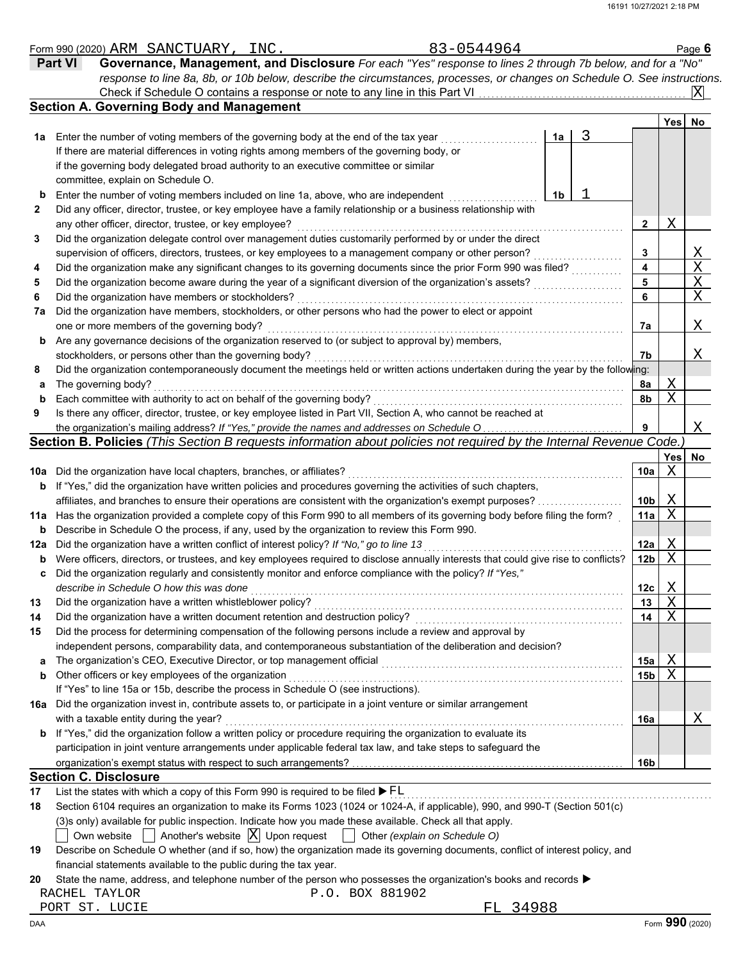|              | 83-0544964<br>Form 990 (2020) ARM SANCTUARY, INC                                                                                     |                 |      | Page 6                |
|--------------|--------------------------------------------------------------------------------------------------------------------------------------|-----------------|------|-----------------------|
|              | Governance, Management, and Disclosure For each "Yes" response to lines 2 through 7b below, and for a "No"<br><b>Part VI</b>         |                 |      |                       |
|              | response to line 8a, 8b, or 10b below, describe the circumstances, processes, or changes on Schedule O. See instructions.            |                 |      |                       |
|              | Check if Schedule O contains a response or note to any line in this Part VI                                                          |                 |      | Ixl                   |
|              | <b>Section A. Governing Body and Management</b>                                                                                      |                 |      |                       |
|              |                                                                                                                                      |                 | Yesl | No                    |
| 1a           | 3<br>Enter the number of voting members of the governing body at the end of the tax year<br>1a                                       |                 |      |                       |
|              | If there are material differences in voting rights among members of the governing body, or                                           |                 |      |                       |
|              | if the governing body delegated broad authority to an executive committee or similar                                                 |                 |      |                       |
|              | committee, explain on Schedule O.                                                                                                    |                 |      |                       |
|              |                                                                                                                                      |                 |      |                       |
| b            | Enter the number of voting members included on line 1a, above, who are independent<br>1b                                             |                 |      |                       |
| $\mathbf{2}$ | Did any officer, director, trustee, or key employee have a family relationship or a business relationship with                       |                 |      |                       |
|              | any other officer, director, trustee, or key employee?                                                                               | 2               | X    |                       |
| 3            | Did the organization delegate control over management duties customarily performed by or under the direct                            |                 |      |                       |
|              | supervision of officers, directors, trustees, or key employees to a management company or other person?                              | 3               |      | $\frac{X}{X}$         |
| 4            | Did the organization make any significant changes to its governing documents since the prior Form 990 was filed?                     | 4               |      |                       |
| 5            | Did the organization become aware during the year of a significant diversion of the organization's assets?                           | 5               |      | $\overline{\text{X}}$ |
| 6            | Did the organization have members or stockholders?                                                                                   | 6               |      | $\mathbf X$           |
| 7a           | Did the organization have members, stockholders, or other persons who had the power to elect or appoint                              |                 |      |                       |
|              | one or more members of the governing body?                                                                                           | 7а              |      | Χ                     |
| b            | Are any governance decisions of the organization reserved to (or subject to approval by) members,                                    |                 |      |                       |
|              | stockholders, or persons other than the governing body?                                                                              | 7b              |      | Χ                     |
| 8            | Did the organization contemporaneously document the meetings held or written actions undertaken during the year by the following:    |                 |      |                       |
|              | The governing body?                                                                                                                  | 8a              | Χ    |                       |
| a            | Each committee with authority to act on behalf of the governing body?                                                                |                 | X    |                       |
| b            |                                                                                                                                      | 8b              |      |                       |
| 9            | Is there any officer, director, trustee, or key employee listed in Part VII, Section A, who cannot be reached at                     |                 |      |                       |
|              | the organization's mailing address? If "Yes," provide the names and addresses on Schedule O                                          | 9               |      | Χ                     |
|              | Section B. Policies (This Section B requests information about policies not required by the Internal Revenue Code.)                  |                 |      |                       |
|              |                                                                                                                                      |                 |      | Yes No                |
| 10a          | Did the organization have local chapters, branches, or affiliates?                                                                   | 10a             | X    |                       |
| b            | If "Yes," did the organization have written policies and procedures governing the activities of such chapters,                       |                 |      |                       |
|              | affiliates, and branches to ensure their operations are consistent with the organization's exempt purposes?                          | 10 <sub>b</sub> | Χ    |                       |
| 11a          | Has the organization provided a complete copy of this Form 990 to all members of its governing body before filing the form?          | 11a             | X    |                       |
| b            | Describe in Schedule O the process, if any, used by the organization to review this Form 990.                                        |                 |      |                       |
| 12a          | Did the organization have a written conflict of interest policy? If "No," go to line 13                                              | 12a             | Χ    |                       |
| b            | Were officers, directors, or trustees, and key employees required to disclose annually interests that could give rise to conflicts?  | 12 <sub>b</sub> | X    |                       |
|              | Did the organization regularly and consistently monitor and enforce compliance with the policy? If "Yes,"                            |                 |      |                       |
|              | describe in Schedule O how this was done                                                                                             | 12c             | X    |                       |
| 13           | Did the organization have a written whistleblower policy?                                                                            | 13              | X    |                       |
|              |                                                                                                                                      |                 | X    |                       |
| 14           | Did the organization have a written document retention and destruction policy?                                                       | 14              |      |                       |
| 15           | Did the process for determining compensation of the following persons include a review and approval by                               |                 |      |                       |
|              | independent persons, comparability data, and contemporaneous substantiation of the deliberation and decision?                        |                 |      |                       |
| a            | The organization's CEO, Executive Director, or top management official                                                               | 15a             | Χ    |                       |
| b            | Other officers or key employees of the organization                                                                                  | 15b             | X    |                       |
|              | If "Yes" to line 15a or 15b, describe the process in Schedule O (see instructions).                                                  |                 |      |                       |
| 16a          | Did the organization invest in, contribute assets to, or participate in a joint venture or similar arrangement                       |                 |      |                       |
|              | with a taxable entity during the year?                                                                                               | 16a             |      | Χ                     |
| b            | If "Yes," did the organization follow a written policy or procedure requiring the organization to evaluate its                       |                 |      |                       |
|              | participation in joint venture arrangements under applicable federal tax law, and take steps to safeguard the                        |                 |      |                       |
|              |                                                                                                                                      | 16b             |      |                       |
|              | <b>Section C. Disclosure</b>                                                                                                         |                 |      |                       |
| 17           | List the states with which a copy of this Form 990 is required to be filed $\blacktriangleright$ FL                                  |                 |      |                       |
| 18           | Section 6104 requires an organization to make its Forms 1023 (1024 or 1024-A, if applicable), 990, and 990-T (Section 501(c)         |                 |      |                       |
|              |                                                                                                                                      |                 |      |                       |
|              | (3)s only) available for public inspection. Indicate how you made these available. Check all that apply.                             |                 |      |                       |
|              | Another's website $ X $ Upon request $ $ Other (explain on Schedule O)<br>Own website                                                |                 |      |                       |
| 19           | Describe on Schedule O whether (and if so, how) the organization made its governing documents, conflict of interest policy, and      |                 |      |                       |
|              | financial statements available to the public during the tax year.                                                                    |                 |      |                       |
| 20           | State the name, address, and telephone number of the person who possesses the organization's books and records $\blacktriangleright$ |                 |      |                       |
|              | P.O. BOX 881902<br>RACHEL TAYLOR                                                                                                     |                 |      |                       |
|              | FL 34988<br>PORT ST. LUCIE                                                                                                           |                 |      |                       |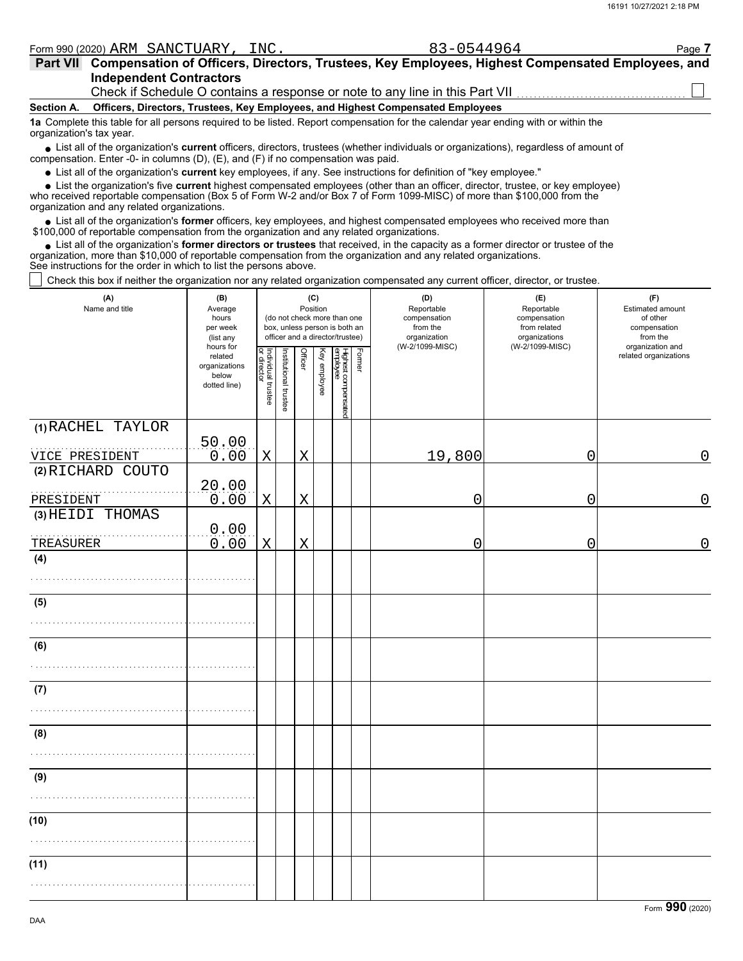| Form 990 (2020) ARM SANCTUARY, INC.                                                                                                                                                                                         | 83-0544964 | Page 7 |  |  |  |  |  |  |  |
|-----------------------------------------------------------------------------------------------------------------------------------------------------------------------------------------------------------------------------|------------|--------|--|--|--|--|--|--|--|
| Part VII Compensation of Officers, Directors, Trustees, Key Employees, Highest Compensated Employees, and                                                                                                                   |            |        |  |  |  |  |  |  |  |
| <b>Independent Contractors</b>                                                                                                                                                                                              |            |        |  |  |  |  |  |  |  |
| Check if Schedule O contains a response or note to any line in this Part VII                                                                                                                                                |            |        |  |  |  |  |  |  |  |
| Officers, Directors, Trustees, Key Employees, and Highest Compensated Employees<br><b>Section A.</b>                                                                                                                        |            |        |  |  |  |  |  |  |  |
| 1a Complete this table for all persons required to be listed. Report compensation for the calendar year ending with or within the<br>organization's tax year.                                                               |            |        |  |  |  |  |  |  |  |
| • List all of the organization's current officers, directors, trustees (whether individuals or organizations), regardless of amount of<br>compensation. Enter -0- in columns (D), (E), and (F) if no compensation was paid. |            |        |  |  |  |  |  |  |  |

List all of the organization's **current** key employees, if any. See instructions for definition of "key employee."

List the organization's five **current** highest compensated employees (other than an officer, director, trustee, or key employee) **•**

who received reportable compensation (Box 5 of Form W-2 and/or Box 7 of Form 1099-MISC) of more than \$100,000 from the organization and any related organizations. **•**

List all of the organization's **former** officers, key employees, and highest compensated employees who received more than • List all of the organization's **former** officers, key employees, and highest compensate \$100,000 of reportable compensation from the organization and any related organizations.

List all of the organization's **former directors or trustees** that received, in the capacity as a former director or trustee of the • List all of the organization's **former directors or trustees** that received, in the capacity as a former director organization, more than \$10,000 of reportable compensation from the organization and any related organizat See instructions for the order in which to list the persons above.

Check this box if neither the organization nor any related organization compensated any current officer, director, or trustee.

| (A)<br>Name and title               | (B)<br>Average<br>hours<br>per week<br>(list any               |                                   |                       | Position | (C)          | (do not check more than one<br>box, unless person is both an<br>officer and a director/trustee) |        | (D)<br>Reportable<br>compensation<br>from the<br>organization<br>(W-2/1099-MISC) | (E)<br>Reportable<br>compensation<br>from related<br>organizations<br>(W-2/1099-MISC) | (F)<br>Estimated amount<br>of other<br>compensation<br>from the |  |
|-------------------------------------|----------------------------------------------------------------|-----------------------------------|-----------------------|----------|--------------|-------------------------------------------------------------------------------------------------|--------|----------------------------------------------------------------------------------|---------------------------------------------------------------------------------------|-----------------------------------------------------------------|--|
|                                     | hours for<br>related<br>organizations<br>below<br>dotted line) | Individual trustee<br>or director | Institutional trustee | Officer  | Key employee | Highest compensated<br>employee                                                                 | Former |                                                                                  |                                                                                       | organization and<br>related organizations                       |  |
| (1) RACHEL TAYLOR<br>VICE PRESIDENT | 50.00<br>0.00                                                  | $\mathbf X$                       |                       | X        |              |                                                                                                 |        | 19,800                                                                           | $\overline{0}$                                                                        | $\mathbf 0$                                                     |  |
| (2) RICHARD COUTO                   | 20.00                                                          |                                   |                       |          |              |                                                                                                 |        |                                                                                  |                                                                                       |                                                                 |  |
| PRESIDENT<br>(3) HEIDI THOMAS       | 0.00<br>0.00                                                   | $\mathbf X$                       |                       | X        |              |                                                                                                 |        | 0                                                                                | 0                                                                                     | $\overline{0}$                                                  |  |
| TREASURER<br>(4)                    | 0.00                                                           | Χ                                 |                       | Χ        |              |                                                                                                 |        | 0                                                                                | $\mathbf 0$                                                                           | 0                                                               |  |
| (5)                                 |                                                                |                                   |                       |          |              |                                                                                                 |        |                                                                                  |                                                                                       |                                                                 |  |
|                                     |                                                                |                                   |                       |          |              |                                                                                                 |        |                                                                                  |                                                                                       |                                                                 |  |
| (6)                                 |                                                                |                                   |                       |          |              |                                                                                                 |        |                                                                                  |                                                                                       |                                                                 |  |
| (7)                                 |                                                                |                                   |                       |          |              |                                                                                                 |        |                                                                                  |                                                                                       |                                                                 |  |
| (8)                                 |                                                                |                                   |                       |          |              |                                                                                                 |        |                                                                                  |                                                                                       |                                                                 |  |
| (9)                                 |                                                                |                                   |                       |          |              |                                                                                                 |        |                                                                                  |                                                                                       |                                                                 |  |
| (10)                                |                                                                |                                   |                       |          |              |                                                                                                 |        |                                                                                  |                                                                                       |                                                                 |  |
| (11)                                |                                                                |                                   |                       |          |              |                                                                                                 |        |                                                                                  |                                                                                       |                                                                 |  |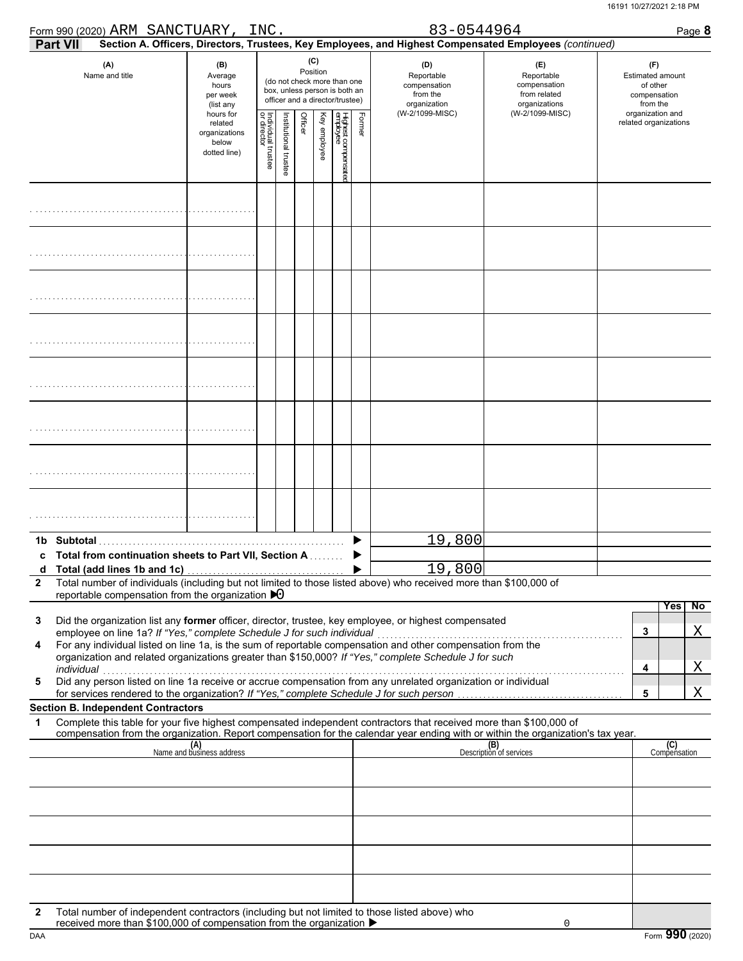| Form 990 (2020) ARM SANCTUARY,                                                                                                                                                                                                                                                                                                                                                                                                                                                                                                                                                                                                                                                                                               |                                                                | INC.                              |                      |         |                 |                                                                                                 |        | 83-0544964                                                    |                                                                                                                                  | Page 8                                                          |
|------------------------------------------------------------------------------------------------------------------------------------------------------------------------------------------------------------------------------------------------------------------------------------------------------------------------------------------------------------------------------------------------------------------------------------------------------------------------------------------------------------------------------------------------------------------------------------------------------------------------------------------------------------------------------------------------------------------------------|----------------------------------------------------------------|-----------------------------------|----------------------|---------|-----------------|-------------------------------------------------------------------------------------------------|--------|---------------------------------------------------------------|----------------------------------------------------------------------------------------------------------------------------------|-----------------------------------------------------------------|
| <b>Part VII</b>                                                                                                                                                                                                                                                                                                                                                                                                                                                                                                                                                                                                                                                                                                              |                                                                |                                   |                      |         |                 |                                                                                                 |        |                                                               | Section A. Officers, Directors, Trustees, Key Employees, and Highest Compensated Employees (continued)                           |                                                                 |
| (A)<br>Name and title                                                                                                                                                                                                                                                                                                                                                                                                                                                                                                                                                                                                                                                                                                        | (B)<br>Average<br>hours<br>per week<br>(list any               |                                   |                      |         | (C)<br>Position | (do not check more than one<br>box, unless person is both an<br>officer and a director/trustee) |        | (D)<br>Reportable<br>compensation<br>from the<br>organization | (E)<br>Reportable<br>compensation<br>from related<br>organizations                                                               | (F)<br>Estimated amount<br>of other<br>compensation<br>from the |
|                                                                                                                                                                                                                                                                                                                                                                                                                                                                                                                                                                                                                                                                                                                              | hours for<br>related<br>organizations<br>below<br>dotted line) | Individual trustee<br>or director | nstitutional trustee | Officer | Key employee    | Highest compensatec<br>employee                                                                 | Former | (W-2/1099-MISC)                                               | (W-2/1099-MISC)                                                                                                                  | organization and<br>related organizations                       |
|                                                                                                                                                                                                                                                                                                                                                                                                                                                                                                                                                                                                                                                                                                                              |                                                                |                                   |                      |         |                 |                                                                                                 |        |                                                               |                                                                                                                                  |                                                                 |
|                                                                                                                                                                                                                                                                                                                                                                                                                                                                                                                                                                                                                                                                                                                              |                                                                |                                   |                      |         |                 |                                                                                                 |        |                                                               |                                                                                                                                  |                                                                 |
|                                                                                                                                                                                                                                                                                                                                                                                                                                                                                                                                                                                                                                                                                                                              |                                                                |                                   |                      |         |                 |                                                                                                 |        |                                                               |                                                                                                                                  |                                                                 |
|                                                                                                                                                                                                                                                                                                                                                                                                                                                                                                                                                                                                                                                                                                                              |                                                                |                                   |                      |         |                 |                                                                                                 |        |                                                               |                                                                                                                                  |                                                                 |
|                                                                                                                                                                                                                                                                                                                                                                                                                                                                                                                                                                                                                                                                                                                              |                                                                |                                   |                      |         |                 |                                                                                                 |        |                                                               |                                                                                                                                  |                                                                 |
|                                                                                                                                                                                                                                                                                                                                                                                                                                                                                                                                                                                                                                                                                                                              |                                                                |                                   |                      |         |                 |                                                                                                 |        |                                                               |                                                                                                                                  |                                                                 |
|                                                                                                                                                                                                                                                                                                                                                                                                                                                                                                                                                                                                                                                                                                                              |                                                                |                                   |                      |         |                 |                                                                                                 |        |                                                               |                                                                                                                                  |                                                                 |
|                                                                                                                                                                                                                                                                                                                                                                                                                                                                                                                                                                                                                                                                                                                              |                                                                |                                   |                      |         |                 |                                                                                                 |        |                                                               |                                                                                                                                  |                                                                 |
| 1b Subtotal<br><b>Total from continuation sheets to Part VII, Section A. Conservation</b>                                                                                                                                                                                                                                                                                                                                                                                                                                                                                                                                                                                                                                    |                                                                |                                   |                      |         |                 |                                                                                                 |        | 19,800                                                        |                                                                                                                                  |                                                                 |
| Total number of individuals (including but not limited to those listed above) who received more than \$100,000 of<br>$\mathbf{2}$<br>reportable compensation from the organization $\blacktriangleright$ 0                                                                                                                                                                                                                                                                                                                                                                                                                                                                                                                   |                                                                |                                   |                      |         |                 |                                                                                                 |        | <u> 19,800 </u>                                               |                                                                                                                                  |                                                                 |
| Did the organization list any former officer, director, trustee, key employee, or highest compensated<br>3<br>employee on line 1a? If "Yes," complete Schedule J for such individual<br>employee on line 1a? If "Yes," complete Schedule J for such individual<br>For any individual listed on line 1a, is the sum of reportable compensation and other compensation from the<br>4<br>organization and related organizations greater than \$150,000? If "Yes," complete Schedule J for such<br>individual<br>Did any person listed on line 1a receive or accrue compensation from any unrelated organization or individual<br>5<br>for services rendered to the organization? If "Yes," complete Schedule J for such person. |                                                                |                                   |                      |         |                 |                                                                                                 |        |                                                               |                                                                                                                                  | <b>Yes</b><br>No<br>Χ<br>3<br>Χ<br>4<br>X<br>5                  |
| <b>Section B. Independent Contractors</b><br>Complete this table for your five highest compensated independent contractors that received more than \$100,000 of<br>1                                                                                                                                                                                                                                                                                                                                                                                                                                                                                                                                                         |                                                                |                                   |                      |         |                 |                                                                                                 |        |                                                               |                                                                                                                                  |                                                                 |
|                                                                                                                                                                                                                                                                                                                                                                                                                                                                                                                                                                                                                                                                                                                              |                                                                |                                   |                      |         |                 |                                                                                                 |        |                                                               | compensation from the organization. Report compensation for the calendar year ending with or within the organization's tax year. |                                                                 |
|                                                                                                                                                                                                                                                                                                                                                                                                                                                                                                                                                                                                                                                                                                                              | (A)<br>Name and business address                               |                                   |                      |         |                 |                                                                                                 |        |                                                               | (B)<br>Description of services                                                                                                   | (C)<br>Compensation                                             |
|                                                                                                                                                                                                                                                                                                                                                                                                                                                                                                                                                                                                                                                                                                                              |                                                                |                                   |                      |         |                 |                                                                                                 |        |                                                               |                                                                                                                                  |                                                                 |
|                                                                                                                                                                                                                                                                                                                                                                                                                                                                                                                                                                                                                                                                                                                              |                                                                |                                   |                      |         |                 |                                                                                                 |        |                                                               |                                                                                                                                  |                                                                 |
| Total number of independent contractors (including but not limited to those listed above) who<br>2                                                                                                                                                                                                                                                                                                                                                                                                                                                                                                                                                                                                                           |                                                                |                                   |                      |         |                 |                                                                                                 |        |                                                               |                                                                                                                                  |                                                                 |
| received more than \$100,000 of compensation from the organization ▶                                                                                                                                                                                                                                                                                                                                                                                                                                                                                                                                                                                                                                                         |                                                                |                                   |                      |         |                 |                                                                                                 |        |                                                               | 0                                                                                                                                |                                                                 |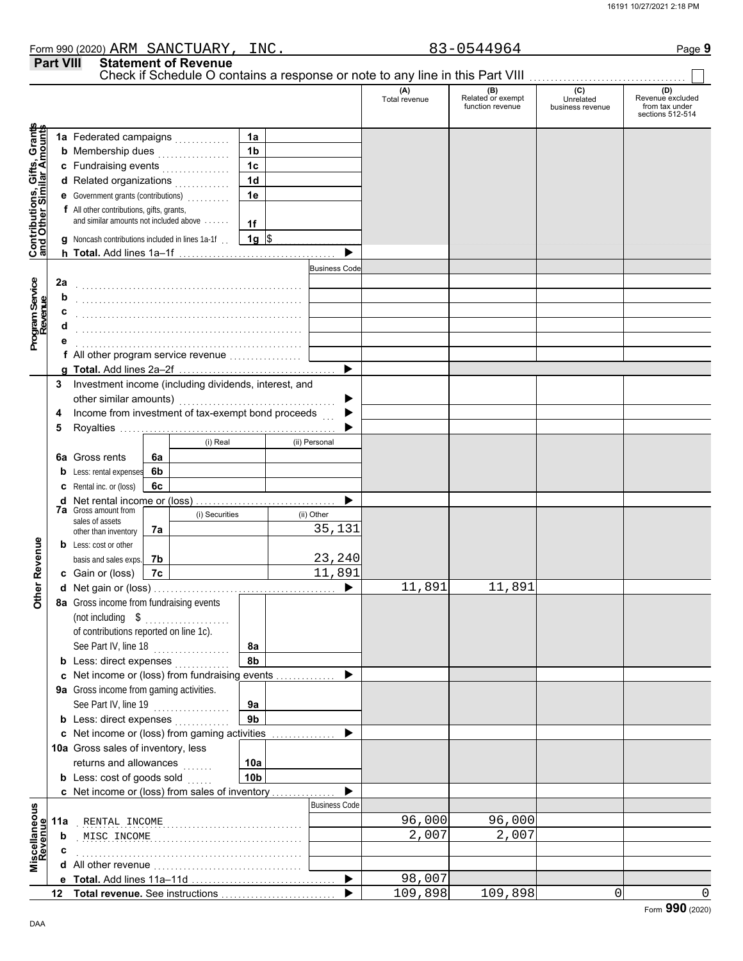DAA

Form **990** (2020)

|                                                                  |                  |                                                                                                     |    | Form 990 (2020) ARM SANCTUARY, INC. |                 |                                 |                      | 83-0544964                                   |                                                 | Page 9                                                        |
|------------------------------------------------------------------|------------------|-----------------------------------------------------------------------------------------------------|----|-------------------------------------|-----------------|---------------------------------|----------------------|----------------------------------------------|-------------------------------------------------|---------------------------------------------------------------|
|                                                                  | <b>Part VIII</b> |                                                                                                     |    | <b>Statement of Revenue</b>         |                 |                                 |                      |                                              |                                                 |                                                               |
|                                                                  |                  |                                                                                                     |    |                                     |                 |                                 | (A)<br>Total revenue | (B)<br>Related or exempt<br>function revenue | $\overline{C}$<br>Unrelated<br>business revenue | (D)<br>Revenue excluded<br>from tax under<br>sections 512-514 |
| <b>Contributions, Gifts, Grants</b><br>and Other Similar Amounts |                  | 1a Federated campaigns                                                                              |    |                                     | 1a              |                                 |                      |                                              |                                                 |                                                               |
|                                                                  |                  | <b>b</b> Membership dues                                                                            |    | .                                   | 1b              |                                 |                      |                                              |                                                 |                                                               |
|                                                                  |                  | c Fundraising events                                                                                |    |                                     | 1 <sub>c</sub>  |                                 |                      |                                              |                                                 |                                                               |
|                                                                  |                  | d Related organizations                                                                             |    | .                                   | 1 <sub>d</sub>  |                                 |                      |                                              |                                                 |                                                               |
|                                                                  |                  | e Government grants (contributions)<br>                                                             |    |                                     | 1e              |                                 |                      |                                              |                                                 |                                                               |
|                                                                  |                  | f All other contributions, gifts, grants,<br>and similar amounts not included above                 |    |                                     | 1f              |                                 |                      |                                              |                                                 |                                                               |
|                                                                  |                  | g Noncash contributions included in lines 1a-1f.                                                    |    |                                     | $1g$ \$         |                                 |                      |                                              |                                                 |                                                               |
|                                                                  |                  |                                                                                                     |    |                                     |                 |                                 |                      |                                              |                                                 |                                                               |
|                                                                  |                  |                                                                                                     |    |                                     |                 | <b>Business Code</b>            |                      |                                              |                                                 |                                                               |
| Program Service<br>Revenue                                       | 2a               |                                                                                                     |    |                                     |                 |                                 |                      |                                              |                                                 |                                                               |
|                                                                  | b                |                                                                                                     |    |                                     |                 |                                 |                      |                                              |                                                 |                                                               |
|                                                                  | C<br>d           |                                                                                                     |    |                                     |                 |                                 |                      |                                              |                                                 |                                                               |
|                                                                  |                  |                                                                                                     |    |                                     |                 |                                 |                      |                                              |                                                 |                                                               |
|                                                                  |                  | f All other program service revenue [11] [11] All other program service revenue [11] [11] All other |    |                                     |                 |                                 |                      |                                              |                                                 |                                                               |
|                                                                  |                  |                                                                                                     |    |                                     |                 |                                 |                      |                                              |                                                 |                                                               |
|                                                                  | 3                | Investment income (including dividends, interest, and                                               |    |                                     |                 |                                 |                      |                                              |                                                 |                                                               |
|                                                                  |                  |                                                                                                     |    |                                     |                 |                                 |                      |                                              |                                                 |                                                               |
|                                                                  | 4                | Income from investment of tax-exempt bond proceeds                                                  |    |                                     |                 |                                 |                      |                                              |                                                 |                                                               |
|                                                                  | 5                |                                                                                                     |    |                                     |                 |                                 |                      |                                              |                                                 |                                                               |
|                                                                  |                  |                                                                                                     |    | (i) Real                            |                 | (ii) Personal                   |                      |                                              |                                                 |                                                               |
|                                                                  |                  | <b>6a</b> Gross rents                                                                               | 6a |                                     |                 |                                 |                      |                                              |                                                 |                                                               |
|                                                                  |                  | <b>b</b> Less: rental expenses                                                                      | 6b |                                     |                 |                                 |                      |                                              |                                                 |                                                               |
|                                                                  |                  | <b>c</b> Rental inc. or (loss)                                                                      | 6c |                                     |                 |                                 |                      |                                              |                                                 |                                                               |
|                                                                  |                  | <b>d</b> Net rental income or (loss)<br><b>7a</b> Gross amount from                                 |    |                                     |                 |                                 |                      |                                              |                                                 |                                                               |
|                                                                  |                  | sales of assets                                                                                     |    | (i) Securities                      |                 | (ii) Other                      |                      |                                              |                                                 |                                                               |
|                                                                  |                  | other than inventory                                                                                | 7а |                                     |                 | 35,131                          |                      |                                              |                                                 |                                                               |
|                                                                  |                  | <b>b</b> Less: cost or other                                                                        |    |                                     |                 |                                 |                      |                                              |                                                 |                                                               |
| Revenue                                                          |                  | basis and sales exps.                                                                               | 7b |                                     |                 | 23,240                          |                      |                                              |                                                 |                                                               |
|                                                                  |                  | c Gain or (loss)                                                                                    | 7c |                                     |                 | 11,891<br>$\blacktriangleright$ |                      | 11,891                                       |                                                 |                                                               |
| Othe                                                             |                  | d Net gain or (loss)<br>8a Gross income from fundraising events                                     |    |                                     |                 |                                 | 11,891               |                                              |                                                 |                                                               |
|                                                                  |                  | (not including $$$                                                                                  |    |                                     |                 |                                 |                      |                                              |                                                 |                                                               |
|                                                                  |                  | of contributions reported on line 1c).                                                              |    | .                                   |                 |                                 |                      |                                              |                                                 |                                                               |
|                                                                  |                  | See Part IV, line 18                                                                                |    |                                     | 8a              |                                 |                      |                                              |                                                 |                                                               |
|                                                                  |                  | <b>b</b> Less: direct expenses                                                                      |    |                                     | 8b              |                                 |                      |                                              |                                                 |                                                               |
|                                                                  |                  | c Net income or (loss) from fundraising events                                                      |    |                                     |                 |                                 |                      |                                              |                                                 |                                                               |
|                                                                  |                  | 9a Gross income from gaming activities.                                                             |    |                                     |                 |                                 |                      |                                              |                                                 |                                                               |
|                                                                  |                  | See Part IV, line 19                                                                                |    | .                                   | 9a              |                                 |                      |                                              |                                                 |                                                               |
|                                                                  |                  | <b>b</b> Less: direct expenses                                                                      |    |                                     | 9 <sub>b</sub>  |                                 |                      |                                              |                                                 |                                                               |
|                                                                  |                  | c Net income or (loss) from gaming activities                                                       |    |                                     |                 |                                 |                      |                                              |                                                 |                                                               |
|                                                                  |                  | 10a Gross sales of inventory, less                                                                  |    |                                     |                 |                                 |                      |                                              |                                                 |                                                               |
|                                                                  |                  | returns and allowances                                                                              |    | se se seu                           | 10a             |                                 |                      |                                              |                                                 |                                                               |
|                                                                  |                  | <b>b</b> Less: cost of goods sold                                                                   |    |                                     | 10 <sub>b</sub> |                                 |                      |                                              |                                                 |                                                               |
|                                                                  |                  | c Net income or (loss) from sales of inventory                                                      |    |                                     |                 |                                 |                      |                                              |                                                 |                                                               |
|                                                                  |                  |                                                                                                     |    |                                     |                 | <b>Business Code</b>            |                      |                                              |                                                 |                                                               |
|                                                                  | 11a              | RENTAL INCOME                                                                                       |    |                                     |                 |                                 | 96,000               | 96,000                                       |                                                 |                                                               |
|                                                                  | b                |                                                                                                     |    |                                     |                 |                                 | 2,007                | 2,007                                        |                                                 |                                                               |
| Miscellaneous<br>Revenue                                         |                  |                                                                                                     |    |                                     |                 |                                 |                      |                                              |                                                 |                                                               |
|                                                                  |                  |                                                                                                     |    |                                     |                 | $\blacktriangleright$           | 98,007               |                                              |                                                 |                                                               |
|                                                                  |                  |                                                                                                     |    |                                     |                 |                                 | 109,898              | 109,898                                      | $\mathsf{O}\xspace$                             | $\Omega$                                                      |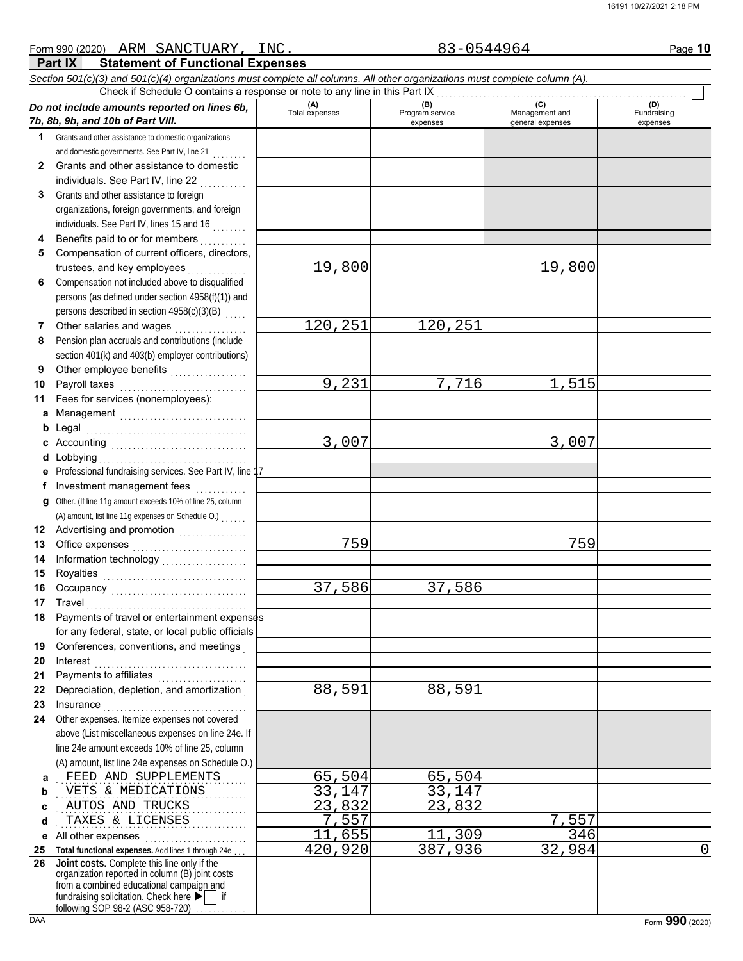### *Section 501(c)(3) and 501(c)(4) organizations must complete all columns. All other organizations must complete column (A). Do not include amounts reported on lines 6b, 7b, 8b, 9b, and 10b of Part VIII.* **1 2 3 4 5 6 7 8 9 10 11 a** Management .............................. **b** Legal **c** Accounting . . . . . . . . . . . . . . . . . . . . . . . . . . . . . . . . **d** Lobbying . . . . . . . . . . . . . . . . . . . . . . . . . . . . . . . . . . . **e f g** Other. (If line 11g amount exceeds 10% of line 25, column **12** Advertising and promotion **. . . . . . . . . . . .** . . **13 14 15 16 17 18 19 20 21 22 23 24 a b c d e** All other expenses . . . . . . . . . . . . . . . . . . . . . . . . **25 Total functional expenses.** Add lines 1 through 24e . . . **26** Grants and other assistance to domestic organizations and domestic governments. See Part IV, line 21 . . . . . . . . Grants and other assistance to domestic individuals. See Part IV, line 22 Grants and other assistance to foreign organizations, foreign governments, and foreign individuals. See Part IV, lines 15 and 16 . . . . . . . . Benefits paid to or for members . . . . . . . . . . Compensation of current officers, directors, trustees, and key employees . . . . . . . Compensation not included above to disqualified persons (as defined under section 4958(f)(1)) and persons described in section 4958(c)(3)(B) Other salaries and wages .................. Pension plan accruals and contributions (include section 401(k) and 403(b) employer contributions) Other employee benefits ................... Payroll taxes . . . . . . . . . . . . . . . . . . . . . . . . . . . . . . Fees for services (nonemployees): Legal . . . . . . . . . . . . . . . . . . . . . . . . . . . . . . . . . . . . . . Professional fundraising services. See Part IV, line 17 Investment management fees ............. Office expenses . . . . . . . . . . . . . . . . . . . . . . . . . . . Information technology . . . . . . . . . . . . . . . . . . . . Royalties . . . . . . . . . . . . . . . . . . . . . . . . . . . . . . . . . . Occupancy . . . . . . . . . . . . . . . . . . . . . . . . . . . . . . . . Travel . . . . . . . . . . . . . . . . . . . . . . . . . . . . . . . . . . . . . . Payments of travel or entertainment expenses for any federal, state, or local public officials Conferences, conventions, and meetings . Interest . . . . . . . . . . . . . . . . . . . . . . . . . . . . . . . . . . . . Payments to affiliates ....................... Depreciation, depletion, and amortization . Insurance . . . . . . . . . . . . . . . . . . . . . . . . . . . . . . . . . . Other expenses. Itemize expenses not covered above (List miscellaneous expenses on line 24e. If line 24e amount exceeds 10% of line 25, column (A) amount, list line 24e expenses on Schedule O.) fundraising solicitation. Check here  $\blacktriangleright$  | if organization reported in column (B) joint costs from a combined educational campaign and following SOP 98-2 (ASC 958-720) **(A) (B)** (B) (B) (C) (C) (A) (D)<br>Total expenses Program service Management and Fundrai expenses and general expenses (D)<br>Fundraising expenses . . . . . . . . . . . . . . . . . . . . . . . . . . . . . . . . . . . . . . . . . . . . . FEED AND SUPPLEMENTS 65,504 65,504 . . . . . . . . . . . . . . . . . . . . . . . . . . . . . . . . . . . . . . . . . . . . . VETS & MEDICATIONS 33,147 33,147 . . . . . . . . . . . . . . . . . . . . . . . . . . . . . . . . . . . . . . . . . . . . . AUTOS AND TRUCKS 23,832 23,832 . . . . . . . . . . . . . . . . . . . . . . . . . . . . . . . . . . . . . . . . . . . . . TAXES & LICENSES 7,557 7,557 Check if Schedule O contains a response or note to any line in this Part IX **Joint costs.** Complete this line only if the (A) amount, list line 11g expenses on Schedule O.) . . . . . . 19,800 19,800 120,251 120,251 9,231 7,716 1,515 3,007 3,007 759 759 37,586 37,586 88,591 88,591 11,655 11,309 346 420,920 387,936 32,984 0

**Part IX Statement of Functional Expenses**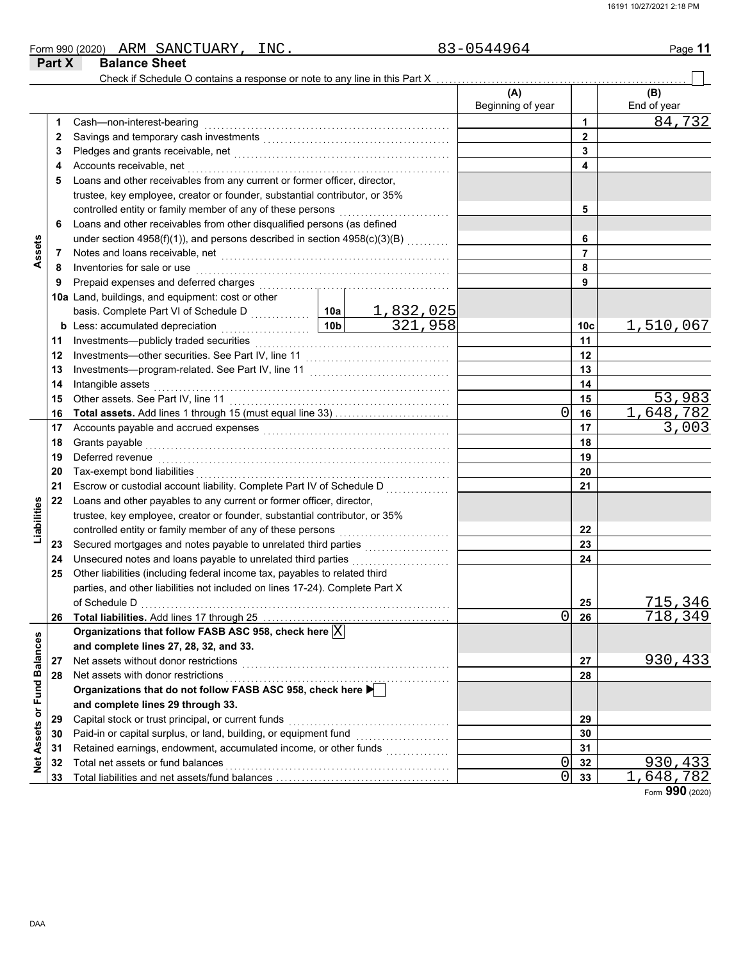| Form 990 (2020) | SANCTUARY<br>ARM     | INC. | 3-0544964 | Page 11 |
|-----------------|----------------------|------|-----------|---------|
| Part X          | <b>Balance Sheet</b> |      |           |         |

|                   |    | Check if Schedule O contains a response or note to any line in this Part X   |                             |                          |                |                    |
|-------------------|----|------------------------------------------------------------------------------|-----------------------------|--------------------------|----------------|--------------------|
|                   |    |                                                                              |                             | (A)<br>Beginning of year |                | (B)<br>End of year |
|                   | 1  | Cash-non-interest-bearing                                                    |                             |                          | 1              | 84,732             |
|                   | 2  |                                                                              |                             |                          | $\overline{2}$ |                    |
|                   | 3  |                                                                              |                             |                          | 3              |                    |
|                   | 4  | Accounts receivable, net                                                     |                             |                          | 4              |                    |
|                   | 5  | Loans and other receivables from any current or former officer, director,    |                             |                          |                |                    |
|                   |    | trustee, key employee, creator or founder, substantial contributor, or 35%   |                             |                          |                |                    |
|                   |    | controlled entity or family member of any of these persons                   |                             |                          | 5              |                    |
|                   | 6  | Loans and other receivables from other disqualified persons (as defined      |                             |                          |                |                    |
|                   |    | under section 4958(f)(1)), and persons described in section 4958(c)(3)(B)    |                             |                          | 6              |                    |
| Assets            | 7  |                                                                              |                             |                          | $\overline{7}$ |                    |
|                   | 8  | Inventories for sale or use                                                  |                             |                          | 8              |                    |
|                   | 9  | Prepaid expenses and deferred charges                                        |                             |                          | 9              |                    |
|                   |    | 10a Land, buildings, and equipment: cost or other                            |                             |                          |                |                    |
|                   |    |                                                                              | $\frac{1,832,025}{321,958}$ |                          |                |                    |
|                   |    | <b>b</b> Less: accumulated depreciation<br>.                                 |                             | 10 <sub>c</sub>          | 1,510,067      |                    |
|                   | 11 | Investments-publicly traded securities                                       |                             | 11                       |                |                    |
|                   | 12 |                                                                              |                             |                          | 12             |                    |
|                   | 13 |                                                                              |                             | 13                       |                |                    |
|                   | 14 | Intangible assets                                                            |                             | 14                       |                |                    |
|                   | 15 | Other assets. See Part IV, line 11                                           |                             | 15                       | 53,983         |                    |
|                   | 16 |                                                                              |                             | 0                        | 16             | 1,648,782          |
|                   | 17 |                                                                              |                             |                          | 17             | 3,003              |
|                   | 18 | Grants payable                                                               |                             | 18                       |                |                    |
|                   | 19 | Deferred revenue                                                             |                             | 19                       |                |                    |
|                   | 20 | Tax-exempt bond liabilities                                                  |                             |                          | 20             |                    |
|                   | 21 | Escrow or custodial account liability. Complete Part IV of Schedule D        |                             |                          | 21             |                    |
|                   | 22 | Loans and other payables to any current or former officer, director,         |                             |                          |                |                    |
| Liabilities       |    | trustee, key employee, creator or founder, substantial contributor, or 35%   |                             |                          |                |                    |
|                   |    | controlled entity or family member of any of these persons                   |                             |                          | 22             |                    |
|                   | 23 |                                                                              |                             |                          | 23             |                    |
|                   | 24 | Unsecured notes and loans payable to unrelated third parties                 | .                           |                          | 24             |                    |
|                   | 25 | Other liabilities (including federal income tax, payables to related third   |                             |                          |                |                    |
|                   |    | parties, and other liabilities not included on lines 17-24). Complete Part X |                             |                          |                |                    |
|                   |    |                                                                              |                             |                          | 25             | 715,346            |
|                   | 26 | Total liabilities. Add lines 17 through 25                                   |                             | 0                        | 26             | 718,349            |
|                   |    | Organizations that follow FASB ASC 958, check here $ X $                     |                             |                          |                |                    |
|                   |    | and complete lines 27, 28, 32, and 33.                                       |                             |                          |                |                    |
|                   | 27 | Net assets without donor restrictions                                        |                             |                          | 27             | 930,433            |
|                   | 28 | Net assets with donor restrictions                                           |                             |                          | 28             |                    |
| or Fund Balances  |    | Organizations that do not follow FASB ASC 958, check here ▶                  |                             |                          |                |                    |
|                   |    | and complete lines 29 through 33.                                            |                             |                          |                |                    |
|                   | 29 | Capital stock or trust principal, or current funds                           |                             |                          | 29             |                    |
| <b>Net Assets</b> | 30 | Paid-in or capital surplus, or land, building, or equipment fund             |                             |                          | 30             |                    |
|                   | 31 | Retained earnings, endowment, accumulated income, or other funds             |                             |                          | 31             |                    |
|                   | 32 | Total net assets or fund balances                                            |                             | 0                        | 32             | 930,433            |
|                   | 33 |                                                                              |                             | 0                        | 33             | 648,782            |

Form **990** (2020)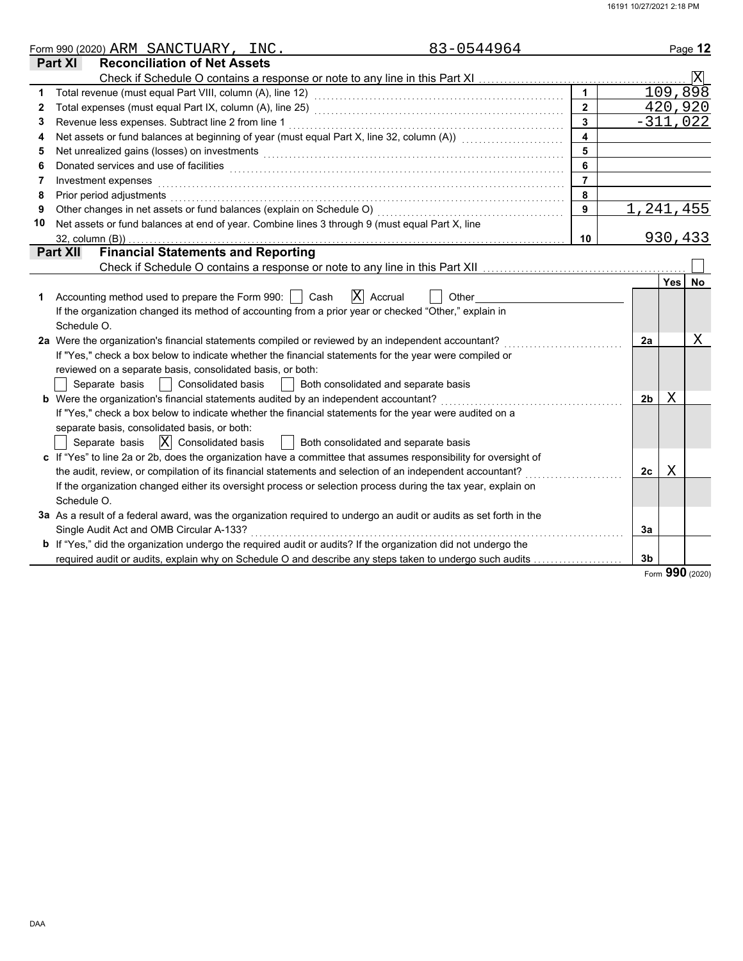|    | 83-0544964<br>Form 990 (2020) ARM SANCTUARY, INC.                                                                                                                                                                              |                         |                |            | Page 12                 |
|----|--------------------------------------------------------------------------------------------------------------------------------------------------------------------------------------------------------------------------------|-------------------------|----------------|------------|-------------------------|
|    | <b>Part XI</b><br><b>Reconciliation of Net Assets</b>                                                                                                                                                                          |                         |                |            |                         |
|    |                                                                                                                                                                                                                                |                         |                |            | $\overline{\mathbf{X}}$ |
| 1  |                                                                                                                                                                                                                                | $\mathbf{1}$            |                |            | 109,898                 |
| 2  |                                                                                                                                                                                                                                | $\overline{2}$          |                |            | 420,920                 |
| 3  | Revenue less expenses. Subtract line 2 from line 1                                                                                                                                                                             | $\overline{\mathbf{3}}$ |                |            | $-311,022$              |
|    | Net assets or fund balances at beginning of year (must equal Part X, line 32, column (A)) [[[[[[[[[[[[[[[[[[[                                                                                                                  | $\overline{\mathbf{4}}$ |                |            |                         |
| 5  | Net unrealized gains (losses) on investments [11] with the content of the content of the content of the content of the content of the content of the content of the content of the content of the content of the content of th | $5\overline{5}$         |                |            |                         |
| 6  |                                                                                                                                                                                                                                | 6                       |                |            |                         |
| 7  | Investment expenses                                                                                                                                                                                                            | $\overline{7}$          |                |            |                         |
| 8  | Prior period adjustments entertainment and the control of the control of the control of the control of the control of the control of the control of the control of the control of the control of the control of the control of | 8                       |                |            |                         |
| 9  |                                                                                                                                                                                                                                | 9                       | 1,241,455      |            |                         |
| 10 | Net assets or fund balances at end of year. Combine lines 3 through 9 (must equal Part X, line                                                                                                                                 |                         |                |            |                         |
|    |                                                                                                                                                                                                                                | 10                      |                |            | 930,433                 |
|    | <b>Financial Statements and Reporting</b><br><b>Part XII</b>                                                                                                                                                                   |                         |                |            |                         |
|    |                                                                                                                                                                                                                                |                         |                |            |                         |
|    |                                                                                                                                                                                                                                |                         |                | <b>Yes</b> | No                      |
| 1  | $ X $ Accrual<br>Accounting method used to prepare the Form 990:     Cash<br>Other                                                                                                                                             |                         |                |            |                         |
|    | If the organization changed its method of accounting from a prior year or checked "Other," explain in                                                                                                                          |                         |                |            |                         |
|    | Schedule O.                                                                                                                                                                                                                    |                         |                |            |                         |
|    | 2a Were the organization's financial statements compiled or reviewed by an independent accountant?                                                                                                                             |                         | 2a             |            | Χ                       |
|    | If "Yes," check a box below to indicate whether the financial statements for the year were compiled or                                                                                                                         |                         |                |            |                         |
|    | reviewed on a separate basis, consolidated basis, or both:                                                                                                                                                                     |                         |                |            |                         |
|    | Separate basis<br><b>Consolidated basis</b><br>Both consolidated and separate basis<br>$\mathcal{L}$                                                                                                                           |                         |                |            |                         |
|    | <b>b</b> Were the organization's financial statements audited by an independent accountant?                                                                                                                                    |                         | 2 <sub>b</sub> | Χ          |                         |
|    | If "Yes," check a box below to indicate whether the financial statements for the year were audited on a                                                                                                                        |                         |                |            |                         |
|    | separate basis, consolidated basis, or both:                                                                                                                                                                                   |                         |                |            |                         |
|    | $ \overline{X} $ Consolidated basis<br>Separate basis<br>Both consolidated and separate basis                                                                                                                                  |                         |                |            |                         |
|    | c If "Yes" to line 2a or 2b, does the organization have a committee that assumes responsibility for oversight of                                                                                                               |                         |                |            |                         |
|    | the audit, review, or compilation of its financial statements and selection of an independent accountant?                                                                                                                      |                         | 2c             | Χ          |                         |
|    | If the organization changed either its oversight process or selection process during the tax year, explain on                                                                                                                  |                         |                |            |                         |
|    | Schedule O.                                                                                                                                                                                                                    |                         |                |            |                         |
|    | 3a As a result of a federal award, was the organization required to undergo an audit or audits as set forth in the                                                                                                             |                         |                |            |                         |
|    | Single Audit Act and OMB Circular A-133?                                                                                                                                                                                       |                         | 3a             |            |                         |
|    | <b>b</b> If "Yes," did the organization undergo the required audit or audits? If the organization did not undergo the                                                                                                          |                         |                |            |                         |
|    | required audit or audits, explain why on Schedule O and describe any steps taken to undergo such audits                                                                                                                        |                         | 3 <sub>b</sub> |            |                         |

Form **990** (2020)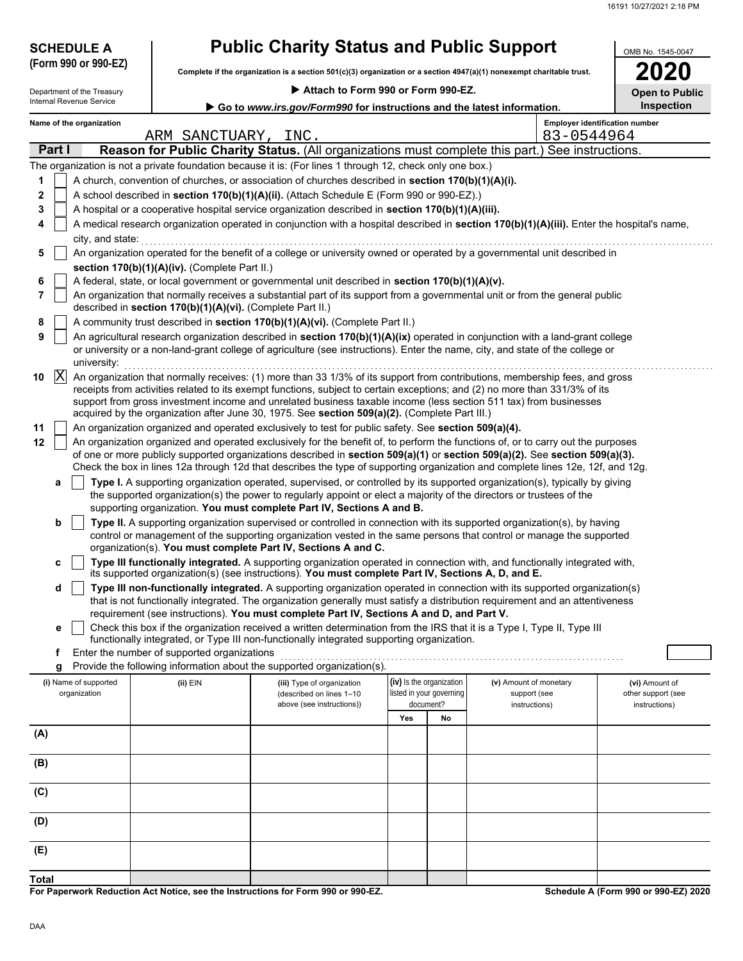| <b>SCHEDULE A</b>                     |                                                            | <b>Public Charity Status and Public Support</b>                                                           |                                                      |                                                                                                                                                                                                                                                                                                                                                                                                    | OMB No. 1545-0047                     |
|---------------------------------------|------------------------------------------------------------|-----------------------------------------------------------------------------------------------------------|------------------------------------------------------|----------------------------------------------------------------------------------------------------------------------------------------------------------------------------------------------------------------------------------------------------------------------------------------------------------------------------------------------------------------------------------------------------|---------------------------------------|
| (Form 990 or 990-EZ)                  |                                                            |                                                                                                           |                                                      | Complete if the organization is a section $501(c)(3)$ organization or a section $4947(a)(1)$ nonexempt charitable trust.                                                                                                                                                                                                                                                                           |                                       |
| Department of the Treasury            |                                                            | Attach to Form 990 or Form 990-EZ.                                                                        |                                                      |                                                                                                                                                                                                                                                                                                                                                                                                    | <b>Open to Public</b>                 |
| Internal Revenue Service              |                                                            | Go to www.irs.gov/Form990 for instructions and the latest information.                                    |                                                      |                                                                                                                                                                                                                                                                                                                                                                                                    | Inspection                            |
| Name of the organization              | ARM SANCTUARY, INC.                                        |                                                                                                           |                                                      | 83-0544964                                                                                                                                                                                                                                                                                                                                                                                         | <b>Employer identification number</b> |
| Part I                                |                                                            |                                                                                                           |                                                      | Reason for Public Charity Status. (All organizations must complete this part.) See instructions.                                                                                                                                                                                                                                                                                                   |                                       |
|                                       |                                                            | The organization is not a private foundation because it is: (For lines 1 through 12, check only one box.) |                                                      |                                                                                                                                                                                                                                                                                                                                                                                                    |                                       |
| 1                                     |                                                            | A church, convention of churches, or association of churches described in section 170(b)(1)(A)(i).        |                                                      |                                                                                                                                                                                                                                                                                                                                                                                                    |                                       |
| 2                                     |                                                            | A school described in section 170(b)(1)(A)(ii). (Attach Schedule E (Form 990 or 990-EZ).)                 |                                                      |                                                                                                                                                                                                                                                                                                                                                                                                    |                                       |
| 3                                     |                                                            | A hospital or a cooperative hospital service organization described in section 170(b)(1)(A)(iii).         |                                                      |                                                                                                                                                                                                                                                                                                                                                                                                    |                                       |
| 4                                     |                                                            |                                                                                                           |                                                      | A medical research organization operated in conjunction with a hospital described in section 170(b)(1)(A)(iii). Enter the hospital's name,                                                                                                                                                                                                                                                         |                                       |
| city, and state:<br>5                 |                                                            |                                                                                                           |                                                      | An organization operated for the benefit of a college or university owned or operated by a governmental unit described in                                                                                                                                                                                                                                                                          |                                       |
|                                       | section 170(b)(1)(A)(iv). (Complete Part II.)              |                                                                                                           |                                                      |                                                                                                                                                                                                                                                                                                                                                                                                    |                                       |
| 6                                     |                                                            | A federal, state, or local government or governmental unit described in section 170(b)(1)(A)(v).          |                                                      |                                                                                                                                                                                                                                                                                                                                                                                                    |                                       |
| 7                                     | described in section 170(b)(1)(A)(vi). (Complete Part II.) |                                                                                                           |                                                      | An organization that normally receives a substantial part of its support from a governmental unit or from the general public                                                                                                                                                                                                                                                                       |                                       |
| 8                                     |                                                            | A community trust described in section 170(b)(1)(A)(vi). (Complete Part II.)                              |                                                      |                                                                                                                                                                                                                                                                                                                                                                                                    |                                       |
| 9<br>university:                      |                                                            |                                                                                                           |                                                      | An agricultural research organization described in section 170(b)(1)(A)(ix) operated in conjunction with a land-grant college<br>or university or a non-land-grant college of agriculture (see instructions). Enter the name, city, and state of the college or                                                                                                                                    |                                       |
| $ {\rm X} $<br>10                     |                                                            |                                                                                                           |                                                      | An organization that normally receives: (1) more than 33 1/3% of its support from contributions, membership fees, and gross<br>receipts from activities related to its exempt functions, subject to certain exceptions; and (2) no more than 331/3% of its<br>support from gross investment income and unrelated business taxable income (less section 511 tax) from businesses                    |                                       |
|                                       |                                                            | acquired by the organization after June 30, 1975. See section 509(a)(2). (Complete Part III.)             |                                                      |                                                                                                                                                                                                                                                                                                                                                                                                    |                                       |
| 11                                    |                                                            | An organization organized and operated exclusively to test for public safety. See section 509(a)(4).      |                                                      |                                                                                                                                                                                                                                                                                                                                                                                                    |                                       |
| 12                                    |                                                            |                                                                                                           |                                                      | An organization organized and operated exclusively for the benefit of, to perform the functions of, or to carry out the purposes<br>of one or more publicly supported organizations described in section 509(a)(1) or section 509(a)(2). See section 509(a)(3).<br>Check the box in lines 12a through 12d that describes the type of supporting organization and complete lines 12e, 12f, and 12g. |                                       |
| а                                     |                                                            |                                                                                                           |                                                      | Type I. A supporting organization operated, supervised, or controlled by its supported organization(s), typically by giving                                                                                                                                                                                                                                                                        |                                       |
|                                       |                                                            |                                                                                                           |                                                      | the supported organization(s) the power to regularly appoint or elect a majority of the directors or trustees of the                                                                                                                                                                                                                                                                               |                                       |
|                                       |                                                            | supporting organization. You must complete Part IV, Sections A and B.                                     |                                                      |                                                                                                                                                                                                                                                                                                                                                                                                    |                                       |
| b                                     |                                                            |                                                                                                           |                                                      | Type II. A supporting organization supervised or controlled in connection with its supported organization(s), by having<br>control or management of the supporting organization vested in the same persons that control or manage the supported                                                                                                                                                    |                                       |
|                                       |                                                            | organization(s). You must complete Part IV, Sections A and C.                                             |                                                      |                                                                                                                                                                                                                                                                                                                                                                                                    |                                       |
| c                                     |                                                            | its supported organization(s) (see instructions). You must complete Part IV, Sections A, D, and E.        |                                                      | Type III functionally integrated. A supporting organization operated in connection with, and functionally integrated with,                                                                                                                                                                                                                                                                         |                                       |
| d                                     |                                                            |                                                                                                           |                                                      | Type III non-functionally integrated. A supporting organization operated in connection with its supported organization(s)                                                                                                                                                                                                                                                                          |                                       |
|                                       |                                                            |                                                                                                           |                                                      | that is not functionally integrated. The organization generally must satisfy a distribution requirement and an attentiveness                                                                                                                                                                                                                                                                       |                                       |
|                                       |                                                            | requirement (see instructions). You must complete Part IV, Sections A and D, and Part V.                  |                                                      | Check this box if the organization received a written determination from the IRS that it is a Type I, Type II, Type III                                                                                                                                                                                                                                                                            |                                       |
| е                                     |                                                            | functionally integrated, or Type III non-functionally integrated supporting organization.                 |                                                      |                                                                                                                                                                                                                                                                                                                                                                                                    |                                       |
| f                                     | Enter the number of supported organizations                |                                                                                                           |                                                      |                                                                                                                                                                                                                                                                                                                                                                                                    |                                       |
| g                                     |                                                            | Provide the following information about the supported organization(s).                                    |                                                      |                                                                                                                                                                                                                                                                                                                                                                                                    |                                       |
| (i) Name of supported<br>organization | (ii) EIN                                                   | (iii) Type of organization<br>(described on lines 1-10                                                    | (iv) Is the organization<br>listed in your governing | (v) Amount of monetary<br>support (see                                                                                                                                                                                                                                                                                                                                                             | (vi) Amount of<br>other support (see  |
|                                       |                                                            | above (see instructions))                                                                                 | document?                                            | instructions)                                                                                                                                                                                                                                                                                                                                                                                      | instructions)                         |
|                                       |                                                            |                                                                                                           | Yes<br>No                                            |                                                                                                                                                                                                                                                                                                                                                                                                    |                                       |
| (A)                                   |                                                            |                                                                                                           |                                                      |                                                                                                                                                                                                                                                                                                                                                                                                    |                                       |
| (B)                                   |                                                            |                                                                                                           |                                                      |                                                                                                                                                                                                                                                                                                                                                                                                    |                                       |
| (C)                                   |                                                            |                                                                                                           |                                                      |                                                                                                                                                                                                                                                                                                                                                                                                    |                                       |
| (D)                                   |                                                            |                                                                                                           |                                                      |                                                                                                                                                                                                                                                                                                                                                                                                    |                                       |
| (E)                                   |                                                            |                                                                                                           |                                                      |                                                                                                                                                                                                                                                                                                                                                                                                    |                                       |

**For Paperwork Reduction Act Notice, see the Instructions for Form 990 or 990-EZ. Total**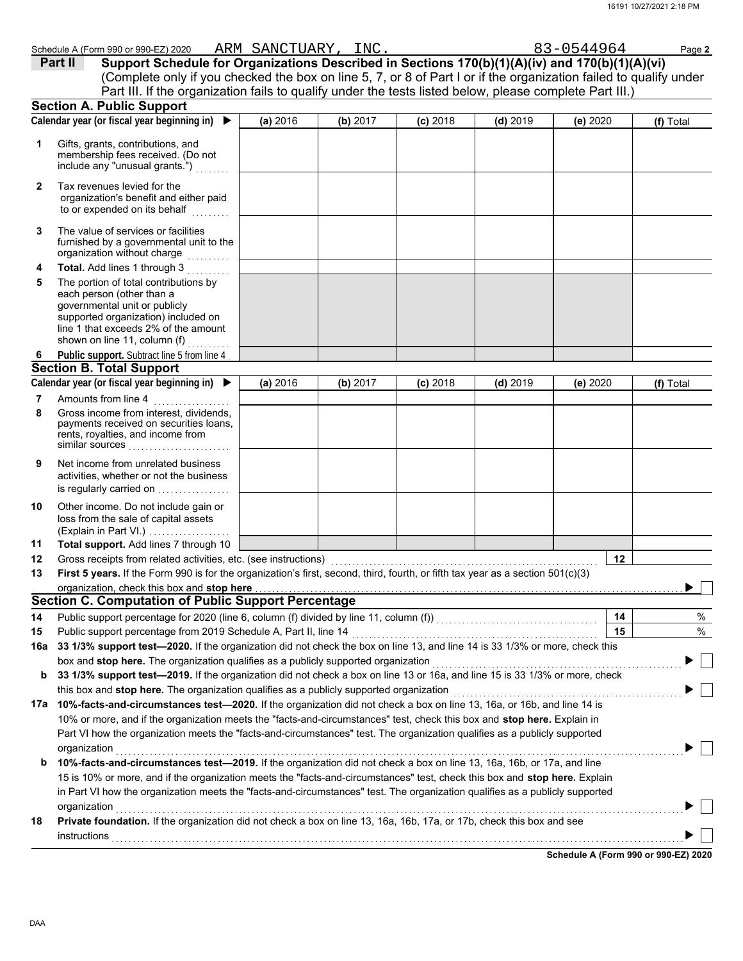|          | Schedule A (Form 990 or 990-EZ) 2020                                                                                                                                                                                                                                                                                                                                                               | ARM SANCTUARY, INC. |          |            |            | 83-0544964 | Page 2    |
|----------|----------------------------------------------------------------------------------------------------------------------------------------------------------------------------------------------------------------------------------------------------------------------------------------------------------------------------------------------------------------------------------------------------|---------------------|----------|------------|------------|------------|-----------|
|          | Support Schedule for Organizations Described in Sections 170(b)(1)(A)(iv) and 170(b)(1)(A)(vi)<br>Part II                                                                                                                                                                                                                                                                                          |                     |          |            |            |            |           |
|          | (Complete only if you checked the box on line 5, 7, or 8 of Part I or if the organization failed to qualify under                                                                                                                                                                                                                                                                                  |                     |          |            |            |            |           |
|          | Part III. If the organization fails to qualify under the tests listed below, please complete Part III.)                                                                                                                                                                                                                                                                                            |                     |          |            |            |            |           |
|          | <b>Section A. Public Support</b>                                                                                                                                                                                                                                                                                                                                                                   |                     |          |            |            |            |           |
|          | Calendar year (or fiscal year beginning in) $\blacktriangleright$                                                                                                                                                                                                                                                                                                                                  | (a) 2016            | (b) 2017 | $(c)$ 2018 | $(d)$ 2019 | (e) 2020   | (f) Total |
| 1        | Gifts, grants, contributions, and<br>membership fees received. (Do not<br>include any "unusual grants.")                                                                                                                                                                                                                                                                                           |                     |          |            |            |            |           |
| 2        | Tax revenues levied for the<br>organization's benefit and either paid<br>to or expended on its behalf                                                                                                                                                                                                                                                                                              |                     |          |            |            |            |           |
| 3        | The value of services or facilities<br>furnished by a governmental unit to the<br>organization without charge                                                                                                                                                                                                                                                                                      |                     |          |            |            |            |           |
| 4        | Total. Add lines 1 through 3                                                                                                                                                                                                                                                                                                                                                                       |                     |          |            |            |            |           |
| 5        | The portion of total contributions by<br>each person (other than a<br>governmental unit or publicly<br>supported organization) included on<br>line 1 that exceeds 2% of the amount<br>shown on line 11, column (f)                                                                                                                                                                                 |                     |          |            |            |            |           |
| 6        | Public support. Subtract line 5 from line 4                                                                                                                                                                                                                                                                                                                                                        |                     |          |            |            |            |           |
|          | <b>Section B. Total Support</b>                                                                                                                                                                                                                                                                                                                                                                    |                     |          |            |            |            |           |
|          | Calendar year (or fiscal year beginning in) ▶                                                                                                                                                                                                                                                                                                                                                      | (a) 2016            | (b) 2017 | $(c)$ 2018 | $(d)$ 2019 | (e) 2020   | (f) Total |
| 7        | Amounts from line 4                                                                                                                                                                                                                                                                                                                                                                                |                     |          |            |            |            |           |
| 8        | Gross income from interest, dividends,<br>payments received on securities loans,<br>rents, royalties, and income from<br>similar sources                                                                                                                                                                                                                                                           |                     |          |            |            |            |           |
| 9        | Net income from unrelated business<br>activities, whether or not the business<br>is regularly carried on                                                                                                                                                                                                                                                                                           |                     |          |            |            |            |           |
| 10<br>11 | Other income. Do not include gain or<br>loss from the sale of capital assets<br>(Explain in Part VI.)<br>Total support. Add lines 7 through 10                                                                                                                                                                                                                                                     |                     |          |            |            |            |           |
| 12       | Gross receipts from related activities, etc. (see instructions)                                                                                                                                                                                                                                                                                                                                    |                     |          |            |            | 12         |           |
| 13       | First 5 years. If the Form 990 is for the organization's first, second, third, fourth, or fifth tax year as a section $501(c)(3)$                                                                                                                                                                                                                                                                  |                     |          |            |            |            |           |
|          | organization, check this box and stop here                                                                                                                                                                                                                                                                                                                                                         |                     |          |            |            |            |           |
|          | <b>Section C. Computation of Public Support Percentage</b>                                                                                                                                                                                                                                                                                                                                         |                     |          |            |            |            |           |
| 14       | Public support percentage for 2020 (line 6, column (f) divided by line 11, column (f)) [[[[[[[[[[[[[[[[[[[[[[                                                                                                                                                                                                                                                                                      |                     |          |            |            | 14         | %         |
| 15       | Public support percentage from 2019 Schedule A, Part II, line 14                                                                                                                                                                                                                                                                                                                                   |                     |          |            |            | 15         | %         |
| 16a      | 33 1/3% support test-2020. If the organization did not check the box on line 13, and line 14 is 33 1/3% or more, check this                                                                                                                                                                                                                                                                        |                     |          |            |            |            |           |
|          | box and stop here. The organization qualifies as a publicly supported organization                                                                                                                                                                                                                                                                                                                 |                     |          |            |            |            |           |
| b        | 33 1/3% support test-2019. If the organization did not check a box on line 13 or 16a, and line 15 is 33 1/3% or more, check                                                                                                                                                                                                                                                                        |                     |          |            |            |            |           |
|          | this box and stop here. The organization qualifies as a publicly supported organization                                                                                                                                                                                                                                                                                                            |                     |          |            |            |            |           |
|          | 17a 10%-facts-and-circumstances test-2020. If the organization did not check a box on line 13, 16a, or 16b, and line 14 is<br>10% or more, and if the organization meets the "facts-and-circumstances" test, check this box and stop here. Explain in<br>Part VI how the organization meets the "facts-and-circumstances" test. The organization qualifies as a publicly supported<br>organization |                     |          |            |            |            |           |
| b        | 10%-facts-and-circumstances test-2019. If the organization did not check a box on line 13, 16a, 16b, or 17a, and line                                                                                                                                                                                                                                                                              |                     |          |            |            |            |           |
|          | 15 is 10% or more, and if the organization meets the "facts-and-circumstances" test, check this box and stop here. Explain                                                                                                                                                                                                                                                                         |                     |          |            |            |            |           |
|          | in Part VI how the organization meets the "facts-and-circumstances" test. The organization qualifies as a publicly supported                                                                                                                                                                                                                                                                       |                     |          |            |            |            |           |
|          | organization                                                                                                                                                                                                                                                                                                                                                                                       |                     |          |            |            |            |           |
| 18       | Private foundation. If the organization did not check a box on line 13, 16a, 16b, 17a, or 17b, check this box and see<br>instructions                                                                                                                                                                                                                                                              |                     |          |            |            |            |           |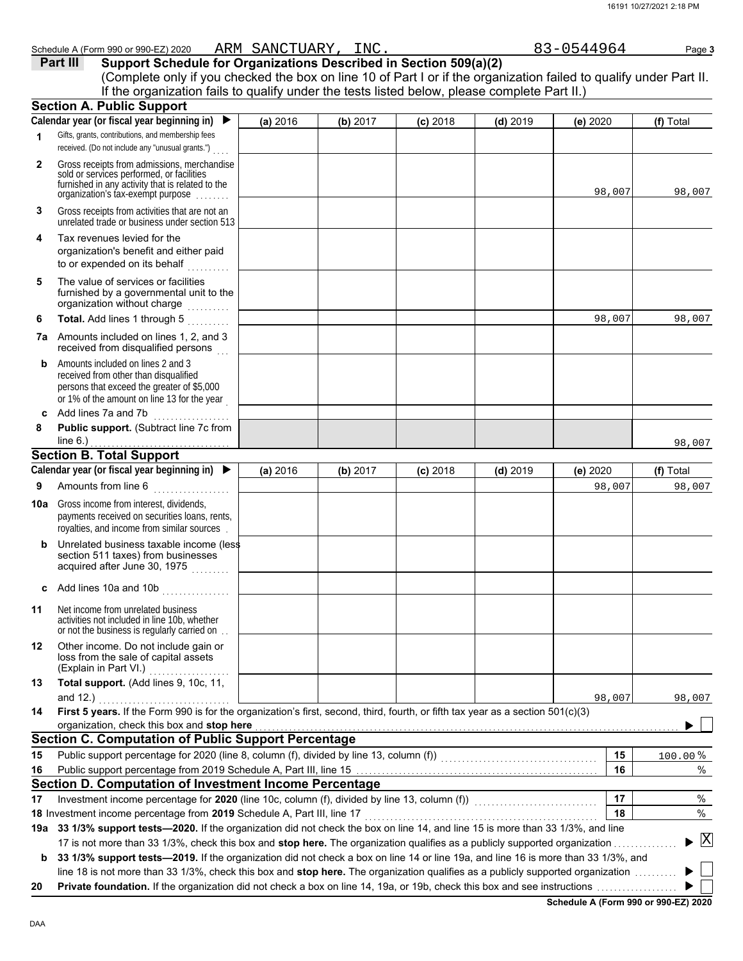|              | Schedule A (Form 990 or 990-EZ) 2020 ARM SANCTUARY, INC.                                                                                                                                                                                                                                            |          |          |            |            | 83-0544964 | Page 3    |
|--------------|-----------------------------------------------------------------------------------------------------------------------------------------------------------------------------------------------------------------------------------------------------------------------------------------------------|----------|----------|------------|------------|------------|-----------|
|              | Support Schedule for Organizations Described in Section 509(a)(2)<br>Part III<br>(Complete only if you checked the box on line 10 of Part I or if the organization failed to qualify under Part II.<br>If the organization fails to qualify under the tests listed below, please complete Part II.) |          |          |            |            |            |           |
|              | <b>Section A. Public Support</b>                                                                                                                                                                                                                                                                    |          |          |            |            |            |           |
|              | Calendar year (or fiscal year beginning in)<br>$\blacktriangleright$                                                                                                                                                                                                                                | (a) 2016 | (b) 2017 | $(c)$ 2018 | $(d)$ 2019 | (e) 2020   | (f) Total |
| 1            | Gifts, grants, contributions, and membership fees<br>received. (Do not include any "unusual grants.")                                                                                                                                                                                               |          |          |            |            |            |           |
| $\mathbf{2}$ | Gross receipts from admissions, merchandise<br>sold or services performed, or facilities<br>furnished in any activity that is related to the<br>organization's tax-exempt purpose                                                                                                                   |          |          |            |            | 98,007     | 98,007    |
| 3            | Gross receipts from activities that are not an<br>unrelated trade or business under section 513                                                                                                                                                                                                     |          |          |            |            |            |           |
| 4            | Tax revenues levied for the<br>organization's benefit and either paid<br>to or expended on its behalf                                                                                                                                                                                               |          |          |            |            |            |           |
| 5            | The value of services or facilities<br>furnished by a governmental unit to the<br>organization without charge                                                                                                                                                                                       |          |          |            |            |            |           |
| 6            | Total. Add lines 1 through 5                                                                                                                                                                                                                                                                        |          |          |            |            | 98,007     | 98,007    |
| 7а           | Amounts included on lines 1, 2, and 3<br>received from disqualified persons                                                                                                                                                                                                                         |          |          |            |            |            |           |
| b            | Amounts included on lines 2 and 3<br>received from other than disqualified<br>persons that exceed the greater of \$5,000<br>or 1% of the amount on line 13 for the year                                                                                                                             |          |          |            |            |            |           |
| C.           | Add lines 7a and 7b                                                                                                                                                                                                                                                                                 |          |          |            |            |            |           |
| 8            | Public support. (Subtract line 7c from                                                                                                                                                                                                                                                              |          |          |            |            |            | 98,007    |
|              | <b>Section B. Total Support</b>                                                                                                                                                                                                                                                                     |          |          |            |            |            |           |
|              | Calendar year (or fiscal year beginning in) $\blacktriangleright$                                                                                                                                                                                                                                   | (a) 2016 | (b) 2017 | $(c)$ 2018 | $(d)$ 2019 | (e) 2020   | (f) Total |
| 9            | Amounts from line 6<br>.                                                                                                                                                                                                                                                                            |          |          |            |            | 98,007     | 98,007    |
| 10a          | Gross income from interest, dividends,<br>payments received on securities loans, rents,<br>rovalties, and income from similar sources.                                                                                                                                                              |          |          |            |            |            |           |
|              |                                                                                                                                                                                                                                                                                                     |          |          |            |            |            |           |

- **b** Unrelated business taxable income (less section 511 taxes) from businesses acquired after June 30, 1975  $\,\ldots\ldots$  .
- **c** Add lines 10a and 10b . . . . . . . . . . . . . . . . **11** Net income from unrelated business activities not included in line 10b, whether or not the business is regularly carried on

|    | $\frac{1}{2}$ . The case is controlled to the second control of $\frac{1}{2}$ .                       |  |  |
|----|-------------------------------------------------------------------------------------------------------|--|--|
| 12 | Other income. Do not include gain or<br>loss from the sale of capital assets<br>(Explain in Part VI.) |  |  |
| 13 | <b>Total support.</b> (Add lines 9, 10c, 11,<br>$\sim$ $\sim$ $\sim$ $\sim$                           |  |  |

|    | and $12.$                                                                                                                       |  |  | 98,007 | 98,007 |
|----|---------------------------------------------------------------------------------------------------------------------------------|--|--|--------|--------|
| 14 | First 5 years. If the Form 990 is for the organization's first, second, third, fourth, or fifth tax year as a section 501(c)(3) |  |  |        |        |
|    | organization, check this box and <b>stop here</b>                                                                               |  |  |        |        |
|    | <b>Section C. Computation of Public Support Percentage</b>                                                                      |  |  |        |        |

| 15 | Public support percentage for 2020 (line 8, column (f), divided by line 13, column (f))                                           | 15 | 100.00%                              |
|----|-----------------------------------------------------------------------------------------------------------------------------------|----|--------------------------------------|
| 16 | Public support percentage from 2019 Schedule A, Part III, line 15                                                                 | 16 | %                                    |
|    | Section D. Computation of Investment Income Percentage                                                                            |    |                                      |
| 17 | Investment income percentage for 2020 (line 10c, column (f), divided by line 13, column (f))                                      | 17 |                                      |
|    | 18 Investment income percentage from 2019 Schedule A, Part III, line 17                                                           | 18 | $\%$                                 |
|    | 19a 33 1/3% support tests—2020. If the organization did not check the box on line 14, and line 15 is more than 33 1/3%, and line  |    |                                      |
|    | 17 is not more than 33 1/3%, check this box and stop here. The organization qualifies as a publicly supported organization        |    | $\blacktriangleright$ $\overline{X}$ |
| b  | 33 1/3% support tests—2019. If the organization did not check a box on line 14 or line 19a, and line 16 is more than 33 1/3%, and |    |                                      |
|    | line 18 is not more than 33 1/3%, check this box and stop here. The organization qualifies as a publicly supported organization   |    |                                      |

**20 Private foundation.** If the organization did not check a box on line 14, 19a, or 19b, check this box and see instructions . . . . . . . . . . . . . . . . . . .

 $\blacktriangleright$   $\vert \ \vert$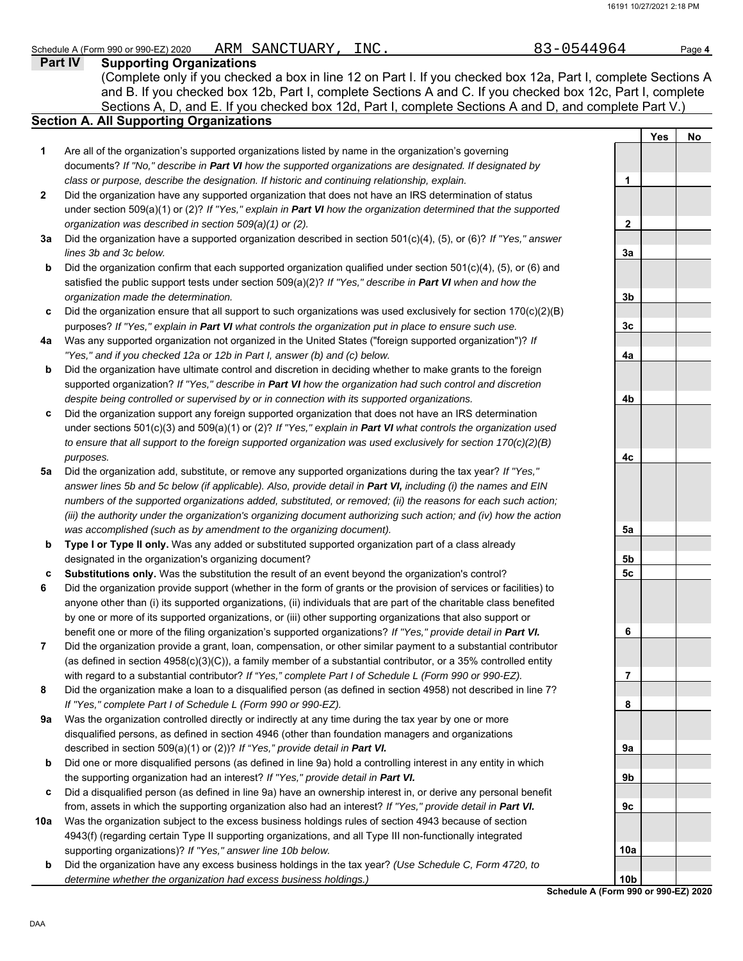### Schedule A (Form 990 or 990-EZ) 2020 ARM SANCTUARY, INC.  $83-0544964$  Page 4 ARM SANCTUARY,

**Part IV Supporting Organizations** Sections A, D, and E. If you checked box 12d, Part I, complete Sections A and D, and complete Part V.) (Complete only if you checked a box in line 12 on Part I. If you checked box 12a, Part I, complete Sections A and B. If you checked box 12b, Part I, complete Sections A and C. If you checked box 12c, Part I, complete

# **Section A. All Supporting Organizations**

- Are all of the organization's supported organizations listed by name in the organization's governing documents? *If "No," describe in Part VI how the supported organizations are designated. If designated by class or purpose, describe the designation. If historic and continuing relationship, explain.* **1**
- Did the organization have any supported organization that does not have an IRS determination of status under section 509(a)(1) or (2)? *If "Yes," explain in Part VI how the organization determined that the supported organization was described in section 509(a)(1) or (2).* **2**
- **3a** Did the organization have a supported organization described in section 501(c)(4), (5), or (6)? *If "Yes," answer lines 3b and 3c below.*
- **b** Did the organization confirm that each supported organization qualified under section 501(c)(4), (5), or (6) and satisfied the public support tests under section 509(a)(2)? *If "Yes," describe in Part VI when and how the organization made the determination.*
- **c** Did the organization ensure that all support to such organizations was used exclusively for section  $170(c)(2)(B)$ purposes? *If "Yes," explain in Part VI what controls the organization put in place to ensure such use.*
- **4a** Was any supported organization not organized in the United States ("foreign supported organization")? *If "Yes," and if you checked 12a or 12b in Part I, answer (b) and (c) below.*
- **b** Did the organization have ultimate control and discretion in deciding whether to make grants to the foreign supported organization? *If "Yes," describe in Part VI how the organization had such control and discretion despite being controlled or supervised by or in connection with its supported organizations.*
- **c** Did the organization support any foreign supported organization that does not have an IRS determination under sections 501(c)(3) and 509(a)(1) or (2)? *If "Yes," explain in Part VI what controls the organization used to ensure that all support to the foreign supported organization was used exclusively for section 170(c)(2)(B) purposes.*
- **5a** Did the organization add, substitute, or remove any supported organizations during the tax year? *If "Yes," answer lines 5b and 5c below (if applicable). Also, provide detail in Part VI, including (i) the names and EIN numbers of the supported organizations added, substituted, or removed; (ii) the reasons for each such action; (iii) the authority under the organization's organizing document authorizing such action; and (iv) how the action was accomplished (such as by amendment to the organizing document).*
- **b Type I or Type II only.** Was any added or substituted supported organization part of a class already designated in the organization's organizing document?
- **c Substitutions only.** Was the substitution the result of an event beyond the organization's control?
- **6** Did the organization provide support (whether in the form of grants or the provision of services or facilities) to anyone other than (i) its supported organizations, (ii) individuals that are part of the charitable class benefited by one or more of its supported organizations, or (iii) other supporting organizations that also support or benefit one or more of the filing organization's supported organizations? *If "Yes," provide detail in Part VI.*
- **7** Did the organization provide a grant, loan, compensation, or other similar payment to a substantial contributor (as defined in section 4958(c)(3)(C)), a family member of a substantial contributor, or a 35% controlled entity with regard to a substantial contributor? *If "Yes," complete Part I of Schedule L (Form 990 or 990-EZ).*
- **8** Did the organization make a loan to a disqualified person (as defined in section 4958) not described in line 7? *If "Yes," complete Part I of Schedule L (Form 990 or 990-EZ).*
- **9a** Was the organization controlled directly or indirectly at any time during the tax year by one or more disqualified persons, as defined in section 4946 (other than foundation managers and organizations described in section 509(a)(1) or (2))? *If "Yes," provide detail in Part VI.*
- **b** Did one or more disqualified persons (as defined in line 9a) hold a controlling interest in any entity in which the supporting organization had an interest? *If "Yes," provide detail in Part VI.*
- **c** Did a disqualified person (as defined in line 9a) have an ownership interest in, or derive any personal benefit from, assets in which the supporting organization also had an interest? *If "Yes," provide detail in Part VI.*
- **10a** Was the organization subject to the excess business holdings rules of section 4943 because of section 4943(f) (regarding certain Type II supporting organizations, and all Type III non-functionally integrated supporting organizations)? *If "Yes," answer line 10b below.*
- **b** Did the organization have any excess business holdings in the tax year? *(Use Schedule C, Form 4720, to determine whether the organization had excess business holdings.)*

|                        | <b>Yes</b> | No |
|------------------------|------------|----|
| 1                      |            |    |
|                        |            |    |
| 2<br>3a                |            |    |
| $\frac{3b}{2}$         |            |    |
| $\frac{3c}{2}$         |            |    |
| 4a                     |            |    |
| 4b                     |            |    |
|                        |            |    |
| 4c                     |            |    |
|                        |            |    |
| $\frac{5a}{2}$         |            |    |
| <u>5b</u><br><u>5c</u> |            |    |
|                        |            |    |
| 6                      |            |    |
| 7                      |            |    |
| 8                      |            |    |
| 9a<br>9b               |            |    |
| 9 <u>c</u>             |            |    |
| 10a                    |            |    |
|                        |            |    |
| 10 <sub>b</sub>        |            |    |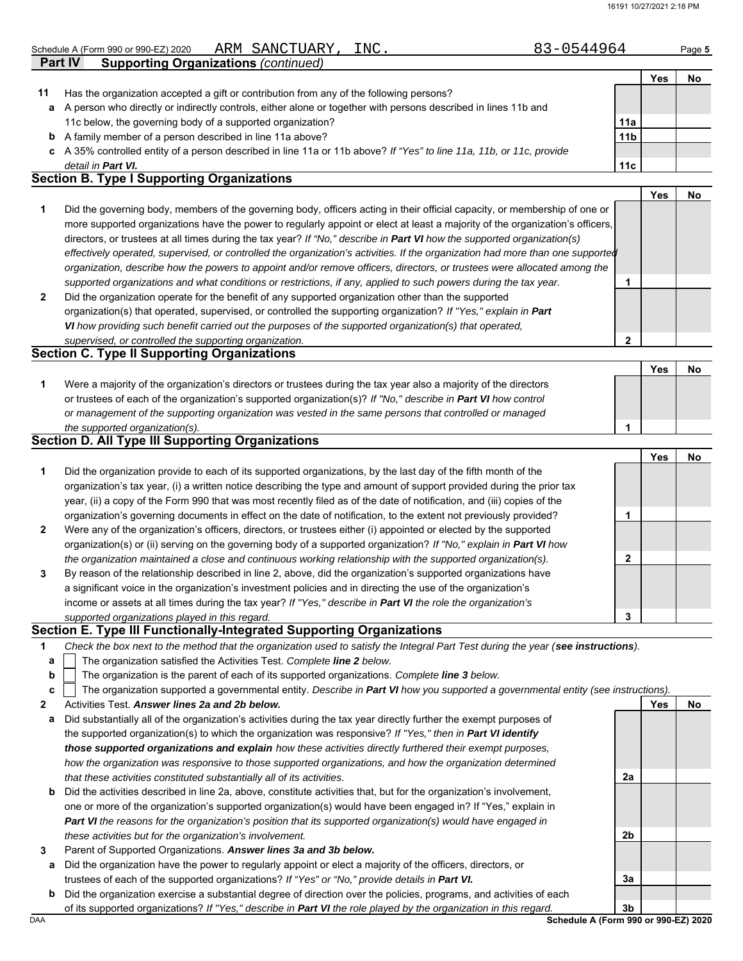#### Schedule A (Form 990 or 990-EZ) 2020 ARM SANCTUARY, INC.  $83-0544964$  Page 5 ARM SANCTUARY,

|    | <b>Part IV</b><br><b>Supporting Organizations (continued)</b>                                                        |                 |     |    |
|----|----------------------------------------------------------------------------------------------------------------------|-----------------|-----|----|
|    |                                                                                                                      |                 | Yes | No |
| 11 | Has the organization accepted a gift or contribution from any of the following persons?                              |                 |     |    |
| a  | A person who directly or indirectly controls, either alone or together with persons described in lines 11b and       |                 |     |    |
|    | 11c below, the governing body of a supported organization?                                                           | 11a             |     |    |
| b  | A family member of a person described in line 11a above?                                                             | 11 <sub>b</sub> |     |    |
|    | c A 35% controlled entity of a person described in line 11a or 11b above? If "Yes" to line 11a, 11b, or 11c, provide |                 |     |    |
|    | detail in <b>Part VI.</b>                                                                                            | 11c             |     |    |
|    | <b>Section B. Type I Supporting Organizations</b>                                                                    |                 |     |    |

|                                                                                                                                |   | Yes |  |
|--------------------------------------------------------------------------------------------------------------------------------|---|-----|--|
| Did the governing body, members of the governing body, officers acting in their official capacity, or membership of one or     |   |     |  |
| more supported organizations have the power to regularly appoint or elect at least a majority of the organization's officers,  |   |     |  |
| directors, or trustees at all times during the tax year? If "No," describe in Part VI how the supported organization(s)        |   |     |  |
| effectively operated, supervised, or controlled the organization's activities. If the organization had more than one supported |   |     |  |
| organization, describe how the powers to appoint and/or remove officers, directors, or trustees were allocated among the       |   |     |  |
| supported organizations and what conditions or restrictions, if any, applied to such powers during the tax year.               |   |     |  |
| Did the organization operate for the benefit of any supported organization other than the supported                            |   |     |  |
| organization(s) that operated, supervised, or controlled the supporting organization? If "Yes," explain in Part                |   |     |  |
| VI how providing such benefit carried out the purposes of the supported organization(s) that operated,                         |   |     |  |
| supervised or controlled the supporting organization                                                                           | ◠ |     |  |

### *supervised, or controlled the supporting organization.* **Section C. Type II Supporting Organizations**

|                                                                                                                  | Yes | No |
|------------------------------------------------------------------------------------------------------------------|-----|----|
| Were a majority of the organization's directors or trustees during the tax year also a majority of the directors |     |    |
| or trustees of each of the organization's supported organization(s)? If "No," describe in Part VI how control    |     |    |
| or management of the supporting organization was vested in the same persons that controlled or managed           |     |    |
| the supported organization(s).                                                                                   |     |    |

## **Section D. All Type III Supporting Organizations**

|                |                                                                                                                        |   | Yes | No |
|----------------|------------------------------------------------------------------------------------------------------------------------|---|-----|----|
| 1              | Did the organization provide to each of its supported organizations, by the last day of the fifth month of the         |   |     |    |
|                | organization's tax year, (i) a written notice describing the type and amount of support provided during the prior tax  |   |     |    |
|                | year, (ii) a copy of the Form 990 that was most recently filed as of the date of notification, and (iii) copies of the |   |     |    |
|                | organization's governing documents in effect on the date of notification, to the extent not previously provided?       |   |     |    |
| $\overline{2}$ | Were any of the organization's officers, directors, or trustees either (i) appointed or elected by the supported       |   |     |    |
|                | organization(s) or (ii) serving on the governing body of a supported organization? If "No," explain in Part VI how     |   |     |    |
|                | the organization maintained a close and continuous working relationship with the supported organization(s).            | າ |     |    |
| 3              | By reason of the relationship described in line 2, above, did the organization's supported organizations have          |   |     |    |
|                | a significant voice in the organization's investment policies and in directing the use of the organization's           |   |     |    |
|                | income or assets at all times during the tax year? If "Yes," describe in Part VI the role the organization's           |   |     |    |
|                | supported organizations played in this regard.                                                                         | 3 |     |    |

### **Section E. Type III Functionally-Integrated Supporting Organizations**

| Check the box next to the method that the organization used to satisfy the Integral Part Test during the year (see instructions). |  |
|-----------------------------------------------------------------------------------------------------------------------------------|--|
|                                                                                                                                   |  |

- The organization satisfied the Activities Test. *Complete line 2 below.* **a**
- The organization is the parent of each of its supported organizations. *Complete line 3 below.* **b**

```
The organization supported a governmental entity. Describe in Part VI how you supported a governmental entity (see instructions).
c
```

```
2
     Activities Test. Answer lines 2a and 2b below.
```
- **a** Did substantially all of the organization's activities during the tax year directly further the exempt purposes of the supported organization(s) to which the organization was responsive? *If "Yes," then in Part VI identify those supported organizations and explain how these activities directly furthered their exempt purposes, how the organization was responsive to those supported organizations, and how the organization determined that these activities constituted substantially all of its activities.*
- **b** Did the activities described in line 2a, above, constitute activities that, but for the organization's involvement, one or more of the organization's supported organization(s) would have been engaged in? If "Yes," explain in *Part VI the reasons for the organization's position that its supported organization(s) would have engaged in these activities but for the organization's involvement.*
- **3** Parent of Supported Organizations. *Answer lines 3a and 3b below.*
	- **a** Did the organization have the power to regularly appoint or elect a majority of the officers, directors, or trustees of each of the supported organizations? *If "Yes" or "No," provide details in Part VI.*
- DAA **Schedule A (Form 990 or 990-EZ) 2020 b** Did the organization exercise a substantial degree of direction over the policies, programs, and activities of each of its supported organizations? *If "Yes," describe in Part VI the role played by the organization in this regard.*

**2a**

**2b**

**3a**

Yes No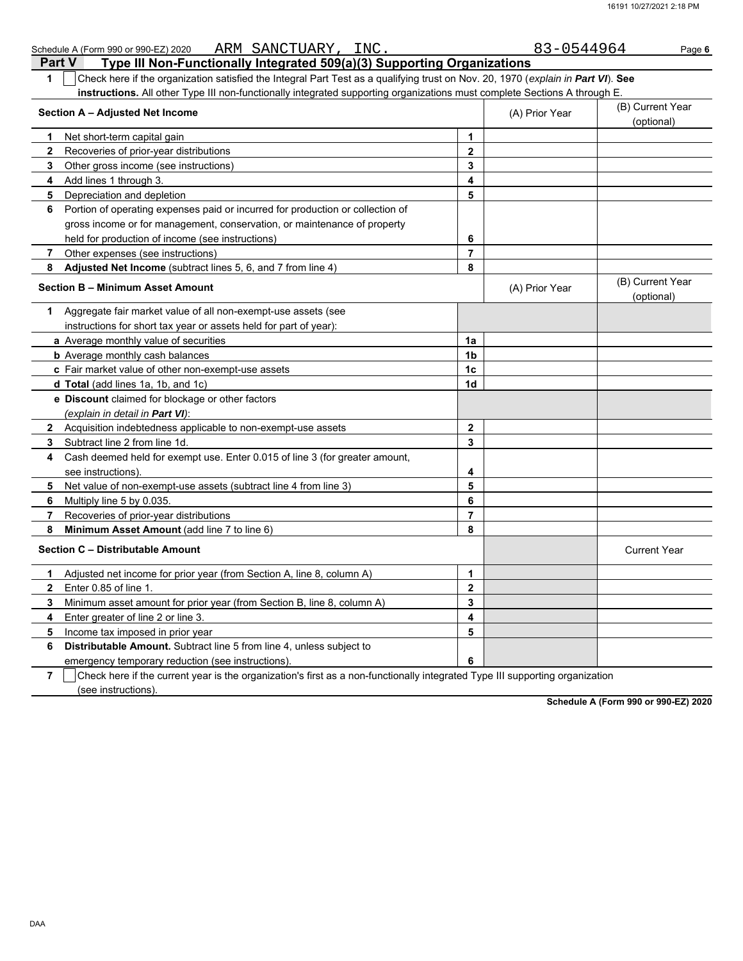| Schedule A (Form 990 or 990-EZ) 2020 ARM SANCTUARY, INC.                                                                                                     |                         | 83-0544964     | Page 6                         |
|--------------------------------------------------------------------------------------------------------------------------------------------------------------|-------------------------|----------------|--------------------------------|
| Type III Non-Functionally Integrated 509(a)(3) Supporting Organizations<br><b>Part V</b>                                                                     |                         |                |                                |
| Check here if the organization satisfied the Integral Part Test as a qualifying trust on Nov. 20, 1970 (explain in Part VI). See<br>1                        |                         |                |                                |
| instructions. All other Type III non-functionally integrated supporting organizations must complete Sections A through E.<br>Section A - Adjusted Net Income |                         | (A) Prior Year | (B) Current Year<br>(optional) |
| Net short-term capital gain<br>1.                                                                                                                            | 1                       |                |                                |
| $\mathbf{2}$<br>Recoveries of prior-year distributions                                                                                                       | $\mathbf{2}$            |                |                                |
| 3<br>Other gross income (see instructions)                                                                                                                   | 3                       |                |                                |
| Add lines 1 through 3.<br>4                                                                                                                                  | $\overline{\mathbf{A}}$ |                |                                |
| 5<br>Depreciation and depletion                                                                                                                              | 5                       |                |                                |
| Portion of operating expenses paid or incurred for production or collection of<br>6                                                                          |                         |                |                                |
| gross income or for management, conservation, or maintenance of property                                                                                     |                         |                |                                |
| held for production of income (see instructions)                                                                                                             | 6                       |                |                                |
| $\overline{7}$<br>Other expenses (see instructions)                                                                                                          | $\overline{7}$          |                |                                |
| 8<br>Adjusted Net Income (subtract lines 5, 6, and 7 from line 4)                                                                                            | 8                       |                |                                |
| <b>Section B - Minimum Asset Amount</b>                                                                                                                      |                         | (A) Prior Year | (B) Current Year<br>(optional) |
| Aggregate fair market value of all non-exempt-use assets (see<br>1                                                                                           |                         |                |                                |
| instructions for short tax year or assets held for part of year):                                                                                            |                         |                |                                |
| <b>a</b> Average monthly value of securities                                                                                                                 | 1a                      |                |                                |
| <b>b</b> Average monthly cash balances                                                                                                                       | 1 <sub>b</sub>          |                |                                |
| c Fair market value of other non-exempt-use assets                                                                                                           | 1c                      |                |                                |
| <b>d Total</b> (add lines 1a, 1b, and 1c)                                                                                                                    | 1d                      |                |                                |
| e Discount claimed for blockage or other factors                                                                                                             |                         |                |                                |
| (explain in detail in <b>Part VI</b> ):                                                                                                                      |                         |                |                                |
| $\mathbf{2}$<br>Acquisition indebtedness applicable to non-exempt-use assets                                                                                 | $\mathbf{2}$            |                |                                |
| Subtract line 2 from line 1d.<br>3                                                                                                                           | 3                       |                |                                |
| Cash deemed held for exempt use. Enter 0.015 of line 3 (for greater amount,<br>4                                                                             |                         |                |                                |
| see instructions)                                                                                                                                            | 4                       |                |                                |
| Net value of non-exempt-use assets (subtract line 4 from line 3)<br>5                                                                                        | 5                       |                |                                |
| Multiply line 5 by 0.035.<br>6                                                                                                                               | 6                       |                |                                |
| 7<br>Recoveries of prior-year distributions                                                                                                                  | $\overline{7}$          |                |                                |
| Minimum Asset Amount (add line 7 to line 6)<br>8                                                                                                             | 8                       |                |                                |
| Section C - Distributable Amount                                                                                                                             |                         |                | <b>Current Year</b>            |
| Adjusted net income for prior year (from Section A, line 8, column A)<br>1                                                                                   | $\mathbf{1}$            |                |                                |
| $\overline{2}$<br>Enter 0.85 of line 1.                                                                                                                      | $\mathbf{2}$            |                |                                |
| 3<br>Minimum asset amount for prior year (from Section B, line 8, column A)                                                                                  | 3                       |                |                                |
| 4<br>Enter greater of line 2 or line 3.                                                                                                                      | 4                       |                |                                |
| 5<br>Income tax imposed in prior year                                                                                                                        | 5                       |                |                                |
| Distributable Amount. Subtract line 5 from line 4, unless subject to<br>6                                                                                    |                         |                |                                |
| emergency temporary reduction (see instructions).                                                                                                            | 6                       |                |                                |

**7** (see instructions). Check here if the current year is the organization's first as a non-functionally integrated Type III supporting organization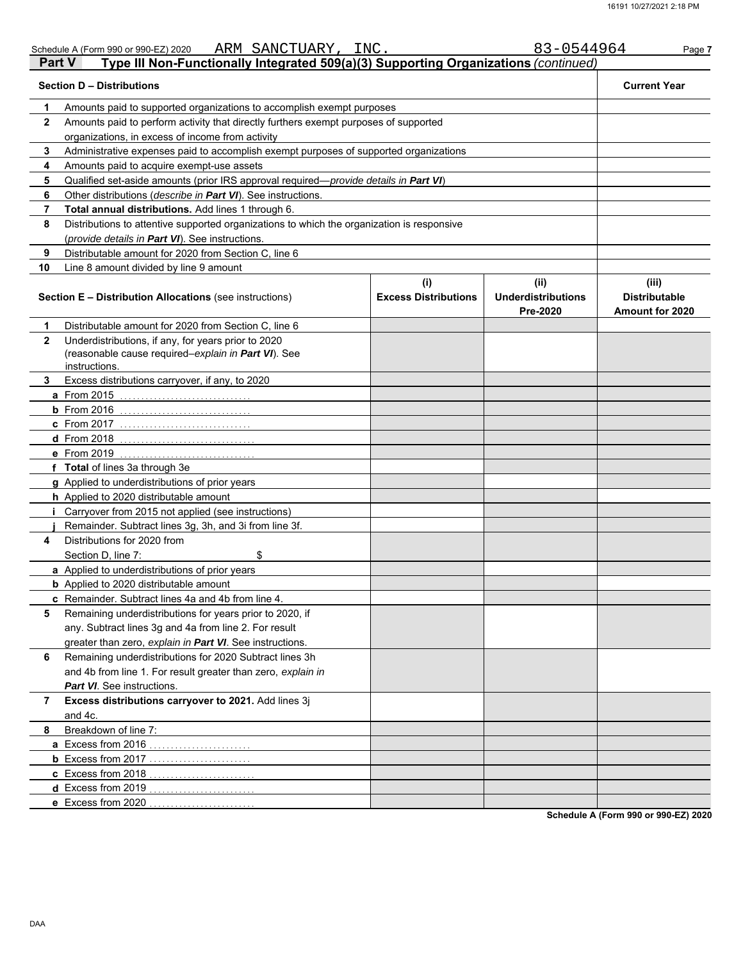| <b>Part V</b> | ARM SANCTUARY, INC.<br>Schedule A (Form 990 or 990-EZ) 2020<br>Type III Non-Functionally Integrated 509(a)(3) Supporting Organizations (continued) |                             | 83-0544964                            | Page 7                                         |  |  |  |  |  |  |
|---------------|----------------------------------------------------------------------------------------------------------------------------------------------------|-----------------------------|---------------------------------------|------------------------------------------------|--|--|--|--|--|--|
|               | <b>Section D - Distributions</b>                                                                                                                   |                             |                                       | <b>Current Year</b>                            |  |  |  |  |  |  |
| 1             | Amounts paid to supported organizations to accomplish exempt purposes                                                                              |                             |                                       |                                                |  |  |  |  |  |  |
| $\mathbf{2}$  | Amounts paid to perform activity that directly furthers exempt purposes of supported                                                               |                             |                                       |                                                |  |  |  |  |  |  |
|               | organizations, in excess of income from activity                                                                                                   |                             |                                       |                                                |  |  |  |  |  |  |
| 3             | Administrative expenses paid to accomplish exempt purposes of supported organizations                                                              |                             |                                       |                                                |  |  |  |  |  |  |
| 4             | Amounts paid to acquire exempt-use assets                                                                                                          |                             |                                       |                                                |  |  |  |  |  |  |
| 5             | Qualified set-aside amounts (prior IRS approval required— <i>provide details in Part VI</i> )                                                      |                             |                                       |                                                |  |  |  |  |  |  |
| 6             | Other distributions ( <i>describe in Part VI</i> ). See instructions.                                                                              |                             |                                       |                                                |  |  |  |  |  |  |
| 7             | Total annual distributions. Add lines 1 through 6.                                                                                                 |                             |                                       |                                                |  |  |  |  |  |  |
| 8             | Distributions to attentive supported organizations to which the organization is responsive                                                         |                             |                                       |                                                |  |  |  |  |  |  |
|               | (provide details in Part VI). See instructions.                                                                                                    |                             |                                       |                                                |  |  |  |  |  |  |
| 9             | Distributable amount for 2020 from Section C, line 6                                                                                               |                             |                                       |                                                |  |  |  |  |  |  |
| 10            | Line 8 amount divided by line 9 amount                                                                                                             |                             |                                       |                                                |  |  |  |  |  |  |
|               |                                                                                                                                                    | (i)                         | (ii)                                  | (iii)                                          |  |  |  |  |  |  |
|               | <b>Section E - Distribution Allocations (see instructions)</b>                                                                                     | <b>Excess Distributions</b> | <b>Underdistributions</b><br>Pre-2020 | <b>Distributable</b><br><b>Amount for 2020</b> |  |  |  |  |  |  |
| 1             | Distributable amount for 2020 from Section C, line 6                                                                                               |                             |                                       |                                                |  |  |  |  |  |  |
| $\mathbf{2}$  | Underdistributions, if any, for years prior to 2020                                                                                                |                             |                                       |                                                |  |  |  |  |  |  |
|               | (reasonable cause required-explain in Part VI). See                                                                                                |                             |                                       |                                                |  |  |  |  |  |  |
|               | instructions.                                                                                                                                      |                             |                                       |                                                |  |  |  |  |  |  |
| 3             | Excess distributions carryover, if any, to 2020                                                                                                    |                             |                                       |                                                |  |  |  |  |  |  |
|               | <b>a</b> From 2015<br>. <u>.</u>                                                                                                                   |                             |                                       |                                                |  |  |  |  |  |  |
|               | $b$ From 2016                                                                                                                                      |                             |                                       |                                                |  |  |  |  |  |  |
|               | c From 2017                                                                                                                                        |                             |                                       |                                                |  |  |  |  |  |  |
|               | <b>d</b> From 2018                                                                                                                                 |                             |                                       |                                                |  |  |  |  |  |  |
|               | e From 2019                                                                                                                                        |                             |                                       |                                                |  |  |  |  |  |  |
|               | f Total of lines 3a through 3e                                                                                                                     |                             |                                       |                                                |  |  |  |  |  |  |
|               | g Applied to underdistributions of prior years                                                                                                     |                             |                                       |                                                |  |  |  |  |  |  |
|               | h Applied to 2020 distributable amount                                                                                                             |                             |                                       |                                                |  |  |  |  |  |  |
|               | Carryover from 2015 not applied (see instructions)                                                                                                 |                             |                                       |                                                |  |  |  |  |  |  |
|               | Remainder. Subtract lines 3g, 3h, and 3i from line 3f.                                                                                             |                             |                                       |                                                |  |  |  |  |  |  |
| 4             | Distributions for 2020 from                                                                                                                        |                             |                                       |                                                |  |  |  |  |  |  |
|               | Section D, line 7:<br>\$                                                                                                                           |                             |                                       |                                                |  |  |  |  |  |  |
|               | <b>a</b> Applied to underdistributions of prior years                                                                                              |                             |                                       |                                                |  |  |  |  |  |  |
|               | <b>b</b> Applied to 2020 distributable amount                                                                                                      |                             |                                       |                                                |  |  |  |  |  |  |
|               | c Remainder. Subtract lines 4a and 4b from line 4.                                                                                                 |                             |                                       |                                                |  |  |  |  |  |  |
| 5             | Remaining underdistributions for years prior to 2020, if                                                                                           |                             |                                       |                                                |  |  |  |  |  |  |
|               | any. Subtract lines 3g and 4a from line 2. For result                                                                                              |                             |                                       |                                                |  |  |  |  |  |  |
|               | greater than zero, explain in Part VI. See instructions.                                                                                           |                             |                                       |                                                |  |  |  |  |  |  |
| 6             | Remaining underdistributions for 2020 Subtract lines 3h                                                                                            |                             |                                       |                                                |  |  |  |  |  |  |
|               | and 4b from line 1. For result greater than zero, explain in                                                                                       |                             |                                       |                                                |  |  |  |  |  |  |
|               | <b>Part VI</b> . See instructions.                                                                                                                 |                             |                                       |                                                |  |  |  |  |  |  |
| 7             | Excess distributions carryover to 2021. Add lines 3j                                                                                               |                             |                                       |                                                |  |  |  |  |  |  |
|               | and 4c.                                                                                                                                            |                             |                                       |                                                |  |  |  |  |  |  |
| 8             | Breakdown of line 7:                                                                                                                               |                             |                                       |                                                |  |  |  |  |  |  |
|               | a Excess from 2016                                                                                                                                 |                             |                                       |                                                |  |  |  |  |  |  |
|               | <b>b</b> Excess from 2017                                                                                                                          |                             |                                       |                                                |  |  |  |  |  |  |
|               | c Excess from 2018                                                                                                                                 |                             |                                       |                                                |  |  |  |  |  |  |
|               | d Excess from 2019                                                                                                                                 |                             |                                       |                                                |  |  |  |  |  |  |
|               | e Excess from 2020                                                                                                                                 |                             |                                       |                                                |  |  |  |  |  |  |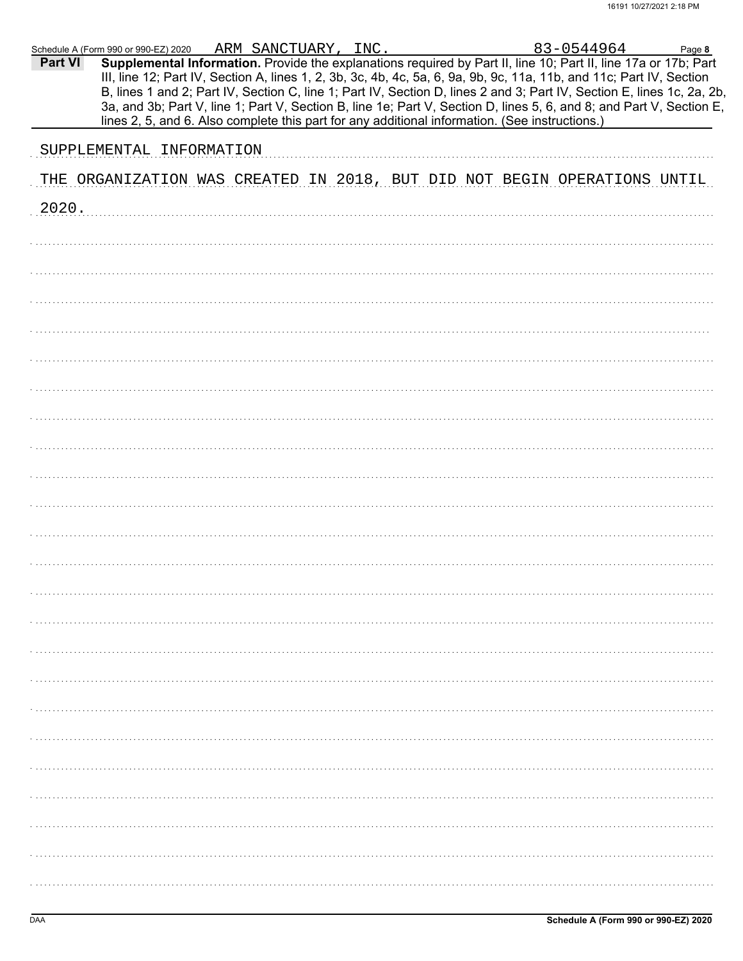|         | Schedule A (Form 990 or 990-EZ) 2020 ARM SANCTUARY, INC.                                                                                                                                                                                |  |  | 83-0544964                                                                                                                                                                                                                                     | Page 8 |
|---------|-----------------------------------------------------------------------------------------------------------------------------------------------------------------------------------------------------------------------------------------|--|--|------------------------------------------------------------------------------------------------------------------------------------------------------------------------------------------------------------------------------------------------|--------|
| Part VI | Supplemental Information. Provide the explanations required by Part II, line 10; Part II, line 17a or 17b; Part<br>III, line 12; Part IV, Section A, lines 1, 2, 3b, 3c, 4b, 4c, 5a, 6, 9a, 9b, 9c, 11a, 11b, and 11c; Part IV, Section |  |  | B, lines 1 and 2; Part IV, Section C, line 1; Part IV, Section D, lines 2 and 3; Part IV, Section E, lines 1c, 2a, 2b,<br>3a, and 3b; Part V, line 1; Part V, Section B, line 1e; Part V, Section D, lines 5, 6, and 8; and Part V, Section E, |        |
|         | lines 2, 5, and 6. Also complete this part for any additional information. (See instructions.)                                                                                                                                          |  |  |                                                                                                                                                                                                                                                |        |
|         | SUPPLEMENTAL INFORMATION                                                                                                                                                                                                                |  |  |                                                                                                                                                                                                                                                |        |
|         | THE ORGANIZATION WAS CREATED IN 2018, BUT DID NOT BEGIN OPERATIONS UNTIL                                                                                                                                                                |  |  |                                                                                                                                                                                                                                                |        |
| 2020.   |                                                                                                                                                                                                                                         |  |  |                                                                                                                                                                                                                                                |        |
|         |                                                                                                                                                                                                                                         |  |  |                                                                                                                                                                                                                                                |        |
|         |                                                                                                                                                                                                                                         |  |  |                                                                                                                                                                                                                                                |        |
|         |                                                                                                                                                                                                                                         |  |  |                                                                                                                                                                                                                                                |        |
|         |                                                                                                                                                                                                                                         |  |  |                                                                                                                                                                                                                                                |        |
|         |                                                                                                                                                                                                                                         |  |  |                                                                                                                                                                                                                                                |        |
|         |                                                                                                                                                                                                                                         |  |  |                                                                                                                                                                                                                                                |        |
|         |                                                                                                                                                                                                                                         |  |  |                                                                                                                                                                                                                                                |        |
|         |                                                                                                                                                                                                                                         |  |  |                                                                                                                                                                                                                                                |        |
|         |                                                                                                                                                                                                                                         |  |  |                                                                                                                                                                                                                                                |        |
|         |                                                                                                                                                                                                                                         |  |  |                                                                                                                                                                                                                                                |        |
|         |                                                                                                                                                                                                                                         |  |  |                                                                                                                                                                                                                                                |        |
|         |                                                                                                                                                                                                                                         |  |  |                                                                                                                                                                                                                                                |        |
|         |                                                                                                                                                                                                                                         |  |  |                                                                                                                                                                                                                                                |        |
|         |                                                                                                                                                                                                                                         |  |  |                                                                                                                                                                                                                                                |        |
|         |                                                                                                                                                                                                                                         |  |  |                                                                                                                                                                                                                                                |        |
|         |                                                                                                                                                                                                                                         |  |  |                                                                                                                                                                                                                                                |        |
|         |                                                                                                                                                                                                                                         |  |  |                                                                                                                                                                                                                                                |        |
|         |                                                                                                                                                                                                                                         |  |  |                                                                                                                                                                                                                                                |        |
|         |                                                                                                                                                                                                                                         |  |  |                                                                                                                                                                                                                                                |        |
|         |                                                                                                                                                                                                                                         |  |  |                                                                                                                                                                                                                                                |        |
|         |                                                                                                                                                                                                                                         |  |  |                                                                                                                                                                                                                                                |        |
|         |                                                                                                                                                                                                                                         |  |  |                                                                                                                                                                                                                                                |        |
|         |                                                                                                                                                                                                                                         |  |  |                                                                                                                                                                                                                                                |        |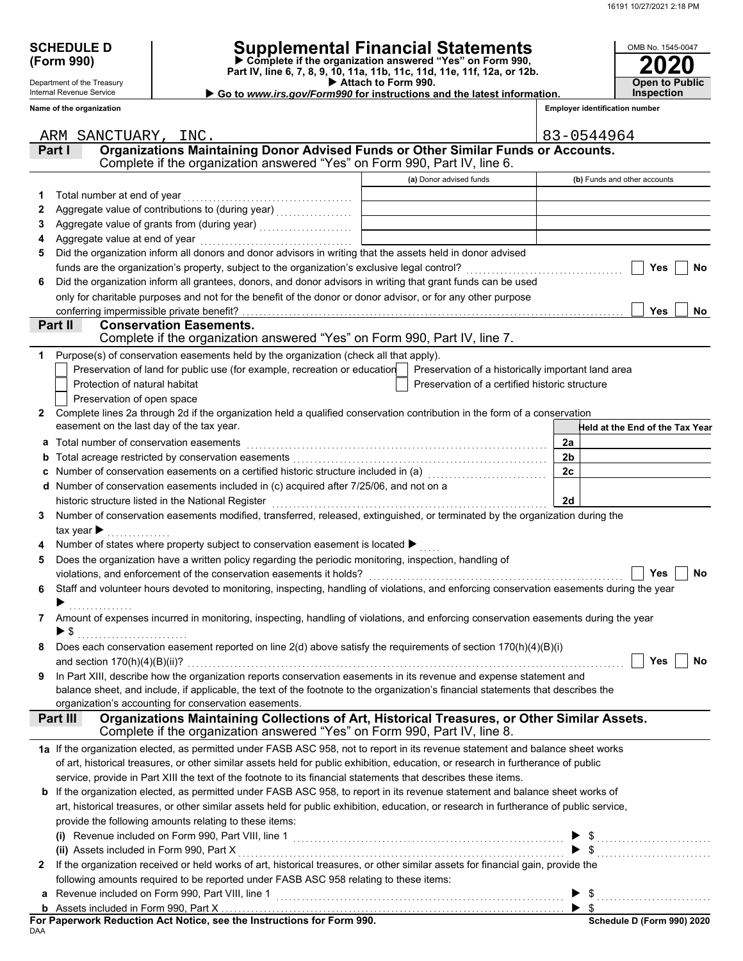| <b>SCHEDULE D</b> |  |
|-------------------|--|
| (Form 990)        |  |

Department of the Treasury Internal Revenue Service **Name of the organization**

# **SCHEDULE D Supplemental Financial Statements**

 **Attach to Form 990. (Form 990) Part IV, line 6, 7, 8, 9, 10, 11a, 11b, 11c, 11d, 11e, 11f, 12a, or 12b. Complete if the organization answered "Yes" on Form 990,**

| . |  |  |  |  |  |                                                                        |  |  |  |
|---|--|--|--|--|--|------------------------------------------------------------------------|--|--|--|
|   |  |  |  |  |  | Go to www.irs.gov/Form990 for instructions and the latest information. |  |  |  |

| OMB No. 1545-0047                   |
|-------------------------------------|
| 2020                                |
| <b>Open to Public</b><br>Inspection |

**Employer identification number**

|                | ARM SANCTUARY, INC.                                                                                                                                                           |                                                    | 83-0544964                      |
|----------------|-------------------------------------------------------------------------------------------------------------------------------------------------------------------------------|----------------------------------------------------|---------------------------------|
|                | Organizations Maintaining Donor Advised Funds or Other Similar Funds or Accounts.<br>Part I                                                                                   |                                                    |                                 |
|                | Complete if the organization answered "Yes" on Form 990, Part IV, line 6.                                                                                                     |                                                    |                                 |
|                |                                                                                                                                                                               | (a) Donor advised funds                            | (b) Funds and other accounts    |
| 1              | Total number at end of year                                                                                                                                                   |                                                    |                                 |
| 2              |                                                                                                                                                                               |                                                    |                                 |
| 3              |                                                                                                                                                                               |                                                    |                                 |
|                | Aggregate value at end of year                                                                                                                                                |                                                    |                                 |
| 5              | Did the organization inform all donors and donor advisors in writing that the assets held in donor advised                                                                    |                                                    |                                 |
|                | funds are the organization's property, subject to the organization's exclusive legal control?                                                                                 |                                                    | Yes<br><b>No</b>                |
| 6              | Did the organization inform all grantees, donors, and donor advisors in writing that grant funds can be used                                                                  |                                                    |                                 |
|                | only for charitable purposes and not for the benefit of the donor or donor advisor, or for any other purpose                                                                  |                                                    |                                 |
|                | conferring impermissible private benefit?                                                                                                                                     |                                                    | <b>Yes</b><br>No                |
|                | Part II<br><b>Conservation Easements.</b>                                                                                                                                     |                                                    |                                 |
|                | Complete if the organization answered "Yes" on Form 990, Part IV, line 7.                                                                                                     |                                                    |                                 |
| 1.             | Purpose(s) of conservation easements held by the organization (check all that apply).                                                                                         |                                                    |                                 |
|                | Preservation of land for public use (for example, recreation or education                                                                                                     | Preservation of a historically important land area |                                 |
|                | Protection of natural habitat                                                                                                                                                 | Preservation of a certified historic structure     |                                 |
|                | Preservation of open space                                                                                                                                                    |                                                    |                                 |
| $\mathbf{2}$   | Complete lines 2a through 2d if the organization held a qualified conservation contribution in the form of a conservation                                                     |                                                    |                                 |
|                | easement on the last day of the tax year.                                                                                                                                     |                                                    | Held at the End of the Tax Year |
| а              | Total number of conservation easements                                                                                                                                        |                                                    | 2a                              |
|                | Total acreage restricted by conservation easements                                                                                                                            |                                                    | 2 <sub>b</sub>                  |
|                |                                                                                                                                                                               |                                                    | 2c                              |
|                | Number of conservation easements included in (c) acquired after 7/25/06, and not on a                                                                                         |                                                    |                                 |
|                | historic structure listed in the National Register                                                                                                                            |                                                    | 2d                              |
| 3              | Number of conservation easements modified, transferred, released, extinguished, or terminated by the organization during the                                                  |                                                    |                                 |
|                | tax year $\blacktriangleright$                                                                                                                                                |                                                    |                                 |
|                | Number of states where property subject to conservation easement is located ▶                                                                                                 |                                                    |                                 |
| 5              | Does the organization have a written policy regarding the periodic monitoring, inspection, handling of<br>violations, and enforcement of the conservation easements it holds? |                                                    | No<br><b>Yes</b>                |
| 6              | Staff and volunteer hours devoted to monitoring, inspecting, handling of violations, and enforcing conservation easements during the year                                     |                                                    |                                 |
|                |                                                                                                                                                                               |                                                    |                                 |
|                | 7 Amount of expenses incurred in monitoring, inspecting, handling of violations, and enforcing conservation easements during the year                                         |                                                    |                                 |
|                |                                                                                                                                                                               |                                                    |                                 |
|                | Does each conservation easement reported on line 2(d) above satisfy the requirements of section 170(h)(4)(B)(i)                                                               |                                                    |                                 |
|                |                                                                                                                                                                               |                                                    |                                 |
| 9              | In Part XIII, describe how the organization reports conservation easements in its revenue and expense statement and                                                           |                                                    |                                 |
|                | balance sheet, and include, if applicable, the text of the footnote to the organization's financial statements that describes the                                             |                                                    |                                 |
|                | organization's accounting for conservation easements.                                                                                                                         |                                                    |                                 |
|                | Organizations Maintaining Collections of Art, Historical Treasures, or Other Similar Assets.<br>Part III                                                                      |                                                    |                                 |
|                | Complete if the organization answered "Yes" on Form 990, Part IV, line 8.                                                                                                     |                                                    |                                 |
|                | 1a If the organization elected, as permitted under FASB ASC 958, not to report in its revenue statement and balance sheet works                                               |                                                    |                                 |
|                | of art, historical treasures, or other similar assets held for public exhibition, education, or research in furtherance of public                                             |                                                    |                                 |
|                | service, provide in Part XIII the text of the footnote to its financial statements that describes these items.                                                                |                                                    |                                 |
|                | b If the organization elected, as permitted under FASB ASC 958, to report in its revenue statement and balance sheet works of                                                 |                                                    |                                 |
|                | art, historical treasures, or other similar assets held for public exhibition, education, or research in furtherance of public service,                                       |                                                    |                                 |
|                | provide the following amounts relating to these items:                                                                                                                        |                                                    |                                 |
|                | (i) Revenue included on Form 990, Part VIII, line 1 $\ldots$ $\blacktriangleright$ \$ $\ldots$ $\blacktriangleright$ \$ $\ldots$                                              |                                                    |                                 |
|                |                                                                                                                                                                               |                                                    |                                 |
| $\mathbf{2}^-$ | If the organization received or held works of art, historical treasures, or other similar assets for financial gain, provide the                                              |                                                    |                                 |
|                | following amounts required to be reported under FASB ASC 958 relating to these items:                                                                                         |                                                    |                                 |
|                |                                                                                                                                                                               |                                                    |                                 |
|                |                                                                                                                                                                               |                                                    |                                 |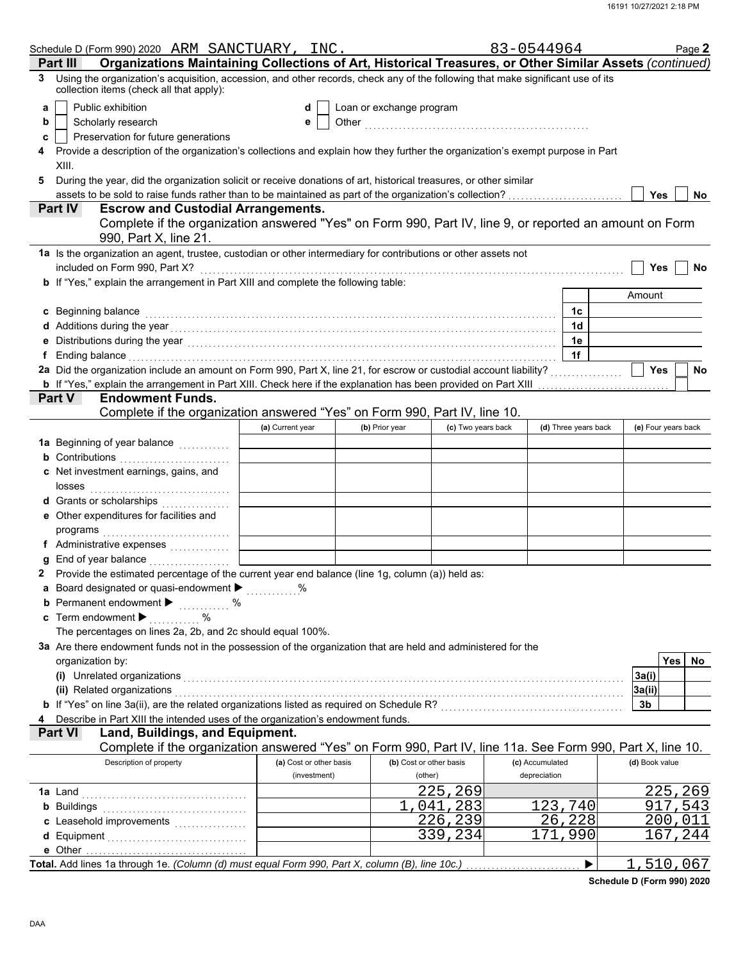|    | Schedule D (Form 990) 2020 ARM SANCTUARY, INC.                                                                                                                                                                                 |                         |                          |                    | 83-0544964      |                      |                     |         | Page 2 |
|----|--------------------------------------------------------------------------------------------------------------------------------------------------------------------------------------------------------------------------------|-------------------------|--------------------------|--------------------|-----------------|----------------------|---------------------|---------|--------|
|    | Organizations Maintaining Collections of Art, Historical Treasures, or Other Similar Assets (continued)<br>Part III                                                                                                            |                         |                          |                    |                 |                      |                     |         |        |
| 3  | Using the organization's acquisition, accession, and other records, check any of the following that make significant use of its<br>collection items (check all that apply):                                                    |                         |                          |                    |                 |                      |                     |         |        |
| a  | Public exhibition                                                                                                                                                                                                              | d                       | Loan or exchange program |                    |                 |                      |                     |         |        |
| b  | Scholarly research                                                                                                                                                                                                             | е                       |                          |                    |                 |                      |                     |         |        |
| c  | Preservation for future generations                                                                                                                                                                                            |                         |                          |                    |                 |                      |                     |         |        |
| 4  | Provide a description of the organization's collections and explain how they further the organization's exempt purpose in Part<br>XIII.                                                                                        |                         |                          |                    |                 |                      |                     |         |        |
| 5  | During the year, did the organization solicit or receive donations of art, historical treasures, or other similar                                                                                                              |                         |                          |                    |                 |                      |                     |         |        |
|    |                                                                                                                                                                                                                                |                         |                          |                    |                 |                      | Yes                 |         | No     |
|    | <b>Escrow and Custodial Arrangements.</b><br>Part IV                                                                                                                                                                           |                         |                          |                    |                 |                      |                     |         |        |
|    | Complete if the organization answered "Yes" on Form 990, Part IV, line 9, or reported an amount on Form<br>990, Part X, line 21.                                                                                               |                         |                          |                    |                 |                      |                     |         |        |
|    | 1a Is the organization an agent, trustee, custodian or other intermediary for contributions or other assets not                                                                                                                |                         |                          |                    |                 |                      |                     |         |        |
|    | included on Form 990, Part X?                                                                                                                                                                                                  |                         |                          |                    |                 |                      | <b>Yes</b>          |         | No     |
|    | b If "Yes," explain the arrangement in Part XIII and complete the following table:                                                                                                                                             |                         |                          |                    |                 |                      |                     |         |        |
|    |                                                                                                                                                                                                                                |                         |                          |                    |                 |                      | Amount              |         |        |
|    | c Beginning balance                                                                                                                                                                                                            |                         |                          |                    |                 | 1c                   |                     |         |        |
|    |                                                                                                                                                                                                                                |                         |                          |                    |                 | 1 <sub>d</sub>       |                     |         |        |
|    |                                                                                                                                                                                                                                |                         |                          |                    |                 | 1e                   |                     |         |        |
| f  | Ending balance with a continuum and continuum and continuum and continuum and continuum and continuum and continuum and continuum and continuum and continuum and continuum and continuum and continuum and continuum and cont |                         |                          |                    |                 | 1f                   |                     |         |        |
|    | 2a Did the organization include an amount on Form 990, Part X, line 21, for escrow or custodial account liability?                                                                                                             |                         |                          |                    |                 |                      | <b>Yes</b>          |         | No     |
|    | <b>b</b> If "Yes," explain the arrangement in Part XIII. Check here if the explanation has been provided on Part XIII                                                                                                          |                         |                          |                    |                 |                      |                     |         |        |
|    | <b>Part V</b><br><b>Endowment Funds.</b>                                                                                                                                                                                       |                         |                          |                    |                 |                      |                     |         |        |
|    | Complete if the organization answered "Yes" on Form 990, Part IV, line 10.                                                                                                                                                     |                         |                          |                    |                 |                      |                     |         |        |
|    |                                                                                                                                                                                                                                | (a) Current year        | (b) Prior year           | (c) Two years back |                 | (d) Three years back | (e) Four years back |         |        |
|    | 1a Beginning of year balance <i>minimizing</i>                                                                                                                                                                                 |                         |                          |                    |                 |                      |                     |         |        |
|    | <b>b</b> Contributions                                                                                                                                                                                                         |                         |                          |                    |                 |                      |                     |         |        |
|    | c Net investment earnings, gains, and<br>losses                                                                                                                                                                                |                         |                          |                    |                 |                      |                     |         |        |
|    | d Grants or scholarships                                                                                                                                                                                                       |                         |                          |                    |                 |                      |                     |         |        |
|    | e Other expenditures for facilities and                                                                                                                                                                                        |                         |                          |                    |                 |                      |                     |         |        |
|    | programs                                                                                                                                                                                                                       |                         |                          |                    |                 |                      |                     |         |        |
|    |                                                                                                                                                                                                                                |                         |                          |                    |                 |                      |                     |         |        |
| q  |                                                                                                                                                                                                                                |                         |                          |                    |                 |                      |                     |         |        |
| 2. | Provide the estimated percentage of the current year end balance (line 1g, column (a)) held as:                                                                                                                                |                         |                          |                    |                 |                      |                     |         |        |
|    | a Board designated or quasi-endowment >                                                                                                                                                                                        | ℅                       |                          |                    |                 |                      |                     |         |        |
|    | Permanent endowment ▶<br>$\%$                                                                                                                                                                                                  |                         |                          |                    |                 |                      |                     |         |        |
|    | c Term endowment $\blacktriangleright$                                                                                                                                                                                         |                         |                          |                    |                 |                      |                     |         |        |
|    | The percentages on lines 2a, 2b, and 2c should equal 100%.                                                                                                                                                                     |                         |                          |                    |                 |                      |                     |         |        |
|    | 3a Are there endowment funds not in the possession of the organization that are held and administered for the                                                                                                                  |                         |                          |                    |                 |                      |                     |         |        |
|    | organization by:                                                                                                                                                                                                               |                         |                          |                    |                 |                      |                     | Yes     | No     |
|    | (i) Unrelated organizations                                                                                                                                                                                                    |                         |                          |                    |                 |                      | 3a(i)               |         |        |
|    | (ii) Related organizations<br>b If "Yes" on line 3a(ii), are the related organizations listed as required on Schedule R? [[[[[[[[[[[[[[[[[[[                                                                                   |                         |                          |                    |                 |                      | 3a(ii)<br>3b        |         |        |
|    | Describe in Part XIII the intended uses of the organization's endowment funds.                                                                                                                                                 |                         |                          |                    |                 |                      |                     |         |        |
|    | <b>Part VI</b><br>Land, Buildings, and Equipment.                                                                                                                                                                              |                         |                          |                    |                 |                      |                     |         |        |
|    | Complete if the organization answered "Yes" on Form 990, Part IV, line 11a. See Form 990, Part X, line 10.                                                                                                                     |                         |                          |                    |                 |                      |                     |         |        |
|    | Description of property                                                                                                                                                                                                        | (a) Cost or other basis | (b) Cost or other basis  |                    | (c) Accumulated |                      | (d) Book value      |         |        |
|    |                                                                                                                                                                                                                                | (investment)            | (other)                  |                    | depreciation    |                      |                     |         |        |
|    |                                                                                                                                                                                                                                |                         |                          | 225,269            |                 |                      |                     | 225,269 |        |
|    | <b>b</b> Buildings                                                                                                                                                                                                             |                         |                          | 1,041,283          |                 | 123,740              |                     | 917,543 |        |
|    | c Leasehold improvements                                                                                                                                                                                                       |                         |                          | 226,239            |                 | 26,228               |                     | 200,011 |        |
|    |                                                                                                                                                                                                                                |                         |                          | 339,234            |                 | 171,990              |                     | 167,244 |        |
|    |                                                                                                                                                                                                                                |                         |                          |                    |                 |                      |                     |         |        |
|    |                                                                                                                                                                                                                                |                         |                          |                    |                 | ▶                    | 1,510,067           |         |        |

**Schedule D (Form 990) 2020**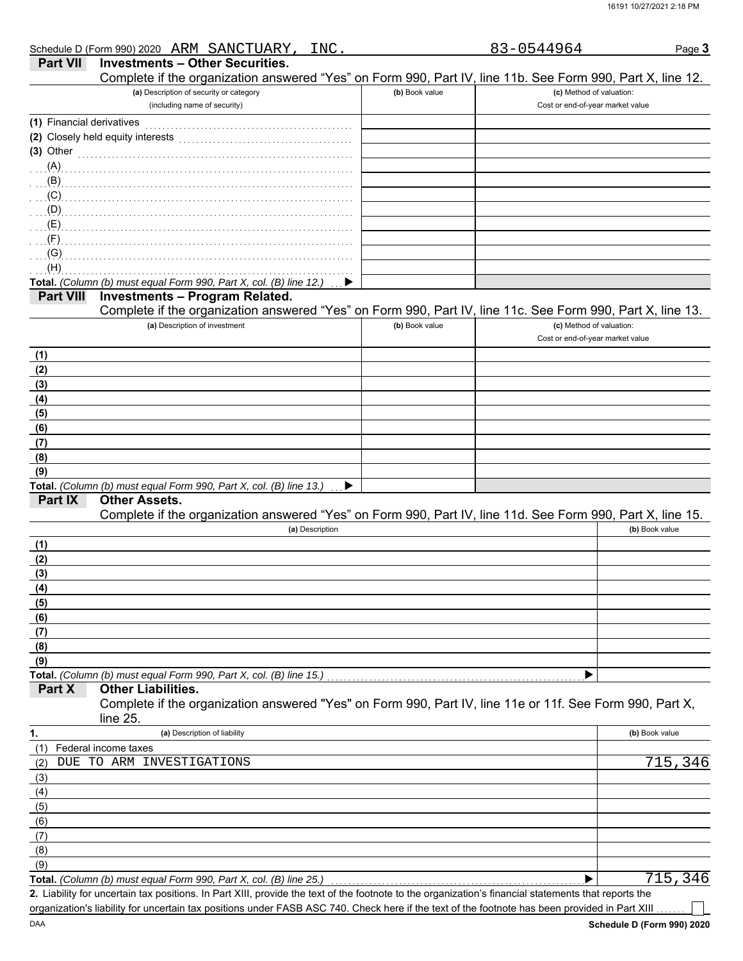|                           | Schedule D (Form 990) 2020 ARM SANCTUARY, INC.                                                                                                       |                | 83-0544964                                                   | Page 3         |
|---------------------------|------------------------------------------------------------------------------------------------------------------------------------------------------|----------------|--------------------------------------------------------------|----------------|
| <b>Part VII</b>           | <b>Investments - Other Securities.</b>                                                                                                               |                |                                                              |                |
|                           | Complete if the organization answered "Yes" on Form 990, Part IV, line 11b. See Form 990, Part X, line 12.                                           |                |                                                              |                |
|                           | (a) Description of security or category                                                                                                              | (b) Book value | (c) Method of valuation:                                     |                |
|                           | (including name of security)                                                                                                                         |                | Cost or end-of-year market value                             |                |
| (1) Financial derivatives |                                                                                                                                                      |                |                                                              |                |
|                           | (2) Closely held equity interests                                                                                                                    |                |                                                              |                |
| $(3)$ Other               |                                                                                                                                                      |                |                                                              |                |
| (A)                       |                                                                                                                                                      |                |                                                              |                |
| $\ldots$ (B) $\ldots$     |                                                                                                                                                      |                |                                                              |                |
|                           |                                                                                                                                                      |                |                                                              |                |
| (D)                       |                                                                                                                                                      |                |                                                              |                |
| (E)                       |                                                                                                                                                      |                |                                                              |                |
| $\mathcal{F}(\mathsf{F})$ |                                                                                                                                                      |                |                                                              |                |
| (G)                       |                                                                                                                                                      |                |                                                              |                |
| (H)                       |                                                                                                                                                      |                |                                                              |                |
|                           | Total. (Column (b) must equal Form 990, Part X, col. (B) line 12.)                                                                                   |                |                                                              |                |
| <b>Part VIII</b>          | <b>Investments - Program Related.</b>                                                                                                                |                |                                                              |                |
|                           | Complete if the organization answered "Yes" on Form 990, Part IV, line 11c. See Form 990, Part X, line 13.                                           |                |                                                              |                |
|                           | (a) Description of investment                                                                                                                        | (b) Book value | (c) Method of valuation:<br>Cost or end-of-year market value |                |
|                           |                                                                                                                                                      |                |                                                              |                |
| (1)                       |                                                                                                                                                      |                |                                                              |                |
| (2)                       |                                                                                                                                                      |                |                                                              |                |
| (3)                       |                                                                                                                                                      |                |                                                              |                |
| (4)                       |                                                                                                                                                      |                |                                                              |                |
| (5)                       |                                                                                                                                                      |                |                                                              |                |
| (6)                       |                                                                                                                                                      |                |                                                              |                |
| (7)                       |                                                                                                                                                      |                |                                                              |                |
| (8)                       |                                                                                                                                                      |                |                                                              |                |
| (9)                       | Total. (Column (b) must equal Form 990, Part X, col. (B) line 13.)                                                                                   |                |                                                              |                |
| <b>Part IX</b>            | <b>Other Assets.</b><br>Complete if the organization answered "Yes" on Form 990, Part IV, line 11d. See Form 990, Part X, line 15.                   |                |                                                              |                |
|                           | (a) Description                                                                                                                                      |                |                                                              | (b) Book value |
| (1)                       |                                                                                                                                                      |                |                                                              |                |
| (2)                       |                                                                                                                                                      |                |                                                              |                |
| (3)                       |                                                                                                                                                      |                |                                                              |                |
| (4)                       |                                                                                                                                                      |                |                                                              |                |
| (5)                       |                                                                                                                                                      |                |                                                              |                |
| (6)                       |                                                                                                                                                      |                |                                                              |                |
| (7)                       |                                                                                                                                                      |                |                                                              |                |
| (8)                       |                                                                                                                                                      |                |                                                              |                |
| (9)                       |                                                                                                                                                      |                |                                                              |                |
|                           | Total. (Column (b) must equal Form 990, Part X, col. (B) line 15.)                                                                                   |                |                                                              |                |
| Part X                    | <b>Other Liabilities.</b><br>Complete if the organization answered "Yes" on Form 990, Part IV, line 11e or 11f. See Form 990, Part X,<br>line 25.    |                |                                                              |                |
| 1.                        | (a) Description of liability                                                                                                                         |                |                                                              | (b) Book value |
| (1)                       | Federal income taxes                                                                                                                                 |                |                                                              |                |
| (2)                       | DUE TO ARM INVESTIGATIONS                                                                                                                            |                |                                                              | 715,346        |
| (3)                       |                                                                                                                                                      |                |                                                              |                |
| (4)                       |                                                                                                                                                      |                |                                                              |                |
| (5)                       |                                                                                                                                                      |                |                                                              |                |
| (6)                       |                                                                                                                                                      |                |                                                              |                |
| (7)                       |                                                                                                                                                      |                |                                                              |                |
| (8)                       |                                                                                                                                                      |                |                                                              |                |
| (9)                       |                                                                                                                                                      |                |                                                              |                |
|                           | Total. (Column (b) must equal Form 990, Part X, col. (B) line 25.)                                                                                   |                |                                                              | 715,346        |
|                           | 2. Liability for uncertain tax positions. In Part XIII, provide the text of the footnote to the organization's financial statements that reports the |                |                                                              |                |
|                           | organization's liability for uncertain tax positions under FASB ASC 740. Check here if the text of the footnote has been provided in Part XIII       |                |                                                              |                |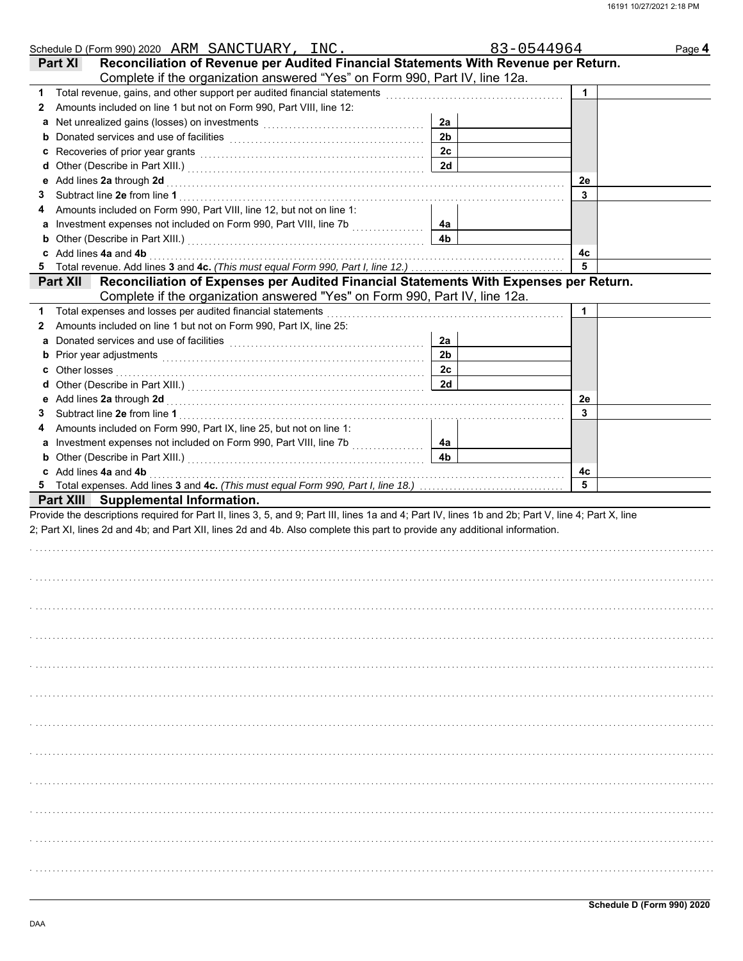| Schedule D (Form 990) 2020 ARM SANCTUARY, INC.                                                                                                                                                                                      |                | 83-0544964 | Page 4 |
|-------------------------------------------------------------------------------------------------------------------------------------------------------------------------------------------------------------------------------------|----------------|------------|--------|
| Reconciliation of Revenue per Audited Financial Statements With Revenue per Return.<br><b>Part XI</b>                                                                                                                               |                |            |        |
| Complete if the organization answered "Yes" on Form 990, Part IV, line 12a.                                                                                                                                                         |                |            |        |
| 1                                                                                                                                                                                                                                   |                |            |        |
| Amounts included on line 1 but not on Form 990, Part VIII, line 12:<br>2                                                                                                                                                            |                |            |        |
| a Net unrealized gains (losses) on investments [111] Net also have not all the Net all the Net all the Net al A                                                                                                                     | 2a             |            |        |
| b                                                                                                                                                                                                                                   | 2 <sub>b</sub> |            |        |
| Recoveries of prior year grants [11] Recoveries of prior year grants [11] All and the contract of the contract of the contract of the contract of the contract of the contract of the contract of the contract of the contract<br>c | 2c             |            |        |
| d                                                                                                                                                                                                                                   | 2d             |            |        |
|                                                                                                                                                                                                                                     |                | 2e         |        |
| 3                                                                                                                                                                                                                                   |                | 3          |        |
| Amounts included on Form 990, Part VIII, line 12, but not on line 1:<br>4                                                                                                                                                           |                |            |        |
| Investment expenses not included on Form 990, Part VIII, line 7b<br>a                                                                                                                                                               | 4a             |            |        |
| b                                                                                                                                                                                                                                   | 4 <sub>b</sub> |            |        |
| Add lines 4a and 4b<br>c                                                                                                                                                                                                            |                | 4с         |        |
| 5                                                                                                                                                                                                                                   |                | 5          |        |
| Reconciliation of Expenses per Audited Financial Statements With Expenses per Return.<br><b>Part XII</b>                                                                                                                            |                |            |        |
| Complete if the organization answered "Yes" on Form 990, Part IV, line 12a.                                                                                                                                                         |                |            |        |
| Total expenses and losses per audited financial statements<br>1                                                                                                                                                                     |                | 1          |        |
| 2 Amounts included on line 1 but not on Form 990, Part IX, line 25:                                                                                                                                                                 |                |            |        |
| a Donated services and use of facilities <b>constructs</b> and construct of the service of the Donated Service of the S                                                                                                             | 2a             |            |        |
| Prior year adjustments <b>contained a contained and prior</b> year adjustments<br>b                                                                                                                                                 | 2 <sub>b</sub> |            |        |
| c                                                                                                                                                                                                                                   | 2c             |            |        |
| d                                                                                                                                                                                                                                   | 2d             |            |        |
|                                                                                                                                                                                                                                     |                | 2e         |        |
| Subtract line 2e from line 1<br>3                                                                                                                                                                                                   |                | 3          |        |
| Amounts included on Form 990, Part IX, line 25, but not on line 1:<br>4                                                                                                                                                             |                |            |        |
| a Investment expenses not included on Form 990, Part VIII, line 7b                                                                                                                                                                  | 4a             |            |        |
| <b>b</b> Other (Describe in Part XIII.) <b>CONSERVING (2014)</b>                                                                                                                                                                    | 4 <sub>b</sub> |            |        |
| c Add lines 4a and 4b                                                                                                                                                                                                               |                | 4c         |        |
| 5                                                                                                                                                                                                                                   |                | 5          |        |
| Part XIII Supplemental Information.                                                                                                                                                                                                 |                |            |        |
| Provide the descriptions required for Part II, lines 3, 5, and 9; Part III, lines 1a and 4; Part IV, lines 1b and 2b; Part V, line 4; Part X, line                                                                                  |                |            |        |
| 2; Part XI, lines 2d and 4b; and Part XII, lines 2d and 4b. Also complete this part to provide any additional information.                                                                                                          |                |            |        |
|                                                                                                                                                                                                                                     |                |            |        |
|                                                                                                                                                                                                                                     |                |            |        |
|                                                                                                                                                                                                                                     |                |            |        |
|                                                                                                                                                                                                                                     |                |            |        |
|                                                                                                                                                                                                                                     |                |            |        |
|                                                                                                                                                                                                                                     |                |            |        |
|                                                                                                                                                                                                                                     |                |            |        |
|                                                                                                                                                                                                                                     |                |            |        |
|                                                                                                                                                                                                                                     |                |            |        |
|                                                                                                                                                                                                                                     |                |            |        |
|                                                                                                                                                                                                                                     |                |            |        |
|                                                                                                                                                                                                                                     |                |            |        |
|                                                                                                                                                                                                                                     |                |            |        |
|                                                                                                                                                                                                                                     |                |            |        |
|                                                                                                                                                                                                                                     |                |            |        |
|                                                                                                                                                                                                                                     |                |            |        |
|                                                                                                                                                                                                                                     |                |            |        |
|                                                                                                                                                                                                                                     |                |            |        |
|                                                                                                                                                                                                                                     |                |            |        |
|                                                                                                                                                                                                                                     |                |            |        |
|                                                                                                                                                                                                                                     |                |            |        |
|                                                                                                                                                                                                                                     |                |            |        |
|                                                                                                                                                                                                                                     |                |            |        |
|                                                                                                                                                                                                                                     |                |            |        |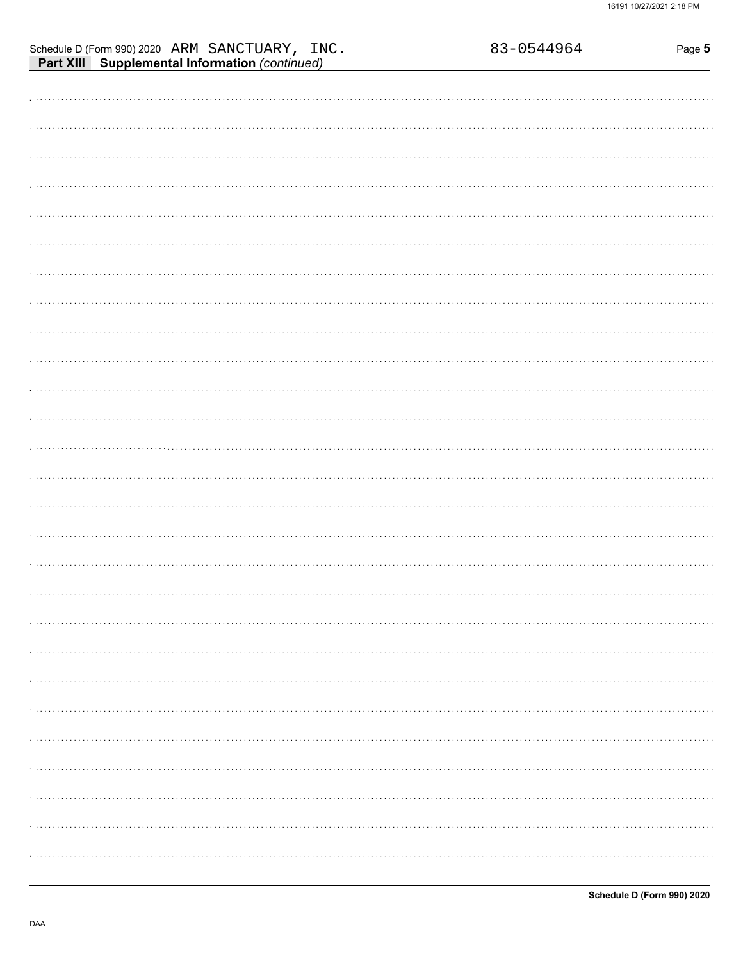| Schedule D (Form 990) 2020 ARM SANCTUARY, INC.<br>Part XIII Supplemental Information (continued) |  | 83-0544964 | Page 5 |
|--------------------------------------------------------------------------------------------------|--|------------|--------|
|                                                                                                  |  |            |        |
|                                                                                                  |  |            |        |
|                                                                                                  |  |            |        |
|                                                                                                  |  |            |        |
|                                                                                                  |  |            |        |
|                                                                                                  |  |            |        |
|                                                                                                  |  |            |        |
|                                                                                                  |  |            |        |
|                                                                                                  |  |            |        |
|                                                                                                  |  |            |        |
|                                                                                                  |  |            |        |
|                                                                                                  |  |            |        |
|                                                                                                  |  |            |        |
|                                                                                                  |  |            |        |
|                                                                                                  |  |            |        |
|                                                                                                  |  |            |        |
|                                                                                                  |  |            |        |
|                                                                                                  |  |            |        |
|                                                                                                  |  |            |        |
|                                                                                                  |  |            |        |
|                                                                                                  |  |            |        |
|                                                                                                  |  |            |        |
|                                                                                                  |  |            |        |
|                                                                                                  |  |            |        |
|                                                                                                  |  |            |        |
|                                                                                                  |  |            |        |
|                                                                                                  |  |            |        |
|                                                                                                  |  |            |        |
|                                                                                                  |  |            |        |
|                                                                                                  |  |            |        |
|                                                                                                  |  |            |        |
|                                                                                                  |  |            |        |
|                                                                                                  |  |            |        |
|                                                                                                  |  |            |        |
|                                                                                                  |  |            | .      |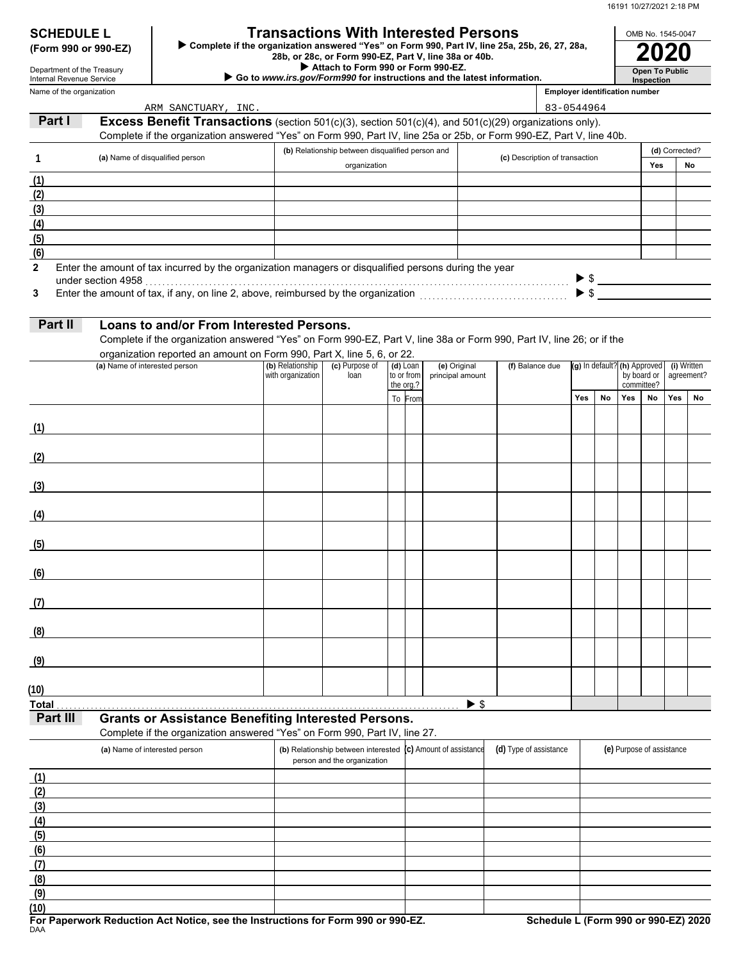**Open To Public**

OMB No. 1545-0047

| <b>SCHEDULE L</b>                      |  |  |
|----------------------------------------|--|--|
| $(F_{\alpha r}$ and $\alpha r$ and $F$ |  |  |

Name of the organization Department of the Treasury Internal Revenue Service

# **Transactions With Interested Persons**

**(Form 990 or 990-EZ) ►** Complete if the organization answered "Yes" on Form 990, Part IV, line 25a, 25b, 26, 27, 28a,<br>28b, or 28c, or Form 990-EZ, Part V, line 38a or 40b.<br>2020

 **Attach to Form 990 or Form 990-EZ.**

## ▶ Go to www.irs.gov/Form990 for instructions and the latest information.

**Inspection Employer identification number**

|                          | ARM SANCTUARY, INC.                                                                                                                      |                   |                                                                    |                         |                          |                                | 83-0544964 |    |     |                              |                           |            |
|--------------------------|------------------------------------------------------------------------------------------------------------------------------------------|-------------------|--------------------------------------------------------------------|-------------------------|--------------------------|--------------------------------|------------|----|-----|------------------------------|---------------------------|------------|
| Part I                   | <b>Excess Benefit Transactions</b> (section 501(c)(3), section 501(c)(4), and 501(c)(29) organizations only).                            |                   |                                                                    |                         |                          |                                |            |    |     |                              |                           |            |
|                          | Complete if the organization answered "Yes" on Form 990, Part IV, line 25a or 25b, or Form 990-EZ, Part V, line 40b.                     |                   |                                                                    |                         |                          |                                |            |    |     |                              |                           |            |
|                          |                                                                                                                                          |                   | (b) Relationship between disqualified person and                   |                         |                          |                                |            |    |     |                              | (d) Corrected?            |            |
| 1                        | (a) Name of disqualified person                                                                                                          |                   | organization                                                       |                         |                          | (c) Description of transaction |            |    |     | Yes                          |                           | No         |
| (1)                      |                                                                                                                                          |                   |                                                                    |                         |                          |                                |            |    |     |                              |                           |            |
| (2)                      |                                                                                                                                          |                   |                                                                    |                         |                          |                                |            |    |     |                              |                           |            |
| (3)                      |                                                                                                                                          |                   |                                                                    |                         |                          |                                |            |    |     |                              |                           |            |
| (4)                      |                                                                                                                                          |                   |                                                                    |                         |                          |                                |            |    |     |                              |                           |            |
| (5)                      |                                                                                                                                          |                   |                                                                    |                         |                          |                                |            |    |     |                              |                           |            |
| (6)                      |                                                                                                                                          |                   |                                                                    |                         |                          |                                |            |    |     |                              |                           |            |
| $\mathbf{2}$             | Enter the amount of tax incurred by the organization managers or disqualified persons during the year                                    |                   |                                                                    |                         |                          |                                |            |    |     |                              |                           |            |
|                          | under section 4958                                                                                                                       |                   |                                                                    |                         |                          |                                |            |    |     |                              | $\triangleright$ \$       |            |
| 3                        |                                                                                                                                          |                   |                                                                    |                         |                          |                                |            |    |     | $\blacktriangleright$ \$     |                           |            |
|                          |                                                                                                                                          |                   |                                                                    |                         |                          |                                |            |    |     |                              |                           |            |
| Part II                  | Loans to and/or From Interested Persons.                                                                                                 |                   |                                                                    |                         |                          |                                |            |    |     |                              |                           |            |
|                          | Complete if the organization answered "Yes" on Form 990-EZ, Part V, line 38a or Form 990, Part IV, line 26; or if the                    |                   |                                                                    |                         |                          |                                |            |    |     |                              |                           |            |
|                          | organization reported an amount on Form 990, Part X, line 5, 6, or 22.                                                                   |                   |                                                                    |                         |                          |                                |            |    |     |                              |                           |            |
|                          | (a) Name of interested person                                                                                                            | (b) Relationship  | (c) Purpose of                                                     | $(d)$ Loan              | (e) Original             | (f) Balance due                |            |    |     | (g) In default? (h) Approved | (i) Written               |            |
|                          |                                                                                                                                          | with organization | loan                                                               | to or from<br>the org.? | principal amount         |                                |            |    |     | by board or<br>committee?    |                           | agreement? |
|                          |                                                                                                                                          |                   |                                                                    | To From                 |                          |                                | Yes        | No | Yes | No                           | Yes                       | No         |
|                          |                                                                                                                                          |                   |                                                                    |                         |                          |                                |            |    |     |                              |                           |            |
| (1)                      |                                                                                                                                          |                   |                                                                    |                         |                          |                                |            |    |     |                              |                           |            |
|                          |                                                                                                                                          |                   |                                                                    |                         |                          |                                |            |    |     |                              |                           |            |
| (2)                      |                                                                                                                                          |                   |                                                                    |                         |                          |                                |            |    |     |                              |                           |            |
|                          |                                                                                                                                          |                   |                                                                    |                         |                          |                                |            |    |     |                              |                           |            |
| (3)                      |                                                                                                                                          |                   |                                                                    |                         |                          |                                |            |    |     |                              |                           |            |
|                          |                                                                                                                                          |                   |                                                                    |                         |                          |                                |            |    |     |                              |                           |            |
| (4)                      |                                                                                                                                          |                   |                                                                    |                         |                          |                                |            |    |     |                              |                           |            |
|                          |                                                                                                                                          |                   |                                                                    |                         |                          |                                |            |    |     |                              |                           |            |
| (5)                      |                                                                                                                                          |                   |                                                                    |                         |                          |                                |            |    |     |                              |                           |            |
|                          |                                                                                                                                          |                   |                                                                    |                         |                          |                                |            |    |     |                              |                           |            |
| (6)                      |                                                                                                                                          |                   |                                                                    |                         |                          |                                |            |    |     |                              |                           |            |
|                          |                                                                                                                                          |                   |                                                                    |                         |                          |                                |            |    |     |                              |                           |            |
| (7)                      |                                                                                                                                          |                   |                                                                    |                         |                          |                                |            |    |     |                              |                           |            |
|                          |                                                                                                                                          |                   |                                                                    |                         |                          |                                |            |    |     |                              |                           |            |
| (8)                      |                                                                                                                                          |                   |                                                                    |                         |                          |                                |            |    |     |                              |                           |            |
|                          |                                                                                                                                          |                   |                                                                    |                         |                          |                                |            |    |     |                              |                           |            |
| (9)                      |                                                                                                                                          |                   |                                                                    |                         |                          |                                |            |    |     |                              |                           |            |
|                          |                                                                                                                                          |                   |                                                                    |                         |                          |                                |            |    |     |                              |                           |            |
| (10)                     |                                                                                                                                          |                   |                                                                    |                         |                          |                                |            |    |     |                              |                           |            |
| <b>Total</b><br>Part III |                                                                                                                                          |                   |                                                                    |                         | $\blacktriangleright$ \$ |                                |            |    |     |                              |                           |            |
|                          | <b>Grants or Assistance Benefiting Interested Persons.</b><br>Complete if the organization answered "Yes" on Form 990, Part IV, line 27. |                   |                                                                    |                         |                          |                                |            |    |     |                              |                           |            |
|                          |                                                                                                                                          |                   |                                                                    |                         |                          |                                |            |    |     |                              |                           |            |
|                          | (a) Name of interested person                                                                                                            |                   | (b) Relationship between interested<br>person and the organization |                         | (c) Amount of assistance | (d) Type of assistance         |            |    |     |                              | (e) Purpose of assistance |            |
|                          |                                                                                                                                          |                   |                                                                    |                         |                          |                                |            |    |     |                              |                           |            |
| (1)<br>(2)               |                                                                                                                                          |                   |                                                                    |                         |                          |                                |            |    |     |                              |                           |            |
| (3)                      |                                                                                                                                          |                   |                                                                    |                         |                          |                                |            |    |     |                              |                           |            |
| (4)                      |                                                                                                                                          |                   |                                                                    |                         |                          |                                |            |    |     |                              |                           |            |
| (5)                      |                                                                                                                                          |                   |                                                                    |                         |                          |                                |            |    |     |                              |                           |            |
| (6)                      |                                                                                                                                          |                   |                                                                    |                         |                          |                                |            |    |     |                              |                           |            |
| (7)                      |                                                                                                                                          |                   |                                                                    |                         |                          |                                |            |    |     |                              |                           |            |
| (8)                      |                                                                                                                                          |                   |                                                                    |                         |                          |                                |            |    |     |                              |                           |            |
| (9)                      |                                                                                                                                          |                   |                                                                    |                         |                          |                                |            |    |     |                              |                           |            |
| (10)                     |                                                                                                                                          |                   |                                                                    |                         |                          |                                |            |    |     |                              |                           |            |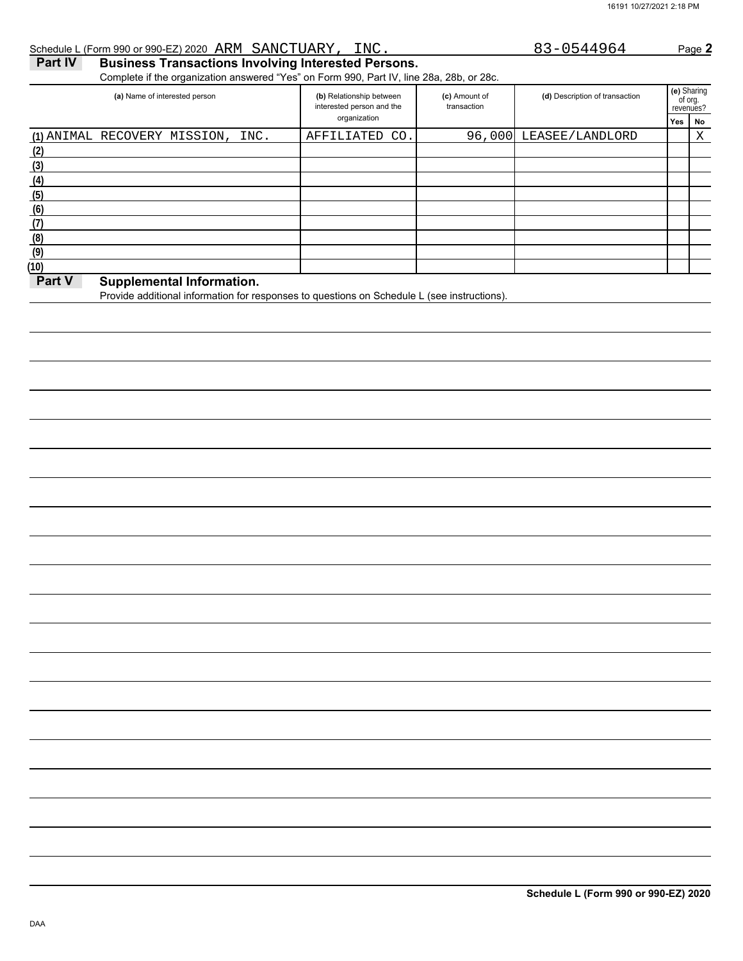### **NoYes** er sharing<br>of org.<br>revenues? **(e)** Sharing (d) Description of transaction interested person and the **Part IV Business Transactions Involving Interested Persons.** Complete if the organization answered "Yes" on Form 990, Part IV, line 28a, 28b, or 28c. **(a)** Name of interested person **(b)** Relationship between organization **(c)** Amount of transaction Schedule L (Form 990 or 990-EZ) 2020 Page **2** ARM SANCTUARY, INC. 83-0544964 **(3) (2)** (1) ANIMAL RECOVERY MISSION, INC. | AFFILIATED CO.| 96,000 LEASEE/LANDLORD | X

| υŗ     |                                                                                             |  |  |
|--------|---------------------------------------------------------------------------------------------|--|--|
| 4)     |                                                                                             |  |  |
|        |                                                                                             |  |  |
| 6)     |                                                                                             |  |  |
|        |                                                                                             |  |  |
|        |                                                                                             |  |  |
|        |                                                                                             |  |  |
|        |                                                                                             |  |  |
| Part V | <b>Supplemental Information.</b>                                                            |  |  |
|        | Provide additional information for responses to questions on Schedule L (see instructions). |  |  |
|        |                                                                                             |  |  |
|        |                                                                                             |  |  |
|        |                                                                                             |  |  |
|        |                                                                                             |  |  |

**(6) (5) (4)**

**(7) (8) (9) (10)**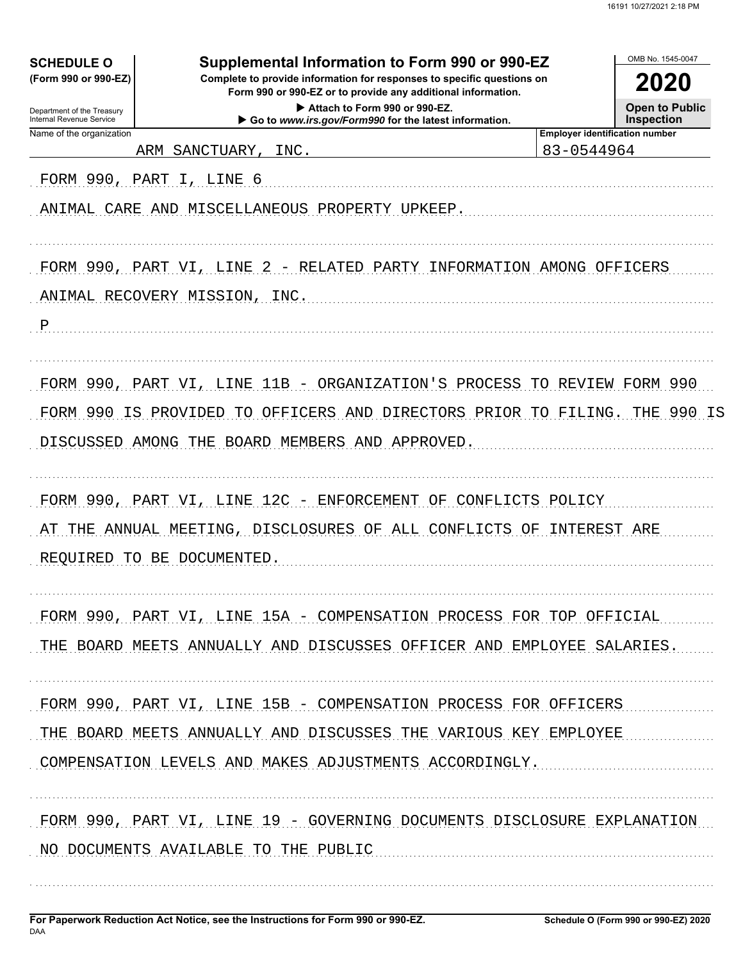| <b>SCHEDULE O</b>                                      | Supplemental Information to Form 990 or 990-EZ                          |                                                     | OMB No. 1545-0047  |
|--------------------------------------------------------|-------------------------------------------------------------------------|-----------------------------------------------------|--------------------|
| (Form 990 or 990-EZ)                                   | 2020                                                                    |                                                     |                    |
| Department of the Treasury<br>Internal Revenue Service |                                                                         | <b>Open to Public</b><br><b>Inspection</b>          |                    |
| Name of the organization<br>ARM                        | INC.<br>SANCTUARY,                                                      | <b>Employer identification number</b><br>83-0544964 |                    |
| FORM 990, PART                                         | I, LINE 6                                                               |                                                     |                    |
|                                                        | ANIMAL CARE AND MISCELLANEOUS PROPERTY UPKEEP.                          |                                                     |                    |
|                                                        |                                                                         |                                                     |                    |
|                                                        |                                                                         |                                                     |                    |
| FORM 990, PART VI, LINE                                | 2 - RELATED PARTY INFORMATION AMONG OFFICERS                            |                                                     |                    |
|                                                        | ANIMAL RECOVERY MISSION, INC.                                           |                                                     |                    |
| $\mathbf P$                                            |                                                                         |                                                     |                    |
|                                                        |                                                                         |                                                     |                    |
| FORM 990, PART VI, LINE                                | 11B - ORGANIZATION'S PROCESS TO REVIEW FORM 990                         |                                                     |                    |
| FORM 990                                               | IS PROVIDED<br>OFFICERS AND DIRECTORS PRIOR TO<br>TO                    |                                                     | FILING. THE 990 IS |
|                                                        | DISCUSSED AMONG THE BOARD MEMBERS AND APPROVED.                         |                                                     |                    |
|                                                        |                                                                         |                                                     |                    |
|                                                        | FORM 990, PART VI, LINE 12C - ENFORCEMENT OF CONFLICTS POLICY           |                                                     |                    |
|                                                        | THE ANNUAL MEETING, DISCLOSURES OF ALL CONFLICTS OF INTEREST ARE        |                                                     |                    |
| REQUIRED<br>TO.                                        | BE DOCUMENTED                                                           |                                                     |                    |
|                                                        |                                                                         |                                                     |                    |
|                                                        | FORM 990, PART VI, LINE 15A - COMPENSATION PROCESS FOR TOP OFFICIAL     |                                                     |                    |
|                                                        | THE BOARD MEETS ANNUALLY AND DISCUSSES OFFICER AND EMPLOYEE SALARIES.   |                                                     |                    |
|                                                        |                                                                         |                                                     |                    |
|                                                        | FORM 990, PART VI, LINE 15B - COMPENSATION PROCESS FOR OFFICERS         |                                                     |                    |
|                                                        | THE BOARD MEETS ANNUALLY AND DISCUSSES THE VARIOUS KEY EMPLOYEE         |                                                     |                    |
|                                                        | COMPENSATION LEVELS AND MAKES ADJUSTMENTS ACCORDINGLY.                  |                                                     |                    |
|                                                        |                                                                         |                                                     |                    |
|                                                        | FORM 990, PART VI, LINE 19 - GOVERNING DOCUMENTS DISCLOSURE EXPLANATION |                                                     |                    |
|                                                        | NO DOCUMENTS AVAILABLE TO THE PUBLIC                                    |                                                     |                    |
|                                                        |                                                                         |                                                     |                    |
|                                                        |                                                                         |                                                     |                    |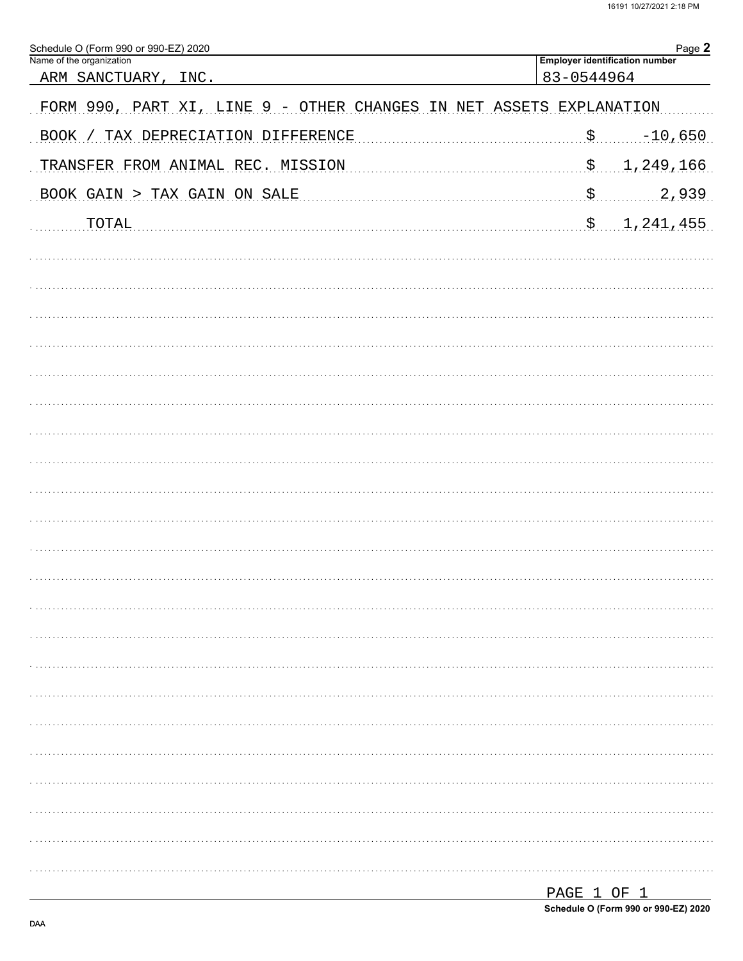| 83-0544964<br><u>ARM SANCTUARY,</u><br>INC.<br>FORM 990, PART XI, LINE 9 - OTHER CHANGES IN NET ASSETS EXPLANATION<br>$-10,650$<br>\$<br>BOOK / TAX DEPRECIATION DIFFERENCE<br>1,249,166<br>\$<br>TRANSFER FROM ANIMAL REC. MISSION<br>$\boldsymbol{\mathsf{S}}$ .<br>2,939<br>BOOK GAIN > TAX GAIN ON SALE<br>\$ 1,241,455<br><b>TOTAL</b> | Schedule O (Form 990 or 990-EZ) 2020<br>Name of the organization | Page 2<br><b>Employer identification number</b> |
|---------------------------------------------------------------------------------------------------------------------------------------------------------------------------------------------------------------------------------------------------------------------------------------------------------------------------------------------|------------------------------------------------------------------|-------------------------------------------------|
|                                                                                                                                                                                                                                                                                                                                             |                                                                  |                                                 |
|                                                                                                                                                                                                                                                                                                                                             |                                                                  |                                                 |
|                                                                                                                                                                                                                                                                                                                                             |                                                                  |                                                 |
|                                                                                                                                                                                                                                                                                                                                             |                                                                  |                                                 |
|                                                                                                                                                                                                                                                                                                                                             |                                                                  |                                                 |
|                                                                                                                                                                                                                                                                                                                                             |                                                                  |                                                 |
|                                                                                                                                                                                                                                                                                                                                             |                                                                  |                                                 |
|                                                                                                                                                                                                                                                                                                                                             |                                                                  |                                                 |
|                                                                                                                                                                                                                                                                                                                                             |                                                                  |                                                 |
|                                                                                                                                                                                                                                                                                                                                             |                                                                  |                                                 |
|                                                                                                                                                                                                                                                                                                                                             |                                                                  |                                                 |
|                                                                                                                                                                                                                                                                                                                                             |                                                                  |                                                 |
|                                                                                                                                                                                                                                                                                                                                             |                                                                  |                                                 |
|                                                                                                                                                                                                                                                                                                                                             |                                                                  |                                                 |
|                                                                                                                                                                                                                                                                                                                                             |                                                                  |                                                 |
|                                                                                                                                                                                                                                                                                                                                             |                                                                  |                                                 |
|                                                                                                                                                                                                                                                                                                                                             |                                                                  |                                                 |
|                                                                                                                                                                                                                                                                                                                                             |                                                                  |                                                 |
|                                                                                                                                                                                                                                                                                                                                             |                                                                  |                                                 |
|                                                                                                                                                                                                                                                                                                                                             |                                                                  |                                                 |
|                                                                                                                                                                                                                                                                                                                                             |                                                                  |                                                 |
|                                                                                                                                                                                                                                                                                                                                             |                                                                  |                                                 |
|                                                                                                                                                                                                                                                                                                                                             |                                                                  |                                                 |
|                                                                                                                                                                                                                                                                                                                                             |                                                                  |                                                 |
|                                                                                                                                                                                                                                                                                                                                             |                                                                  |                                                 |
|                                                                                                                                                                                                                                                                                                                                             |                                                                  |                                                 |
|                                                                                                                                                                                                                                                                                                                                             |                                                                  |                                                 |
|                                                                                                                                                                                                                                                                                                                                             |                                                                  |                                                 |
|                                                                                                                                                                                                                                                                                                                                             |                                                                  |                                                 |

| PAGE 1 OF 1                          |  |  |  |
|--------------------------------------|--|--|--|
| Schedule O (Form 990 or 990-EZ) 2020 |  |  |  |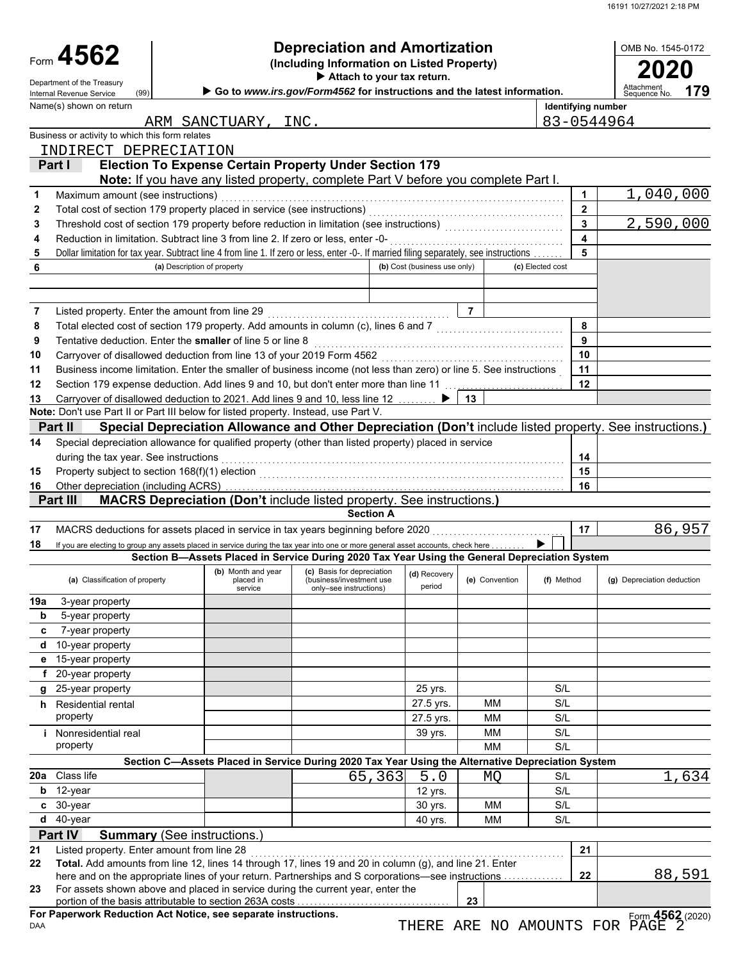| Form 4562<br>(Including Information on Listed Property)<br>Attach to your tax return.<br>Department of the Treasury<br>Attachment<br>179<br>Go to www.irs.gov/Form4562 for instructions and the latest information.<br>(99)<br>Internal Revenue Service<br>Sequence No<br>Name(s) shown on return<br>Identifying number<br>83-0544964<br>ARM SANCTUARY, INC.<br>Business or activity to which this form relates<br>INDIRECT DEPRECIATION<br><b>Election To Expense Certain Property Under Section 179</b><br>Part I<br>Note: If you have any listed property, complete Part V before you complete Part I.<br>Maximum amount (see instructions)<br>$\mathbf 1$<br>1<br>Total cost of section 179 property placed in service (see instructions)<br>$\overline{2}$<br>$\mathbf{2}$<br>$\overline{\mathbf{3}}$<br>3<br>$\overline{\mathbf{4}}$<br>Reduction in limitation. Subtract line 3 from line 2. If zero or less, enter -0-<br>4<br>5<br>Dollar limitation for tax year. Subtract line 4 from line 1. If zero or less, enter -0-. If married filing separately, see instructions<br>5<br>(b) Cost (business use only)<br>6<br>(a) Description of property<br>(c) Elected cost<br>$\overline{7}$<br>Listed property. Enter the amount from line 29<br>7<br>Total elected cost of section 179 property. Add amounts in column (c), lines 6 and 7 [[[[[[[[[[[[[[[[[[[[[[[[<br>8<br>8<br>9<br>Tentative deduction. Enter the smaller of line 5 or line 8<br>9<br>10<br>Carryover of disallowed deduction from line 13 of your 2019 Form 4562<br>10<br>Business income limitation. Enter the smaller of business income (not less than zero) or line 5. See instructions<br>11<br>11<br>12<br>Section 179 expense deduction. Add lines 9 and 10, but don't enter more than line 11 [1] [1] expense deduction.<br>12<br>Carryover of disallowed deduction to 2021. Add lines 9 and 10, less line 12<br>13<br>13<br>Note: Don't use Part II or Part III below for listed property. Instead, use Part V.<br>Special Depreciation Allowance and Other Depreciation (Don't include listed property. See instructions.)<br>Part II<br>Special depreciation allowance for qualified property (other than listed property) placed in service<br>14<br>during the tax year. See instructions<br>14<br>15<br>15<br>16<br>Other depreciation (including ACRS)<br>16<br>MACRS Depreciation (Don't include listed property. See instructions.)<br>Part III<br><b>Section A</b><br>MACRS deductions for assets placed in service in tax years beginning before 2020<br>17<br>17<br>18<br>If you are electing to group any assets placed in service during the tax year into one or more general asset accounts, check here<br>Section B-Assets Placed in Service During 2020 Tax Year Using the General Depreciation System<br>(b) Month and year<br>(c) Basis for depreciation<br>(d) Recovery<br>(a) Classification of property<br>(e) Convention<br>(f) Method<br>(g) Depreciation deduction<br>placed in<br>(business/investment use)<br>period<br>service<br>only-see instructions)<br>19a<br>3-year property<br>b<br>5-year property<br>7-year property<br>c<br>10-year property<br>d<br>15-year property<br>е<br>f 20-year property<br>25-year property<br>S/L<br>25 yrs.<br>g<br>27.5 yrs.<br><b>MM</b><br>S/L<br>h Residential rental<br>property<br>S/L<br>27.5 yrs.<br><b>MM</b><br>MM<br>S/L<br>39 yrs.<br><i>i</i> Nonresidential real<br>property<br><b>MM</b><br>S/L<br>Section C-Assets Placed in Service During 2020 Tax Year Using the Alternative Depreciation System<br>20a Class life<br>5.0<br>65,363<br>S/L<br>MO<br>12-year<br>S/L<br>12 yrs.<br>b<br>c 30-year<br>30 yrs.<br><b>MM</b><br>S/L<br>$d$ 40-year<br><b>MM</b><br>S/L<br>40 yrs.<br>Part IV<br><b>Summary (See instructions.)</b><br>21<br>Listed property. Enter amount from line 28<br>21<br>Total. Add amounts from line 12, lines 14 through 17, lines 19 and 20 in column (g), and line 21. Enter<br>22<br>22<br>here and on the appropriate lines of your return. Partnerships and S corporations—see instructions<br>For assets shown above and placed in service during the current year, enter the<br>23 |  |  |  | <b>Depreciation and Amortization</b> |  |  |    |  |  | OMB No. 1545-0172 |  |
|---------------------------------------------------------------------------------------------------------------------------------------------------------------------------------------------------------------------------------------------------------------------------------------------------------------------------------------------------------------------------------------------------------------------------------------------------------------------------------------------------------------------------------------------------------------------------------------------------------------------------------------------------------------------------------------------------------------------------------------------------------------------------------------------------------------------------------------------------------------------------------------------------------------------------------------------------------------------------------------------------------------------------------------------------------------------------------------------------------------------------------------------------------------------------------------------------------------------------------------------------------------------------------------------------------------------------------------------------------------------------------------------------------------------------------------------------------------------------------------------------------------------------------------------------------------------------------------------------------------------------------------------------------------------------------------------------------------------------------------------------------------------------------------------------------------------------------------------------------------------------------------------------------------------------------------------------------------------------------------------------------------------------------------------------------------------------------------------------------------------------------------------------------------------------------------------------------------------------------------------------------------------------------------------------------------------------------------------------------------------------------------------------------------------------------------------------------------------------------------------------------------------------------------------------------------------------------------------------------------------------------------------------------------------------------------------------------------------------------------------------------------------------------------------------------------------------------------------------------------------------------------------------------------------------------------------------------------------------------------------------------------------------------------------------------------------------------------------------------------------------------------------------------------------------------------------------------------------------------------------------------------------------------------------------------------------------------------------------------------------------------------------------------------------------------------------------------------------------------------------------------------------------------------------------------------------------------------------------------------------------------------------------------------------------------------------------------------------------------------------------------------------------------------------------------------------------------------------------------------------------------------------------------------------------------------------------------------------------------------------------------------------------------------------------------------------------------------------------------------------------------------------------------------------------------------|--|--|--|--------------------------------------|--|--|----|--|--|-------------------|--|
|                                                                                                                                                                                                                                                                                                                                                                                                                                                                                                                                                                                                                                                                                                                                                                                                                                                                                                                                                                                                                                                                                                                                                                                                                                                                                                                                                                                                                                                                                                                                                                                                                                                                                                                                                                                                                                                                                                                                                                                                                                                                                                                                                                                                                                                                                                                                                                                                                                                                                                                                                                                                                                                                                                                                                                                                                                                                                                                                                                                                                                                                                                                                                                                                                                                                                                                                                                                                                                                                                                                                                                                                                                                                                                                                                                                                                                                                                                                                                                                                                                                                                                                                                                                       |  |  |  |                                      |  |  |    |  |  |                   |  |
|                                                                                                                                                                                                                                                                                                                                                                                                                                                                                                                                                                                                                                                                                                                                                                                                                                                                                                                                                                                                                                                                                                                                                                                                                                                                                                                                                                                                                                                                                                                                                                                                                                                                                                                                                                                                                                                                                                                                                                                                                                                                                                                                                                                                                                                                                                                                                                                                                                                                                                                                                                                                                                                                                                                                                                                                                                                                                                                                                                                                                                                                                                                                                                                                                                                                                                                                                                                                                                                                                                                                                                                                                                                                                                                                                                                                                                                                                                                                                                                                                                                                                                                                                                                       |  |  |  |                                      |  |  |    |  |  |                   |  |
| 1,040,000<br>2,590,000<br>86,957<br>1,634<br><u>88,591</u>                                                                                                                                                                                                                                                                                                                                                                                                                                                                                                                                                                                                                                                                                                                                                                                                                                                                                                                                                                                                                                                                                                                                                                                                                                                                                                                                                                                                                                                                                                                                                                                                                                                                                                                                                                                                                                                                                                                                                                                                                                                                                                                                                                                                                                                                                                                                                                                                                                                                                                                                                                                                                                                                                                                                                                                                                                                                                                                                                                                                                                                                                                                                                                                                                                                                                                                                                                                                                                                                                                                                                                                                                                                                                                                                                                                                                                                                                                                                                                                                                                                                                                                            |  |  |  |                                      |  |  |    |  |  |                   |  |
|                                                                                                                                                                                                                                                                                                                                                                                                                                                                                                                                                                                                                                                                                                                                                                                                                                                                                                                                                                                                                                                                                                                                                                                                                                                                                                                                                                                                                                                                                                                                                                                                                                                                                                                                                                                                                                                                                                                                                                                                                                                                                                                                                                                                                                                                                                                                                                                                                                                                                                                                                                                                                                                                                                                                                                                                                                                                                                                                                                                                                                                                                                                                                                                                                                                                                                                                                                                                                                                                                                                                                                                                                                                                                                                                                                                                                                                                                                                                                                                                                                                                                                                                                                                       |  |  |  |                                      |  |  |    |  |  |                   |  |
|                                                                                                                                                                                                                                                                                                                                                                                                                                                                                                                                                                                                                                                                                                                                                                                                                                                                                                                                                                                                                                                                                                                                                                                                                                                                                                                                                                                                                                                                                                                                                                                                                                                                                                                                                                                                                                                                                                                                                                                                                                                                                                                                                                                                                                                                                                                                                                                                                                                                                                                                                                                                                                                                                                                                                                                                                                                                                                                                                                                                                                                                                                                                                                                                                                                                                                                                                                                                                                                                                                                                                                                                                                                                                                                                                                                                                                                                                                                                                                                                                                                                                                                                                                                       |  |  |  |                                      |  |  |    |  |  |                   |  |
|                                                                                                                                                                                                                                                                                                                                                                                                                                                                                                                                                                                                                                                                                                                                                                                                                                                                                                                                                                                                                                                                                                                                                                                                                                                                                                                                                                                                                                                                                                                                                                                                                                                                                                                                                                                                                                                                                                                                                                                                                                                                                                                                                                                                                                                                                                                                                                                                                                                                                                                                                                                                                                                                                                                                                                                                                                                                                                                                                                                                                                                                                                                                                                                                                                                                                                                                                                                                                                                                                                                                                                                                                                                                                                                                                                                                                                                                                                                                                                                                                                                                                                                                                                                       |  |  |  |                                      |  |  |    |  |  |                   |  |
|                                                                                                                                                                                                                                                                                                                                                                                                                                                                                                                                                                                                                                                                                                                                                                                                                                                                                                                                                                                                                                                                                                                                                                                                                                                                                                                                                                                                                                                                                                                                                                                                                                                                                                                                                                                                                                                                                                                                                                                                                                                                                                                                                                                                                                                                                                                                                                                                                                                                                                                                                                                                                                                                                                                                                                                                                                                                                                                                                                                                                                                                                                                                                                                                                                                                                                                                                                                                                                                                                                                                                                                                                                                                                                                                                                                                                                                                                                                                                                                                                                                                                                                                                                                       |  |  |  |                                      |  |  |    |  |  |                   |  |
|                                                                                                                                                                                                                                                                                                                                                                                                                                                                                                                                                                                                                                                                                                                                                                                                                                                                                                                                                                                                                                                                                                                                                                                                                                                                                                                                                                                                                                                                                                                                                                                                                                                                                                                                                                                                                                                                                                                                                                                                                                                                                                                                                                                                                                                                                                                                                                                                                                                                                                                                                                                                                                                                                                                                                                                                                                                                                                                                                                                                                                                                                                                                                                                                                                                                                                                                                                                                                                                                                                                                                                                                                                                                                                                                                                                                                                                                                                                                                                                                                                                                                                                                                                                       |  |  |  |                                      |  |  |    |  |  |                   |  |
|                                                                                                                                                                                                                                                                                                                                                                                                                                                                                                                                                                                                                                                                                                                                                                                                                                                                                                                                                                                                                                                                                                                                                                                                                                                                                                                                                                                                                                                                                                                                                                                                                                                                                                                                                                                                                                                                                                                                                                                                                                                                                                                                                                                                                                                                                                                                                                                                                                                                                                                                                                                                                                                                                                                                                                                                                                                                                                                                                                                                                                                                                                                                                                                                                                                                                                                                                                                                                                                                                                                                                                                                                                                                                                                                                                                                                                                                                                                                                                                                                                                                                                                                                                                       |  |  |  |                                      |  |  |    |  |  |                   |  |
|                                                                                                                                                                                                                                                                                                                                                                                                                                                                                                                                                                                                                                                                                                                                                                                                                                                                                                                                                                                                                                                                                                                                                                                                                                                                                                                                                                                                                                                                                                                                                                                                                                                                                                                                                                                                                                                                                                                                                                                                                                                                                                                                                                                                                                                                                                                                                                                                                                                                                                                                                                                                                                                                                                                                                                                                                                                                                                                                                                                                                                                                                                                                                                                                                                                                                                                                                                                                                                                                                                                                                                                                                                                                                                                                                                                                                                                                                                                                                                                                                                                                                                                                                                                       |  |  |  |                                      |  |  |    |  |  |                   |  |
|                                                                                                                                                                                                                                                                                                                                                                                                                                                                                                                                                                                                                                                                                                                                                                                                                                                                                                                                                                                                                                                                                                                                                                                                                                                                                                                                                                                                                                                                                                                                                                                                                                                                                                                                                                                                                                                                                                                                                                                                                                                                                                                                                                                                                                                                                                                                                                                                                                                                                                                                                                                                                                                                                                                                                                                                                                                                                                                                                                                                                                                                                                                                                                                                                                                                                                                                                                                                                                                                                                                                                                                                                                                                                                                                                                                                                                                                                                                                                                                                                                                                                                                                                                                       |  |  |  |                                      |  |  |    |  |  |                   |  |
|                                                                                                                                                                                                                                                                                                                                                                                                                                                                                                                                                                                                                                                                                                                                                                                                                                                                                                                                                                                                                                                                                                                                                                                                                                                                                                                                                                                                                                                                                                                                                                                                                                                                                                                                                                                                                                                                                                                                                                                                                                                                                                                                                                                                                                                                                                                                                                                                                                                                                                                                                                                                                                                                                                                                                                                                                                                                                                                                                                                                                                                                                                                                                                                                                                                                                                                                                                                                                                                                                                                                                                                                                                                                                                                                                                                                                                                                                                                                                                                                                                                                                                                                                                                       |  |  |  |                                      |  |  |    |  |  |                   |  |
|                                                                                                                                                                                                                                                                                                                                                                                                                                                                                                                                                                                                                                                                                                                                                                                                                                                                                                                                                                                                                                                                                                                                                                                                                                                                                                                                                                                                                                                                                                                                                                                                                                                                                                                                                                                                                                                                                                                                                                                                                                                                                                                                                                                                                                                                                                                                                                                                                                                                                                                                                                                                                                                                                                                                                                                                                                                                                                                                                                                                                                                                                                                                                                                                                                                                                                                                                                                                                                                                                                                                                                                                                                                                                                                                                                                                                                                                                                                                                                                                                                                                                                                                                                                       |  |  |  |                                      |  |  |    |  |  |                   |  |
|                                                                                                                                                                                                                                                                                                                                                                                                                                                                                                                                                                                                                                                                                                                                                                                                                                                                                                                                                                                                                                                                                                                                                                                                                                                                                                                                                                                                                                                                                                                                                                                                                                                                                                                                                                                                                                                                                                                                                                                                                                                                                                                                                                                                                                                                                                                                                                                                                                                                                                                                                                                                                                                                                                                                                                                                                                                                                                                                                                                                                                                                                                                                                                                                                                                                                                                                                                                                                                                                                                                                                                                                                                                                                                                                                                                                                                                                                                                                                                                                                                                                                                                                                                                       |  |  |  |                                      |  |  |    |  |  |                   |  |
|                                                                                                                                                                                                                                                                                                                                                                                                                                                                                                                                                                                                                                                                                                                                                                                                                                                                                                                                                                                                                                                                                                                                                                                                                                                                                                                                                                                                                                                                                                                                                                                                                                                                                                                                                                                                                                                                                                                                                                                                                                                                                                                                                                                                                                                                                                                                                                                                                                                                                                                                                                                                                                                                                                                                                                                                                                                                                                                                                                                                                                                                                                                                                                                                                                                                                                                                                                                                                                                                                                                                                                                                                                                                                                                                                                                                                                                                                                                                                                                                                                                                                                                                                                                       |  |  |  |                                      |  |  |    |  |  |                   |  |
|                                                                                                                                                                                                                                                                                                                                                                                                                                                                                                                                                                                                                                                                                                                                                                                                                                                                                                                                                                                                                                                                                                                                                                                                                                                                                                                                                                                                                                                                                                                                                                                                                                                                                                                                                                                                                                                                                                                                                                                                                                                                                                                                                                                                                                                                                                                                                                                                                                                                                                                                                                                                                                                                                                                                                                                                                                                                                                                                                                                                                                                                                                                                                                                                                                                                                                                                                                                                                                                                                                                                                                                                                                                                                                                                                                                                                                                                                                                                                                                                                                                                                                                                                                                       |  |  |  |                                      |  |  |    |  |  |                   |  |
|                                                                                                                                                                                                                                                                                                                                                                                                                                                                                                                                                                                                                                                                                                                                                                                                                                                                                                                                                                                                                                                                                                                                                                                                                                                                                                                                                                                                                                                                                                                                                                                                                                                                                                                                                                                                                                                                                                                                                                                                                                                                                                                                                                                                                                                                                                                                                                                                                                                                                                                                                                                                                                                                                                                                                                                                                                                                                                                                                                                                                                                                                                                                                                                                                                                                                                                                                                                                                                                                                                                                                                                                                                                                                                                                                                                                                                                                                                                                                                                                                                                                                                                                                                                       |  |  |  |                                      |  |  |    |  |  |                   |  |
|                                                                                                                                                                                                                                                                                                                                                                                                                                                                                                                                                                                                                                                                                                                                                                                                                                                                                                                                                                                                                                                                                                                                                                                                                                                                                                                                                                                                                                                                                                                                                                                                                                                                                                                                                                                                                                                                                                                                                                                                                                                                                                                                                                                                                                                                                                                                                                                                                                                                                                                                                                                                                                                                                                                                                                                                                                                                                                                                                                                                                                                                                                                                                                                                                                                                                                                                                                                                                                                                                                                                                                                                                                                                                                                                                                                                                                                                                                                                                                                                                                                                                                                                                                                       |  |  |  |                                      |  |  |    |  |  |                   |  |
|                                                                                                                                                                                                                                                                                                                                                                                                                                                                                                                                                                                                                                                                                                                                                                                                                                                                                                                                                                                                                                                                                                                                                                                                                                                                                                                                                                                                                                                                                                                                                                                                                                                                                                                                                                                                                                                                                                                                                                                                                                                                                                                                                                                                                                                                                                                                                                                                                                                                                                                                                                                                                                                                                                                                                                                                                                                                                                                                                                                                                                                                                                                                                                                                                                                                                                                                                                                                                                                                                                                                                                                                                                                                                                                                                                                                                                                                                                                                                                                                                                                                                                                                                                                       |  |  |  |                                      |  |  |    |  |  |                   |  |
|                                                                                                                                                                                                                                                                                                                                                                                                                                                                                                                                                                                                                                                                                                                                                                                                                                                                                                                                                                                                                                                                                                                                                                                                                                                                                                                                                                                                                                                                                                                                                                                                                                                                                                                                                                                                                                                                                                                                                                                                                                                                                                                                                                                                                                                                                                                                                                                                                                                                                                                                                                                                                                                                                                                                                                                                                                                                                                                                                                                                                                                                                                                                                                                                                                                                                                                                                                                                                                                                                                                                                                                                                                                                                                                                                                                                                                                                                                                                                                                                                                                                                                                                                                                       |  |  |  |                                      |  |  |    |  |  |                   |  |
|                                                                                                                                                                                                                                                                                                                                                                                                                                                                                                                                                                                                                                                                                                                                                                                                                                                                                                                                                                                                                                                                                                                                                                                                                                                                                                                                                                                                                                                                                                                                                                                                                                                                                                                                                                                                                                                                                                                                                                                                                                                                                                                                                                                                                                                                                                                                                                                                                                                                                                                                                                                                                                                                                                                                                                                                                                                                                                                                                                                                                                                                                                                                                                                                                                                                                                                                                                                                                                                                                                                                                                                                                                                                                                                                                                                                                                                                                                                                                                                                                                                                                                                                                                                       |  |  |  |                                      |  |  |    |  |  |                   |  |
|                                                                                                                                                                                                                                                                                                                                                                                                                                                                                                                                                                                                                                                                                                                                                                                                                                                                                                                                                                                                                                                                                                                                                                                                                                                                                                                                                                                                                                                                                                                                                                                                                                                                                                                                                                                                                                                                                                                                                                                                                                                                                                                                                                                                                                                                                                                                                                                                                                                                                                                                                                                                                                                                                                                                                                                                                                                                                                                                                                                                                                                                                                                                                                                                                                                                                                                                                                                                                                                                                                                                                                                                                                                                                                                                                                                                                                                                                                                                                                                                                                                                                                                                                                                       |  |  |  |                                      |  |  |    |  |  |                   |  |
|                                                                                                                                                                                                                                                                                                                                                                                                                                                                                                                                                                                                                                                                                                                                                                                                                                                                                                                                                                                                                                                                                                                                                                                                                                                                                                                                                                                                                                                                                                                                                                                                                                                                                                                                                                                                                                                                                                                                                                                                                                                                                                                                                                                                                                                                                                                                                                                                                                                                                                                                                                                                                                                                                                                                                                                                                                                                                                                                                                                                                                                                                                                                                                                                                                                                                                                                                                                                                                                                                                                                                                                                                                                                                                                                                                                                                                                                                                                                                                                                                                                                                                                                                                                       |  |  |  |                                      |  |  |    |  |  |                   |  |
|                                                                                                                                                                                                                                                                                                                                                                                                                                                                                                                                                                                                                                                                                                                                                                                                                                                                                                                                                                                                                                                                                                                                                                                                                                                                                                                                                                                                                                                                                                                                                                                                                                                                                                                                                                                                                                                                                                                                                                                                                                                                                                                                                                                                                                                                                                                                                                                                                                                                                                                                                                                                                                                                                                                                                                                                                                                                                                                                                                                                                                                                                                                                                                                                                                                                                                                                                                                                                                                                                                                                                                                                                                                                                                                                                                                                                                                                                                                                                                                                                                                                                                                                                                                       |  |  |  |                                      |  |  |    |  |  |                   |  |
|                                                                                                                                                                                                                                                                                                                                                                                                                                                                                                                                                                                                                                                                                                                                                                                                                                                                                                                                                                                                                                                                                                                                                                                                                                                                                                                                                                                                                                                                                                                                                                                                                                                                                                                                                                                                                                                                                                                                                                                                                                                                                                                                                                                                                                                                                                                                                                                                                                                                                                                                                                                                                                                                                                                                                                                                                                                                                                                                                                                                                                                                                                                                                                                                                                                                                                                                                                                                                                                                                                                                                                                                                                                                                                                                                                                                                                                                                                                                                                                                                                                                                                                                                                                       |  |  |  |                                      |  |  |    |  |  |                   |  |
|                                                                                                                                                                                                                                                                                                                                                                                                                                                                                                                                                                                                                                                                                                                                                                                                                                                                                                                                                                                                                                                                                                                                                                                                                                                                                                                                                                                                                                                                                                                                                                                                                                                                                                                                                                                                                                                                                                                                                                                                                                                                                                                                                                                                                                                                                                                                                                                                                                                                                                                                                                                                                                                                                                                                                                                                                                                                                                                                                                                                                                                                                                                                                                                                                                                                                                                                                                                                                                                                                                                                                                                                                                                                                                                                                                                                                                                                                                                                                                                                                                                                                                                                                                                       |  |  |  |                                      |  |  |    |  |  |                   |  |
|                                                                                                                                                                                                                                                                                                                                                                                                                                                                                                                                                                                                                                                                                                                                                                                                                                                                                                                                                                                                                                                                                                                                                                                                                                                                                                                                                                                                                                                                                                                                                                                                                                                                                                                                                                                                                                                                                                                                                                                                                                                                                                                                                                                                                                                                                                                                                                                                                                                                                                                                                                                                                                                                                                                                                                                                                                                                                                                                                                                                                                                                                                                                                                                                                                                                                                                                                                                                                                                                                                                                                                                                                                                                                                                                                                                                                                                                                                                                                                                                                                                                                                                                                                                       |  |  |  |                                      |  |  |    |  |  |                   |  |
|                                                                                                                                                                                                                                                                                                                                                                                                                                                                                                                                                                                                                                                                                                                                                                                                                                                                                                                                                                                                                                                                                                                                                                                                                                                                                                                                                                                                                                                                                                                                                                                                                                                                                                                                                                                                                                                                                                                                                                                                                                                                                                                                                                                                                                                                                                                                                                                                                                                                                                                                                                                                                                                                                                                                                                                                                                                                                                                                                                                                                                                                                                                                                                                                                                                                                                                                                                                                                                                                                                                                                                                                                                                                                                                                                                                                                                                                                                                                                                                                                                                                                                                                                                                       |  |  |  |                                      |  |  |    |  |  |                   |  |
|                                                                                                                                                                                                                                                                                                                                                                                                                                                                                                                                                                                                                                                                                                                                                                                                                                                                                                                                                                                                                                                                                                                                                                                                                                                                                                                                                                                                                                                                                                                                                                                                                                                                                                                                                                                                                                                                                                                                                                                                                                                                                                                                                                                                                                                                                                                                                                                                                                                                                                                                                                                                                                                                                                                                                                                                                                                                                                                                                                                                                                                                                                                                                                                                                                                                                                                                                                                                                                                                                                                                                                                                                                                                                                                                                                                                                                                                                                                                                                                                                                                                                                                                                                                       |  |  |  |                                      |  |  |    |  |  |                   |  |
|                                                                                                                                                                                                                                                                                                                                                                                                                                                                                                                                                                                                                                                                                                                                                                                                                                                                                                                                                                                                                                                                                                                                                                                                                                                                                                                                                                                                                                                                                                                                                                                                                                                                                                                                                                                                                                                                                                                                                                                                                                                                                                                                                                                                                                                                                                                                                                                                                                                                                                                                                                                                                                                                                                                                                                                                                                                                                                                                                                                                                                                                                                                                                                                                                                                                                                                                                                                                                                                                                                                                                                                                                                                                                                                                                                                                                                                                                                                                                                                                                                                                                                                                                                                       |  |  |  |                                      |  |  |    |  |  |                   |  |
|                                                                                                                                                                                                                                                                                                                                                                                                                                                                                                                                                                                                                                                                                                                                                                                                                                                                                                                                                                                                                                                                                                                                                                                                                                                                                                                                                                                                                                                                                                                                                                                                                                                                                                                                                                                                                                                                                                                                                                                                                                                                                                                                                                                                                                                                                                                                                                                                                                                                                                                                                                                                                                                                                                                                                                                                                                                                                                                                                                                                                                                                                                                                                                                                                                                                                                                                                                                                                                                                                                                                                                                                                                                                                                                                                                                                                                                                                                                                                                                                                                                                                                                                                                                       |  |  |  |                                      |  |  |    |  |  |                   |  |
|                                                                                                                                                                                                                                                                                                                                                                                                                                                                                                                                                                                                                                                                                                                                                                                                                                                                                                                                                                                                                                                                                                                                                                                                                                                                                                                                                                                                                                                                                                                                                                                                                                                                                                                                                                                                                                                                                                                                                                                                                                                                                                                                                                                                                                                                                                                                                                                                                                                                                                                                                                                                                                                                                                                                                                                                                                                                                                                                                                                                                                                                                                                                                                                                                                                                                                                                                                                                                                                                                                                                                                                                                                                                                                                                                                                                                                                                                                                                                                                                                                                                                                                                                                                       |  |  |  |                                      |  |  |    |  |  |                   |  |
|                                                                                                                                                                                                                                                                                                                                                                                                                                                                                                                                                                                                                                                                                                                                                                                                                                                                                                                                                                                                                                                                                                                                                                                                                                                                                                                                                                                                                                                                                                                                                                                                                                                                                                                                                                                                                                                                                                                                                                                                                                                                                                                                                                                                                                                                                                                                                                                                                                                                                                                                                                                                                                                                                                                                                                                                                                                                                                                                                                                                                                                                                                                                                                                                                                                                                                                                                                                                                                                                                                                                                                                                                                                                                                                                                                                                                                                                                                                                                                                                                                                                                                                                                                                       |  |  |  |                                      |  |  |    |  |  |                   |  |
|                                                                                                                                                                                                                                                                                                                                                                                                                                                                                                                                                                                                                                                                                                                                                                                                                                                                                                                                                                                                                                                                                                                                                                                                                                                                                                                                                                                                                                                                                                                                                                                                                                                                                                                                                                                                                                                                                                                                                                                                                                                                                                                                                                                                                                                                                                                                                                                                                                                                                                                                                                                                                                                                                                                                                                                                                                                                                                                                                                                                                                                                                                                                                                                                                                                                                                                                                                                                                                                                                                                                                                                                                                                                                                                                                                                                                                                                                                                                                                                                                                                                                                                                                                                       |  |  |  |                                      |  |  |    |  |  |                   |  |
|                                                                                                                                                                                                                                                                                                                                                                                                                                                                                                                                                                                                                                                                                                                                                                                                                                                                                                                                                                                                                                                                                                                                                                                                                                                                                                                                                                                                                                                                                                                                                                                                                                                                                                                                                                                                                                                                                                                                                                                                                                                                                                                                                                                                                                                                                                                                                                                                                                                                                                                                                                                                                                                                                                                                                                                                                                                                                                                                                                                                                                                                                                                                                                                                                                                                                                                                                                                                                                                                                                                                                                                                                                                                                                                                                                                                                                                                                                                                                                                                                                                                                                                                                                                       |  |  |  |                                      |  |  |    |  |  |                   |  |
|                                                                                                                                                                                                                                                                                                                                                                                                                                                                                                                                                                                                                                                                                                                                                                                                                                                                                                                                                                                                                                                                                                                                                                                                                                                                                                                                                                                                                                                                                                                                                                                                                                                                                                                                                                                                                                                                                                                                                                                                                                                                                                                                                                                                                                                                                                                                                                                                                                                                                                                                                                                                                                                                                                                                                                                                                                                                                                                                                                                                                                                                                                                                                                                                                                                                                                                                                                                                                                                                                                                                                                                                                                                                                                                                                                                                                                                                                                                                                                                                                                                                                                                                                                                       |  |  |  |                                      |  |  |    |  |  |                   |  |
|                                                                                                                                                                                                                                                                                                                                                                                                                                                                                                                                                                                                                                                                                                                                                                                                                                                                                                                                                                                                                                                                                                                                                                                                                                                                                                                                                                                                                                                                                                                                                                                                                                                                                                                                                                                                                                                                                                                                                                                                                                                                                                                                                                                                                                                                                                                                                                                                                                                                                                                                                                                                                                                                                                                                                                                                                                                                                                                                                                                                                                                                                                                                                                                                                                                                                                                                                                                                                                                                                                                                                                                                                                                                                                                                                                                                                                                                                                                                                                                                                                                                                                                                                                                       |  |  |  |                                      |  |  |    |  |  |                   |  |
|                                                                                                                                                                                                                                                                                                                                                                                                                                                                                                                                                                                                                                                                                                                                                                                                                                                                                                                                                                                                                                                                                                                                                                                                                                                                                                                                                                                                                                                                                                                                                                                                                                                                                                                                                                                                                                                                                                                                                                                                                                                                                                                                                                                                                                                                                                                                                                                                                                                                                                                                                                                                                                                                                                                                                                                                                                                                                                                                                                                                                                                                                                                                                                                                                                                                                                                                                                                                                                                                                                                                                                                                                                                                                                                                                                                                                                                                                                                                                                                                                                                                                                                                                                                       |  |  |  |                                      |  |  |    |  |  |                   |  |
|                                                                                                                                                                                                                                                                                                                                                                                                                                                                                                                                                                                                                                                                                                                                                                                                                                                                                                                                                                                                                                                                                                                                                                                                                                                                                                                                                                                                                                                                                                                                                                                                                                                                                                                                                                                                                                                                                                                                                                                                                                                                                                                                                                                                                                                                                                                                                                                                                                                                                                                                                                                                                                                                                                                                                                                                                                                                                                                                                                                                                                                                                                                                                                                                                                                                                                                                                                                                                                                                                                                                                                                                                                                                                                                                                                                                                                                                                                                                                                                                                                                                                                                                                                                       |  |  |  |                                      |  |  |    |  |  |                   |  |
|                                                                                                                                                                                                                                                                                                                                                                                                                                                                                                                                                                                                                                                                                                                                                                                                                                                                                                                                                                                                                                                                                                                                                                                                                                                                                                                                                                                                                                                                                                                                                                                                                                                                                                                                                                                                                                                                                                                                                                                                                                                                                                                                                                                                                                                                                                                                                                                                                                                                                                                                                                                                                                                                                                                                                                                                                                                                                                                                                                                                                                                                                                                                                                                                                                                                                                                                                                                                                                                                                                                                                                                                                                                                                                                                                                                                                                                                                                                                                                                                                                                                                                                                                                                       |  |  |  |                                      |  |  |    |  |  |                   |  |
|                                                                                                                                                                                                                                                                                                                                                                                                                                                                                                                                                                                                                                                                                                                                                                                                                                                                                                                                                                                                                                                                                                                                                                                                                                                                                                                                                                                                                                                                                                                                                                                                                                                                                                                                                                                                                                                                                                                                                                                                                                                                                                                                                                                                                                                                                                                                                                                                                                                                                                                                                                                                                                                                                                                                                                                                                                                                                                                                                                                                                                                                                                                                                                                                                                                                                                                                                                                                                                                                                                                                                                                                                                                                                                                                                                                                                                                                                                                                                                                                                                                                                                                                                                                       |  |  |  |                                      |  |  |    |  |  |                   |  |
|                                                                                                                                                                                                                                                                                                                                                                                                                                                                                                                                                                                                                                                                                                                                                                                                                                                                                                                                                                                                                                                                                                                                                                                                                                                                                                                                                                                                                                                                                                                                                                                                                                                                                                                                                                                                                                                                                                                                                                                                                                                                                                                                                                                                                                                                                                                                                                                                                                                                                                                                                                                                                                                                                                                                                                                                                                                                                                                                                                                                                                                                                                                                                                                                                                                                                                                                                                                                                                                                                                                                                                                                                                                                                                                                                                                                                                                                                                                                                                                                                                                                                                                                                                                       |  |  |  |                                      |  |  |    |  |  |                   |  |
|                                                                                                                                                                                                                                                                                                                                                                                                                                                                                                                                                                                                                                                                                                                                                                                                                                                                                                                                                                                                                                                                                                                                                                                                                                                                                                                                                                                                                                                                                                                                                                                                                                                                                                                                                                                                                                                                                                                                                                                                                                                                                                                                                                                                                                                                                                                                                                                                                                                                                                                                                                                                                                                                                                                                                                                                                                                                                                                                                                                                                                                                                                                                                                                                                                                                                                                                                                                                                                                                                                                                                                                                                                                                                                                                                                                                                                                                                                                                                                                                                                                                                                                                                                                       |  |  |  |                                      |  |  |    |  |  |                   |  |
|                                                                                                                                                                                                                                                                                                                                                                                                                                                                                                                                                                                                                                                                                                                                                                                                                                                                                                                                                                                                                                                                                                                                                                                                                                                                                                                                                                                                                                                                                                                                                                                                                                                                                                                                                                                                                                                                                                                                                                                                                                                                                                                                                                                                                                                                                                                                                                                                                                                                                                                                                                                                                                                                                                                                                                                                                                                                                                                                                                                                                                                                                                                                                                                                                                                                                                                                                                                                                                                                                                                                                                                                                                                                                                                                                                                                                                                                                                                                                                                                                                                                                                                                                                                       |  |  |  |                                      |  |  |    |  |  |                   |  |
|                                                                                                                                                                                                                                                                                                                                                                                                                                                                                                                                                                                                                                                                                                                                                                                                                                                                                                                                                                                                                                                                                                                                                                                                                                                                                                                                                                                                                                                                                                                                                                                                                                                                                                                                                                                                                                                                                                                                                                                                                                                                                                                                                                                                                                                                                                                                                                                                                                                                                                                                                                                                                                                                                                                                                                                                                                                                                                                                                                                                                                                                                                                                                                                                                                                                                                                                                                                                                                                                                                                                                                                                                                                                                                                                                                                                                                                                                                                                                                                                                                                                                                                                                                                       |  |  |  |                                      |  |  |    |  |  |                   |  |
|                                                                                                                                                                                                                                                                                                                                                                                                                                                                                                                                                                                                                                                                                                                                                                                                                                                                                                                                                                                                                                                                                                                                                                                                                                                                                                                                                                                                                                                                                                                                                                                                                                                                                                                                                                                                                                                                                                                                                                                                                                                                                                                                                                                                                                                                                                                                                                                                                                                                                                                                                                                                                                                                                                                                                                                                                                                                                                                                                                                                                                                                                                                                                                                                                                                                                                                                                                                                                                                                                                                                                                                                                                                                                                                                                                                                                                                                                                                                                                                                                                                                                                                                                                                       |  |  |  |                                      |  |  |    |  |  |                   |  |
|                                                                                                                                                                                                                                                                                                                                                                                                                                                                                                                                                                                                                                                                                                                                                                                                                                                                                                                                                                                                                                                                                                                                                                                                                                                                                                                                                                                                                                                                                                                                                                                                                                                                                                                                                                                                                                                                                                                                                                                                                                                                                                                                                                                                                                                                                                                                                                                                                                                                                                                                                                                                                                                                                                                                                                                                                                                                                                                                                                                                                                                                                                                                                                                                                                                                                                                                                                                                                                                                                                                                                                                                                                                                                                                                                                                                                                                                                                                                                                                                                                                                                                                                                                                       |  |  |  |                                      |  |  |    |  |  |                   |  |
|                                                                                                                                                                                                                                                                                                                                                                                                                                                                                                                                                                                                                                                                                                                                                                                                                                                                                                                                                                                                                                                                                                                                                                                                                                                                                                                                                                                                                                                                                                                                                                                                                                                                                                                                                                                                                                                                                                                                                                                                                                                                                                                                                                                                                                                                                                                                                                                                                                                                                                                                                                                                                                                                                                                                                                                                                                                                                                                                                                                                                                                                                                                                                                                                                                                                                                                                                                                                                                                                                                                                                                                                                                                                                                                                                                                                                                                                                                                                                                                                                                                                                                                                                                                       |  |  |  |                                      |  |  |    |  |  |                   |  |
|                                                                                                                                                                                                                                                                                                                                                                                                                                                                                                                                                                                                                                                                                                                                                                                                                                                                                                                                                                                                                                                                                                                                                                                                                                                                                                                                                                                                                                                                                                                                                                                                                                                                                                                                                                                                                                                                                                                                                                                                                                                                                                                                                                                                                                                                                                                                                                                                                                                                                                                                                                                                                                                                                                                                                                                                                                                                                                                                                                                                                                                                                                                                                                                                                                                                                                                                                                                                                                                                                                                                                                                                                                                                                                                                                                                                                                                                                                                                                                                                                                                                                                                                                                                       |  |  |  |                                      |  |  |    |  |  |                   |  |
|                                                                                                                                                                                                                                                                                                                                                                                                                                                                                                                                                                                                                                                                                                                                                                                                                                                                                                                                                                                                                                                                                                                                                                                                                                                                                                                                                                                                                                                                                                                                                                                                                                                                                                                                                                                                                                                                                                                                                                                                                                                                                                                                                                                                                                                                                                                                                                                                                                                                                                                                                                                                                                                                                                                                                                                                                                                                                                                                                                                                                                                                                                                                                                                                                                                                                                                                                                                                                                                                                                                                                                                                                                                                                                                                                                                                                                                                                                                                                                                                                                                                                                                                                                                       |  |  |  |                                      |  |  |    |  |  |                   |  |
|                                                                                                                                                                                                                                                                                                                                                                                                                                                                                                                                                                                                                                                                                                                                                                                                                                                                                                                                                                                                                                                                                                                                                                                                                                                                                                                                                                                                                                                                                                                                                                                                                                                                                                                                                                                                                                                                                                                                                                                                                                                                                                                                                                                                                                                                                                                                                                                                                                                                                                                                                                                                                                                                                                                                                                                                                                                                                                                                                                                                                                                                                                                                                                                                                                                                                                                                                                                                                                                                                                                                                                                                                                                                                                                                                                                                                                                                                                                                                                                                                                                                                                                                                                                       |  |  |  |                                      |  |  |    |  |  |                   |  |
|                                                                                                                                                                                                                                                                                                                                                                                                                                                                                                                                                                                                                                                                                                                                                                                                                                                                                                                                                                                                                                                                                                                                                                                                                                                                                                                                                                                                                                                                                                                                                                                                                                                                                                                                                                                                                                                                                                                                                                                                                                                                                                                                                                                                                                                                                                                                                                                                                                                                                                                                                                                                                                                                                                                                                                                                                                                                                                                                                                                                                                                                                                                                                                                                                                                                                                                                                                                                                                                                                                                                                                                                                                                                                                                                                                                                                                                                                                                                                                                                                                                                                                                                                                                       |  |  |  |                                      |  |  |    |  |  |                   |  |
|                                                                                                                                                                                                                                                                                                                                                                                                                                                                                                                                                                                                                                                                                                                                                                                                                                                                                                                                                                                                                                                                                                                                                                                                                                                                                                                                                                                                                                                                                                                                                                                                                                                                                                                                                                                                                                                                                                                                                                                                                                                                                                                                                                                                                                                                                                                                                                                                                                                                                                                                                                                                                                                                                                                                                                                                                                                                                                                                                                                                                                                                                                                                                                                                                                                                                                                                                                                                                                                                                                                                                                                                                                                                                                                                                                                                                                                                                                                                                                                                                                                                                                                                                                                       |  |  |  |                                      |  |  | 23 |  |  |                   |  |

DAA

THERE ARE NO AMOUNTS FOR PAGE 2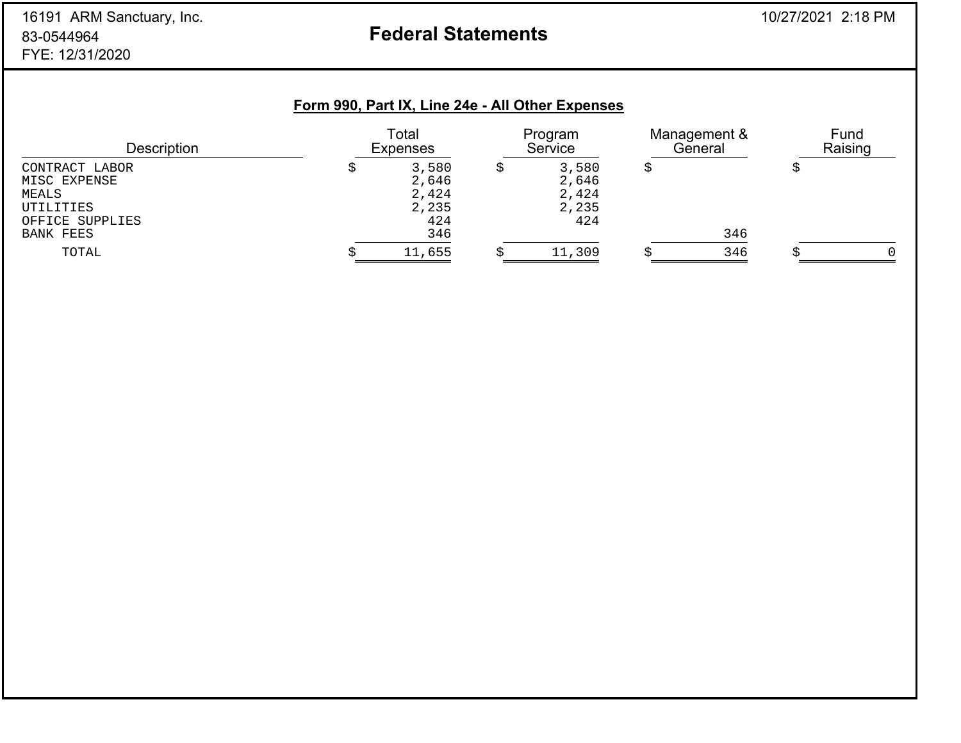# 16191 ARM Sanctuary, Inc. 2012 18:18 PM 83-0544964FYE: 12/31/2020

# **Federal Statements**

# **Form 990, Part IX, Line 24e - All Other Expenses**

| <b>Description</b>                                                                   | Total<br><b>Expenses</b>                       | Program<br>Service                      | Management &<br>General | Fund<br>Raising |
|--------------------------------------------------------------------------------------|------------------------------------------------|-----------------------------------------|-------------------------|-----------------|
| CONTRACT LABOR<br>MISC EXPENSE<br>MEALS<br>UTILITIES<br>OFFICE SUPPLIES<br>BANK FEES | 3,580<br>2,646<br>2,424<br>2,235<br>424<br>346 | 3,580<br>2,646<br>2,424<br>2,235<br>424 | 346                     |                 |
| TOTAL                                                                                | 11,655                                         | 11,309                                  | 346                     | $\Omega$        |